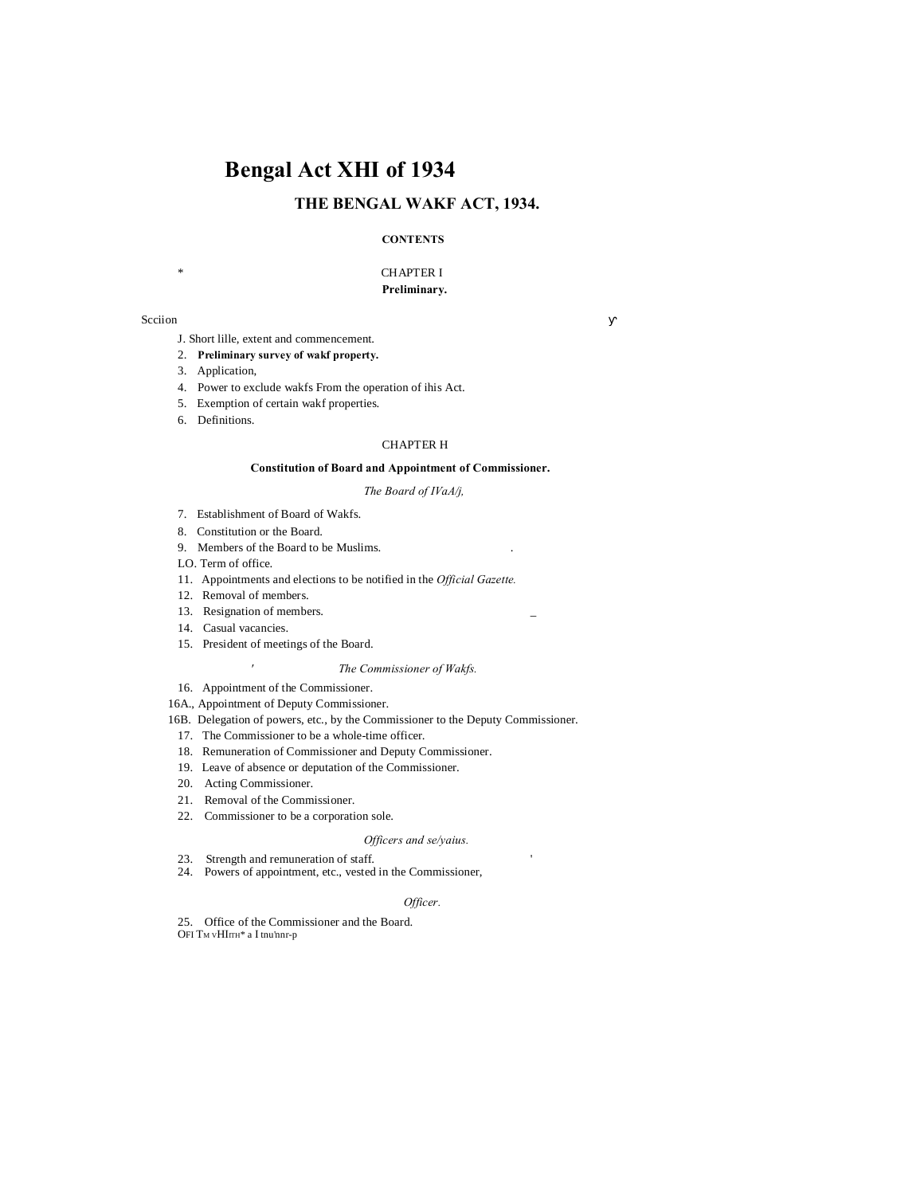# **Bengal Act XHI of 1934**

# **THE BENGAL WAKF ACT, 1934.**

# **CONTENTS**

# \* CHAPTER I **Preliminary.**

#### Scciion

- J. Short lille, extent and commencement.
- 2. **Preliminary survey of wakf property.**
- 3. Application,
- 4. Power to exclude wakfs From the operation of ihis Act.
- 5. Exemption of certain wakf properties.
- 6. Definitions.

#### CHAPTER H

#### **Constitution of Board and Appointment of Commissioner.**

# *The Board of IVaA/j,*

- 7. Establishment of Board of Wakfs.
- 8. Constitution or the Board.
- 9. Members of the Board to be Muslims. .
- LO. Term of office.
- 11. Appointments and elections to be notified in the *Official Gazette.*
- 12. Removal of members.
- 13. Resignation of members.

*'*

- 14. Casual vacancies.
- 15. President of meetings of the Board.

#### *The Commissioner of Wakfs.*

- 16. Appointment of the Commissioner.
- 16A., Appointment of Deputy Commissioner.
- 16B. Delegation of powers, etc., by the Commissioner to the Deputy Commissioner.
- 17. The Commissioner to be a whole-time officer.
- 18. Remuneration of Commissioner and Deputy Commissioner.
- 19. Leave of absence or deputation of the Commissioner.
- 20. Acting Commissioner.
- 21. Removal of the Commissioner.
- 22. Commissioner to be a corporation sole.

#### *Officers and se/yaius.*

- 23. Strength and remuneration of staff. '
- 24. Powers of appointment, etc., vested in the Commissioner,

#### *Officer.*

25. Office of the Commissioner and the Board.  $\rm{OFI}$   $\rm{T}_{\rm{M}}$  vHIrr<br>H\* a I tnu'nnr-p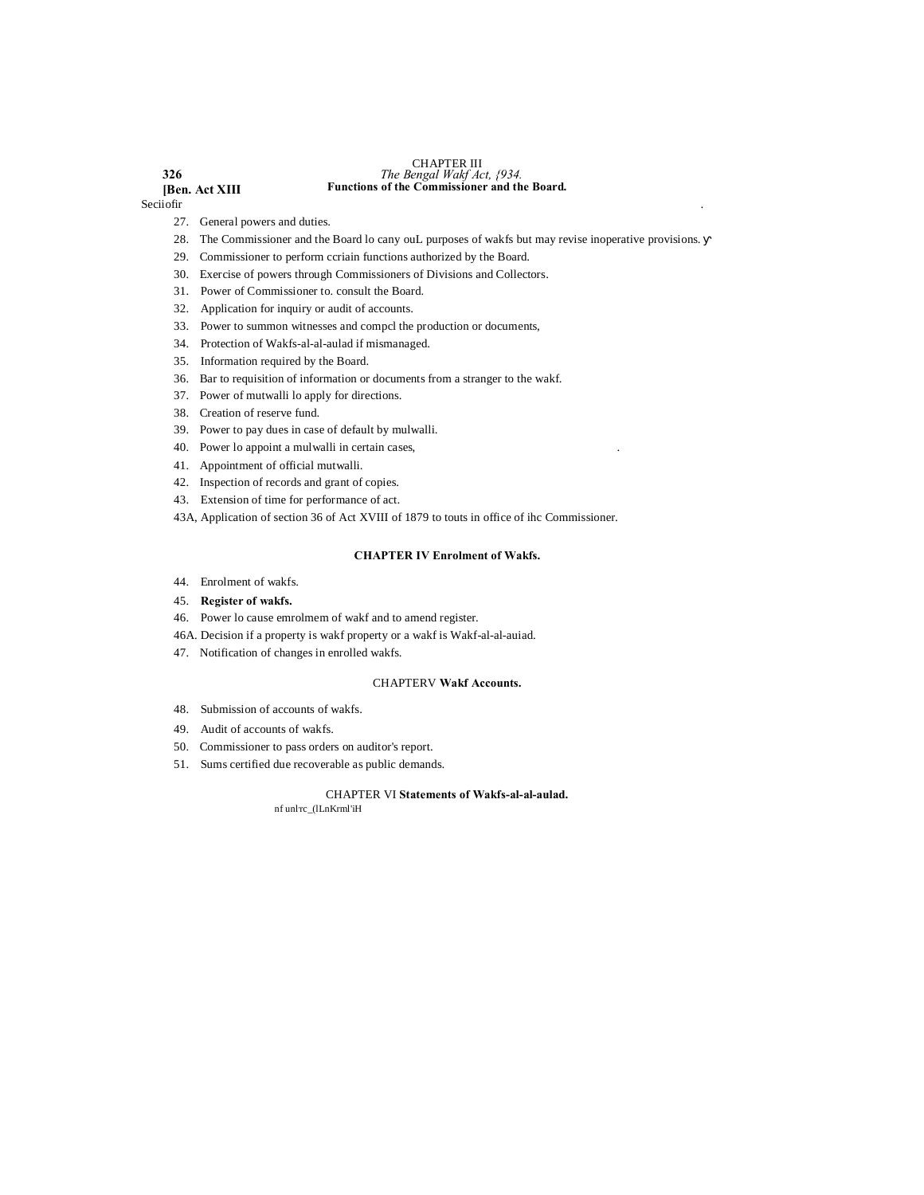#### **326** *The Bengal Wakf Act, {934.* CHAPTER III **Functions of the Commissioner and the Board.**

# **[Ben. Act XIII** Secijofir Seciiofir .

- 27. General powers and duties.
- 28. The Commissioner and the Board lo cany ouL purposes of wakfs but may revise inoperative provisions.
- 29. Commissioner to perform ccriain functions authorized by the Board.
- 30. Exercise of powers through Commissioners of Divisions and Collectors.
- 31. Power of Commissioner to. consult the Board.
- 32. Application for inquiry or audit of accounts.
- 33. Power to summon witnesses and compcl the production or documents,
- 34. Protection of Wakfs-al-al-aulad if mismanaged.
- 35. Information required by the Board.
- 36. Bar to requisition of information or documents from a stranger to the wakf.
- 37. Power of mutwalli lo apply for directions.
- 38. Creation of reserve fund.
- 39. Power to pay dues in case of default by mulwalli.
- 40. Power lo appoint a mulwalli in certain cases,
- 41. Appointment of official mutwalli.
- 42. Inspection of records and grant of copies.
- 43. Extension of time for performance of act.
- 43A, Application of section 36 of Act XVIII of 1879 to touts in office of ihc Commissioner.

# **CHAPTER IV Enrolment of Wakfs.**

- 44. Enrolment of wakfs.
- 45. **Register of wakfs.**
- 46. Power lo cause emrolmem of wakf and to amend register.
- 46A. Decision if a property is wakf property or a wakf is Wakf-al-al-auiad.
- 47. Notification of changes in enrolled wakfs.

# CHAPTERV **Wakf Accounts.**

- 48. Submission of accounts of wakfs.
- 49. Audit of accounts of wakfs.
- 50. Commissioner to pass orders on auditor's report.
- 51. Sums certified due recoverable as public demands.

# CHAPTER VI **Statements of Wakfs-al-al-aulad.**

nf unl'rc\_(lLnKrml'iH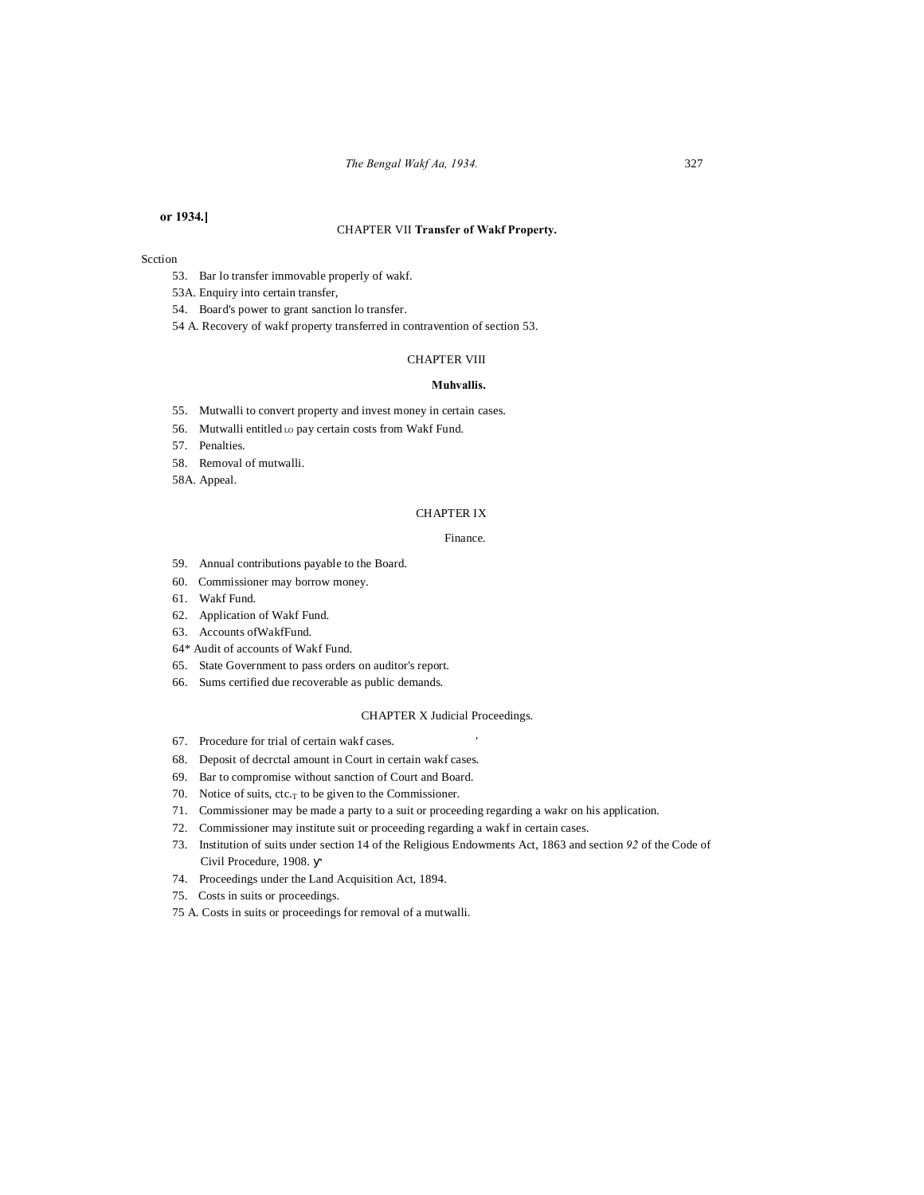# **or 1934.]**

#### CHAPTER VII **Transfer of Wakf Property.**

# Scction

- 53. Bar lo transfer immovable properly of wakf.
- 53A. Enquiry into certain transfer,
- 54. Board's power to grant sanction lo transfer.
- 54 A. Recovery of wakf property transferred in contravention of section 53.

#### CHAPTER VIII

#### **Muhvallis.**

- 55. Mutwalli to convert property and invest money in certain cases.
- 56. Mutwalli entitled Lo pay certain costs from Wakf Fund.
- 57. Penalties.
- 58. Removal of mutwalli.
- 58A. Appeal.

#### CHAPTER IX

# Finance.

- 59. Annual contributions payable to the Board.
- 60. Commissioner may borrow money.
- 61. Wakf Fund.
- 62. Application of Wakf Fund.
- 63. Accounts ofWakfFund.
- 64\* Audit of accounts of Wakf Fund.
- 65. State Government to pass orders on auditor's report.
- 66. Sums certified due recoverable as public demands.

#### CHAPTER X Judicial Proceedings.

- 67. Procedure for trial of certain wakf cases. '
- 68. Deposit of decrctal amount in Court in certain wakf cases.
- 69. Bar to compromise without sanction of Court and Board.
- 70. Notice of suits,  $ctc_T$  to be given to the Commissioner.
- 71. Commissioner may be made a party to a suit or proceeding regarding a wakr on his application.
- 72. Commissioner may institute suit or proceeding regarding a wakf in certain cases.
- 73. Institution of suits under section 14 of the Religious Endowments Act, 1863 and section *92* of the Code of Civil Procedure, 1908.
- 74. Proceedings under the Land Acquisition Act, 1894.
- 75. Costs in suits or proceedings.
- 75 A. Costs in suits or proceedings for removal of a mutwalli.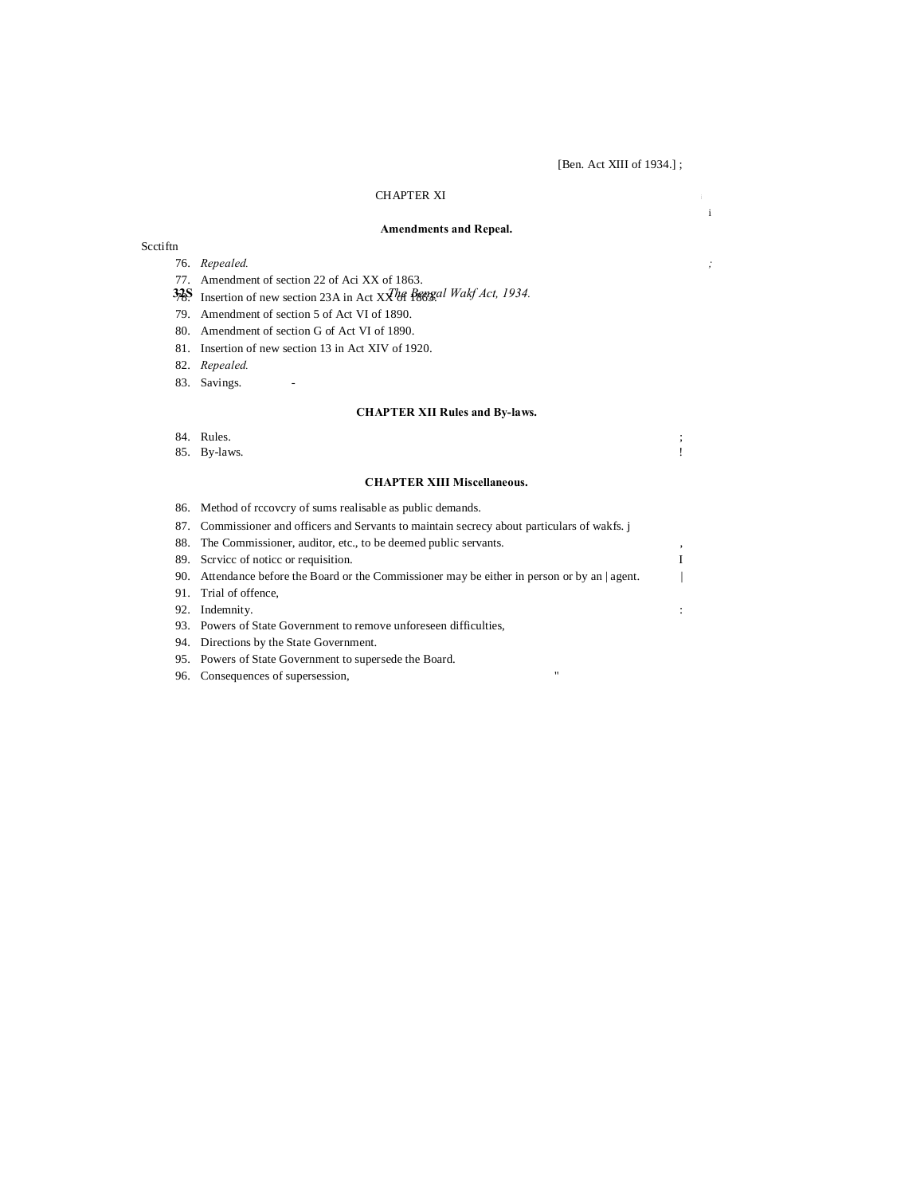i

# CHAPTER XI **<sup>i</sup>**

# **Amendments and Repeal.**

#### Scctiftn

- 76. *Repealed. ;*
- 77. Amendment of section 22 of Aci XX of 1863.
- 32S. Insertion of new section 23A in Act XX<sup>The Bengal Wakf Act, 1934.</sup>
- 79. Amendment of section 5 of Act VI of 1890.
- 80. Amendment of section G of Act VI of 1890.
- 81. Insertion of new section 13 in Act XIV of 1920.
- 82. *Repealed.*
- 83. Savings.

# **CHAPTER XII Rules and By-laws.**

# 84. Rules. ;

85. By-laws. !

# **CHAPTER XIII Miscellaneous.**

86. Method of rccovcry of sums realisable as public demands.

| 87. Commissioner and officers and Servants to maintain secrecy about particulars of wakfs.    |   |
|-----------------------------------------------------------------------------------------------|---|
| 88. The Commissioner, auditor, etc., to be deemed public servants.                            |   |
| 89. Service of notice or requisition.                                                         | T |
| 90. Attendance before the Board or the Commissioner may be either in person or by an   agent. |   |
| 91. Trial of offence,                                                                         |   |
| 92. Indemnity.                                                                                |   |
| 93. Powers of State Government to remove unforeseen difficulties,                             |   |
| 94. Directions by the State Government.                                                       |   |

- 95. Powers of State Government to supersede the Board.
- 96. Consequences of supersession,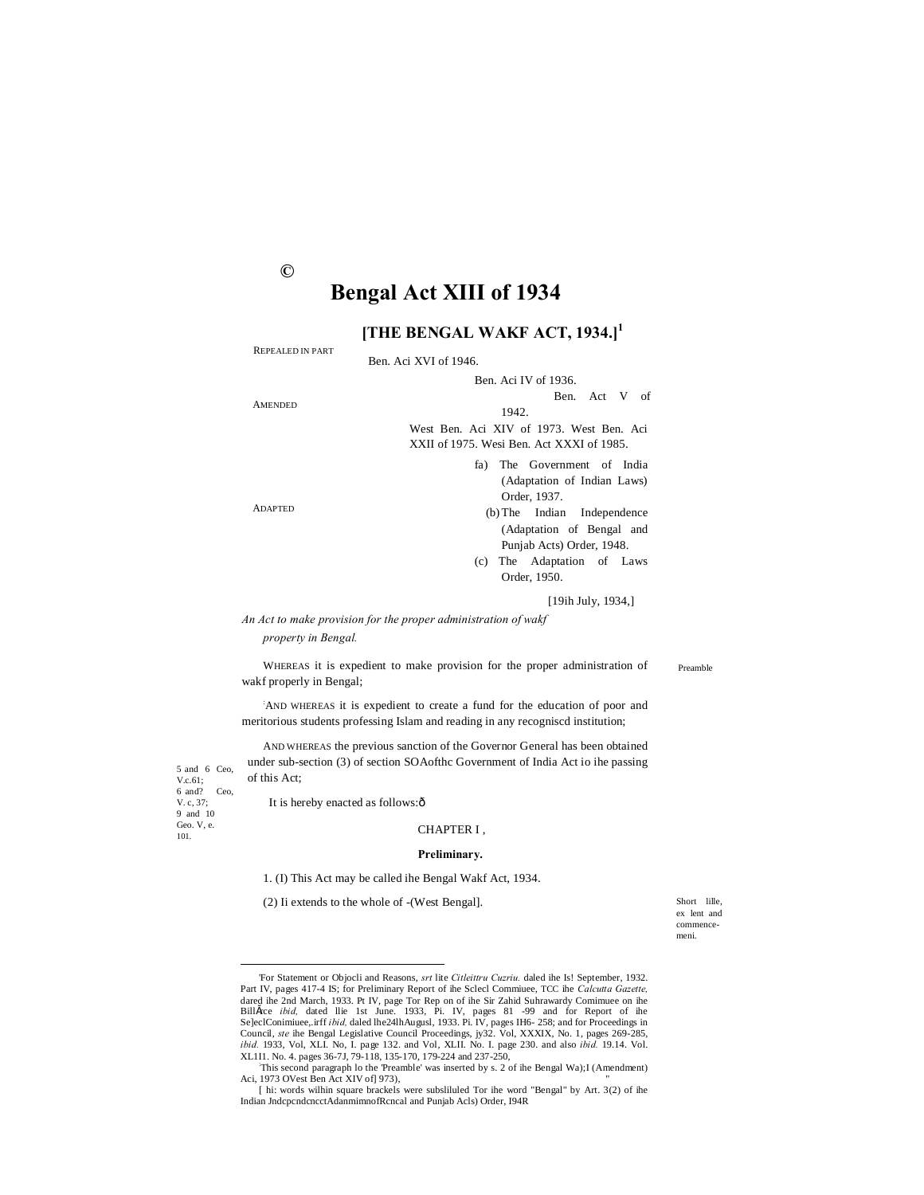# **Bengal Act XIII of 1934**

# [THE BENGAL WAKF ACT, 1934.]<sup>1</sup>

| <b>REPEALED IN PART</b> |                                           |
|-------------------------|-------------------------------------------|
|                         | Ben. Aci XVI of 1946.                     |
|                         | Ben. Aci IV of 1936.                      |
|                         | Ben. Act V of                             |
| <b>AMENDED</b>          | 1942.                                     |
|                         | West Ben. Aci XIV of 1973. West Ben. Aci  |
|                         | XXII of 1975. Wesi Ben. Act XXXI of 1985. |
|                         | fa) The Government of India               |
|                         | (Adaptation of Indian Laws)               |
|                         | Order, 1937.                              |
| <b>ADAPTED</b>          | (b) The Indian Independence               |
|                         | (Adaptation of Bengal and                 |
|                         | Punjab Acts) Order, 1948.                 |
|                         | The Adaptation of Laws<br>(c)             |
|                         | Order, 1950.                              |
|                         | 119ih July 1934 1                         |

An Act to make provision for the proper administration of wakf property in Bengal.

Preamble

wakf properly in Bengal; 'AND WHEREAS it is expedient to create a fund for the education of poor and

WHEREAS it is expedient to make provision for the proper administration of

meritorious students professing Islam and reading in any recogniscd institution; AND WHEREAS the previous sanction of the Governor General has been obtained

under sub-section (3) of section SOAofthc Government of India Act io ihe passing of this Act:

It is hereby enacted as follows:ô

5 and 6 Ceo,

 $V.c.61;$  $6$  and?<br>V. c, 37; Ceo.

9 and  $10$ Geo. V, e.

 $101$ 

#### CHAPTER I.

#### Preliminary.

1. (I) This Act may be called ihe Bengal Wakf Act, 1934.

(2) Ii extends to the whole of -(West Bengal].

Short lille. ex lent and commencemeni.

 $\odot$ 

<sup>&#</sup>x27;For Statement or Objocli and Reasons, srt lite Citleittru Cuzriu. daled ihe Is! September, 1932. Part IV, pages 417-4 IS; for Preliminary Report of the Scleel Committee, TCC the Calcutta Gazette,<br>dared the 2nd March, 1933. Pt IV, page Tor Rep on of the Sir Zahid Suhrawardy Comimue on the<br>Billšrce *ibid*, dated llie 1s Binster *binst*, uated the 24th August, 1935, 11. 1v, pages 01<sup>-59</sup> and for Proceedings in SelectOminiuse, irff *ibid*, dated the 24th August, 1933. Pi. IV, pages IH6- 258; and for Proceedings in Council, *ste* the Bengal

This second paragraph lo the 'Preamble' was inserted by s. 2 of ihe Bengal Wa); I (Amendment) Aci, 1973 OVest Ben Act XIV of] 973),

<sup>[</sup> hi: words wilhin square brackels were subsliluled Tor ihe word "Bengal" by Art. 3(2) of ihe Indian JndcpcndcncctAdanmimnofRcncal and Punjab Acls) Order, I94R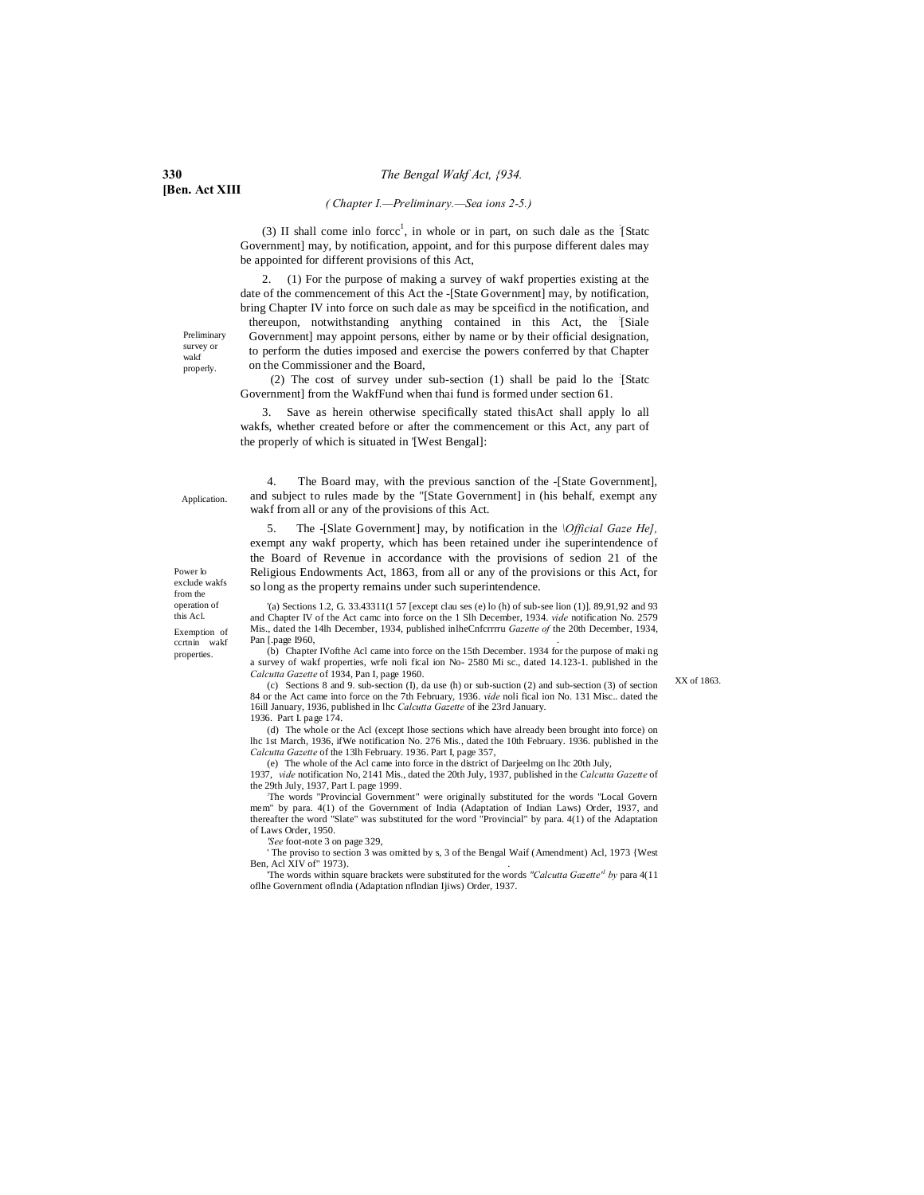#### *( Chapter I.—Preliminary.—Sea ions 2-5.)*

(3) II shall come inlo force<sup>1</sup>, in whole or in part, on such dale as the  $\frac{1}{2}$ Statc Government] may, by notification, appoint, and for this purpose different dales may be appointed for different provisions of this Act,

2. (1) For the purpose of making a survey of wakf properties existing at the date of the commencement of this Act the -[State Government] may, by notification, bring Chapter IV into force on such dale as may be spceificd in the notification, and

thereupon, notwithstanding anything contained in this Act, the : [Siale Government] may appoint persons, either by name or by their official designation, to perform the duties imposed and exercise the powers conferred by that Chapter on the Commissioner and the Board,

(2) The cost of survey under sub-section (1) shall be paid lo the : [Statc Government] from the WakfFund when thai fund is formed under section 61.

Save as herein otherwise specifically stated thisAct shall apply lo all wakfs, whether created before or after the commencement or this Act, any part of the properly of which is situated in '[West Bengal]:

Application.

Power lo exclude wakfs from the operation of this Acl. Exemption of ccrtnin wakf properties.

4. The Board may, with the previous sanction of the -[State Government], and subject to rules made by the "[State Government] in (his behalf, exempt any wakf from all or any of the provisions of this Act.

5. The -[Slate Government] may, by notification in the *\Official Gaze He],* exempt any wakf property, which has been retained under ihe superintendence of the Board of Revenue in accordance with the provisions of sedion 21 of the Religious Endowments Act, 1863, from all or any of the provisions or this Act, for so long as the property remains under such superintendence.

'(a) Sections 1.2, G. 33.43311(1 57 [except clau ses (e) lo (h) of sub-see lion (1)]. 89,91,92 and 93 and Chapter IV of the Act camc into force on the 1 Slh December, 1934. *vide* notification No. 2579 Mis., dated the 14lh December, 1934, published inlheCnfcrrrru *Gazette of* the 20th December, 1934, Pan [.page 1960,

(b) Chapter IVofthe Acl came into force on the 15th December. 1934 for the purpose of maki ng a survey of wakf properties, wrfe noli fical ion No- 2580 Mi sc., dated 14.123-1. published in the *Calcutta Gazette* of 1934, Pan I, page 1960. (c) Sections 8 and 9. sub-section (I), da use (h) or sub-suction (2) and sub-section (3) of section

84 or the Act came into force on the 7th February, 1936. *vide* noli fical ion No. 131 Misc.. dated the

XX of 1863.

(d) The whole or the Acl (except Ihose sections which have already been brought into force) on lhc 1st March, 1936, ifWe notification No. 276 Mis., dated the 10th February. 1936. published in the *Calcutta Gazette* of the 13lh February. 1936. Part I, page 357,

(e) The whole of the Acl came into force in the district of Darjeelmg on lhc 20th July,

16ill January, 1936, published in lhc *Calcutta Gazette* of ihe 23rd January.

1937, *vide* notification No, 2141 Mis., dated the 20th July, 1937, published in the *Calcutta Gazette* of the 29th July, 1937, Part I. page 1999.

The words "Provincial Government" were originally substituted for the words "Local Govern mem" by para. 4(1) of the Government of India (Adaptation of Indian Laws) Order, 1937, and thereafter the word "Slate" was substituted for the word "Provincial" by para. 4(1) of the Adaptation of Laws Order, 1950.

*'See* foot-note 3 on page 329,

1936. Part I. page 174.

The proviso to section 3 was omitted by s, 3 of the Bengal Waif (Amendment) Acl, 1973 {West Ben, Acl XIV of" 1973).

'The words within square brackets were substituted for the words *"Calcutta Gazette'1 by* para 4(11 oflhe Government oflndia (Adaptation nflndian Ijiws) Order, 1937.

**[Ben. Act XIII**

Preliminary survey or wakf properly.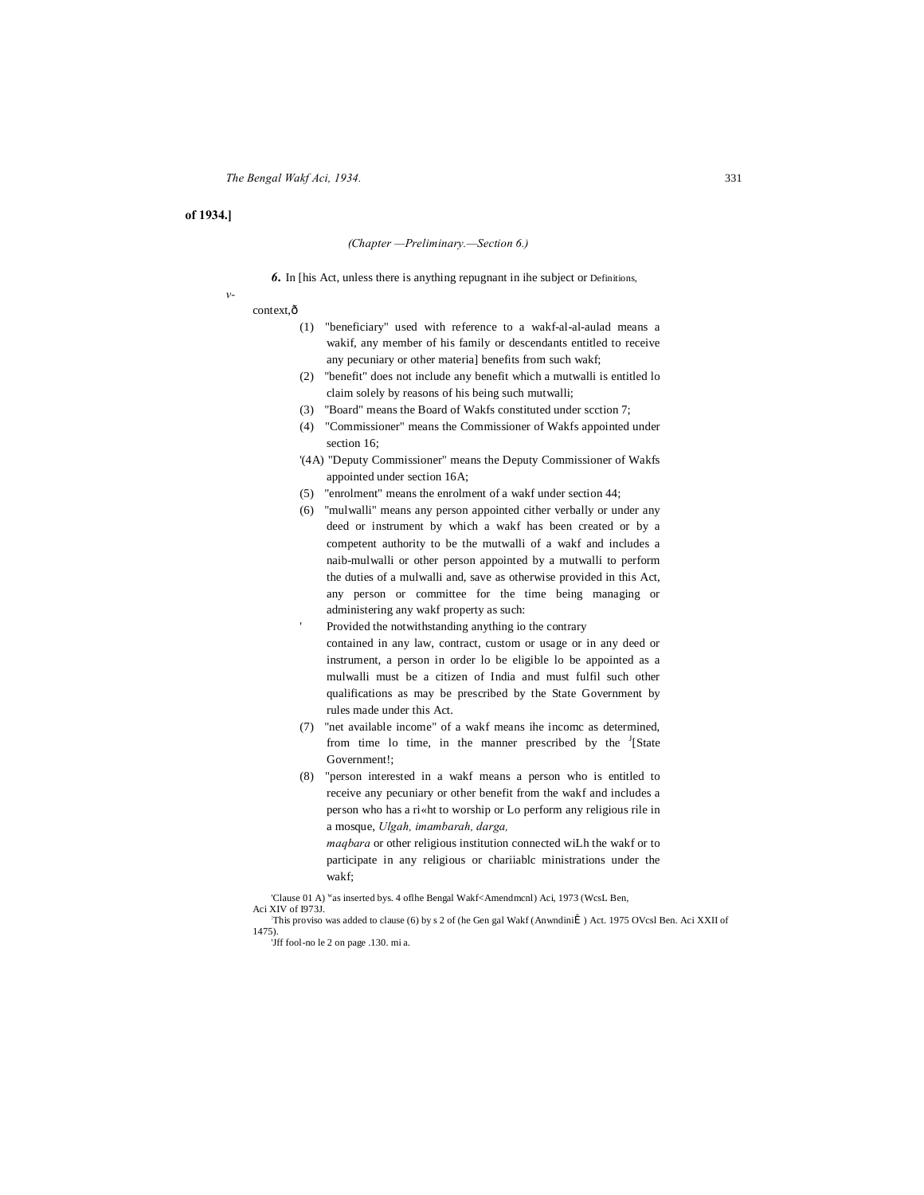# **of 1934.]**

*v-*

#### *(Chapter —Preliminary.—Section 6.)*

*6.* In [his Act, unless there is anything repugnant in ihe subject or Definitions,

#### context, $\hat{o}$

- (1) "beneficiary" used with reference to a wakf-al-al-aulad means a wakif, any member of his family or descendants entitled to receive any pecuniary or other materia] benefits from such wakf;
- (2) "benefit" does not include any benefit which a mutwalli is entitled lo claim solely by reasons of his being such mutwalli;
- (3) "Board" means the Board of Wakfs constituted under scction 7;
- (4) "Commissioner" means the Commissioner of Wakfs appointed under section 16;
- '(4A) "Deputy Commissioner" means the Deputy Commissioner of Wakfs appointed under section 16A;
- (5) "enrolment" means the enrolment of a wakf under section 44;
- (6) "mulwalli" means any person appointed cither verbally or under any deed or instrument by which a wakf has been created or by a competent authority to be the mutwalli of a wakf and includes a naib-mulwalli or other person appointed by a mutwalli to perform the duties of a mulwalli and, save as otherwise provided in this Act, any person or committee for the time being managing or administering any wakf property as such:
- Provided the notwithstanding anything io the contrary contained in any law, contract, custom or usage or in any deed or instrument, a person in order lo be eligible lo be appointed as a mulwalli must be a citizen of India and must fulfil such other qualifications as may be prescribed by the State Government by rules made under this Act.
- (7) "net available income" of a wakf means ihe incomc as determined, from time lo time, in the manner prescribed by the  $I_{\text{S}}$  State Government!;
- (8) "person interested in a wakf means a person who is entitled to receive any pecuniary or other benefit from the wakf and includes a person who has a ri«ht to worship or Lo perform any religious rile in a mosque, *Ulgah, imambarah, darga,*

*maqbara* or other religious institution connected wiLh the wakf or to participate in any religious or chariiablc ministrations under the wakf;

'Clause 01 A) was inserted bys. 4 oflhe Bengal Wakf<Amendmcnl) Aci, 1973 (WcsL Ben, Aci XIV of I973J.

This proviso was added to clause (6) by s 2 of (he Gen gal Wakf (Anwndinii) Act. 1975 OVcsl Ben. Aci XXII of 1475).

<sup>&#</sup>x27;Jff fool-no le 2 on page .130. mi a.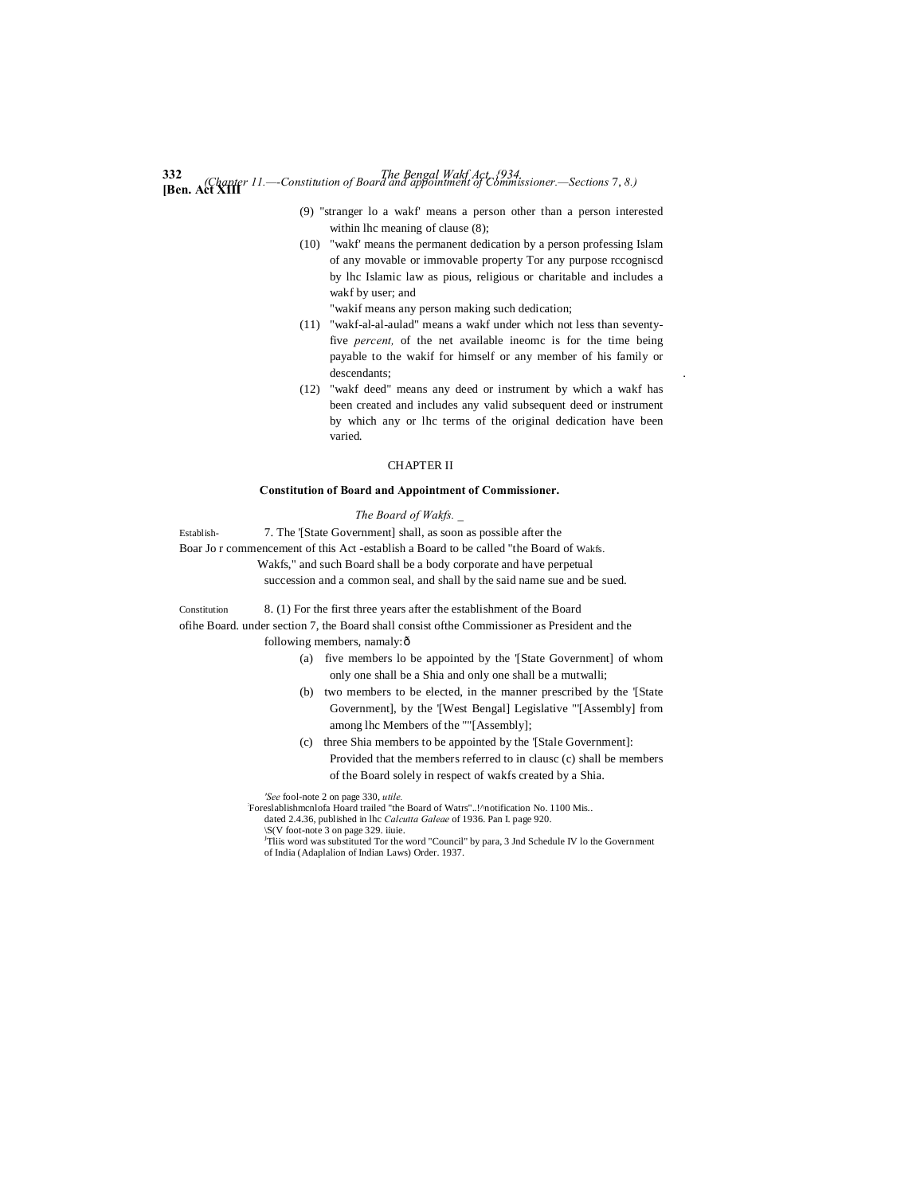# **332** *The Bengal Wakf Act, {934.* **[Ben. Act XIII** *(Chapter 11.—-Constitution of Board and appointment of Commissioner.—Sections* 7, *8.)*

- (9) "stranger lo a wakf' means a person other than a person interested within lhc meaning of clause (8);
- (10) "wakf' means the permanent dedication by a person professing Islam of any movable or immovable property Tor any purpose rccogniscd by lhc Islamic law as pious, religious or charitable and includes a wakf by user; and

"wakif means any person making such dedication;

- (11) "wakf-al-al-aulad" means a wakf under which not less than seventyfive *percent,* of the net available ineomc is for the time being payable to the wakif for himself or any member of his family or descendants; .
- (12) "wakf deed" means any deed or instrument by which a wakf has been created and includes any valid subsequent deed or instrument by which any or lhc terms of the original dedication have been varied.

#### CHAPTER II

#### **Constitution of Board and Appointment of Commissioner.**

*The Board of Wakfs. \_*

Establish- 7. The '[State Government] shall, as soon as possible after the Boar Jo r commencement of this Act -establish a Board to be called "the Board of Wakfs.

Wakfs," and such Board shall be a body corporate and have perpetual

succession and a common seal, and shall by the said name sue and be sued.

Constitution 8. (1) For the first three years after the establishment of the Board ofihe Board. under section 7, the Board shall consist ofthe Commissioner as President and the

following members, namaly: $\hat{o}$ 

- (a) five members lo be appointed by the '[State Government] of whom only one shall be a Shia and only one shall be a mutwalli;
- (b) two members to be elected, in the manner prescribed by the '[State Government], by the '[West Bengal] Legislative "'[Assembly] from among lhc Members of the ""[Assembly];
- (c) three Shia members to be appointed by the '[Stale Government]: Provided that the members referred to in clausc (c) shall be members of the Board solely in respect of wakfs created by a Shia.

*'See* fool-note 2 on page 330, *utile.* :

Foreslablishmcnlofa Hoard trailed "the Board of Watrs"..!^notification No. 1100 Mis..

dated 2.4.36, published in lhc *Calcutta Galeae* of 1936. Pan I. page 920.

\S(V foot-note 3 on page 329. iiuie.<br><sup>J</sup>Tliis word was substituted Tor the word "Council" by para, 3 Jnd Schedule IV lo the Government of India (Adaplalion of Indian Laws) Order. 1937.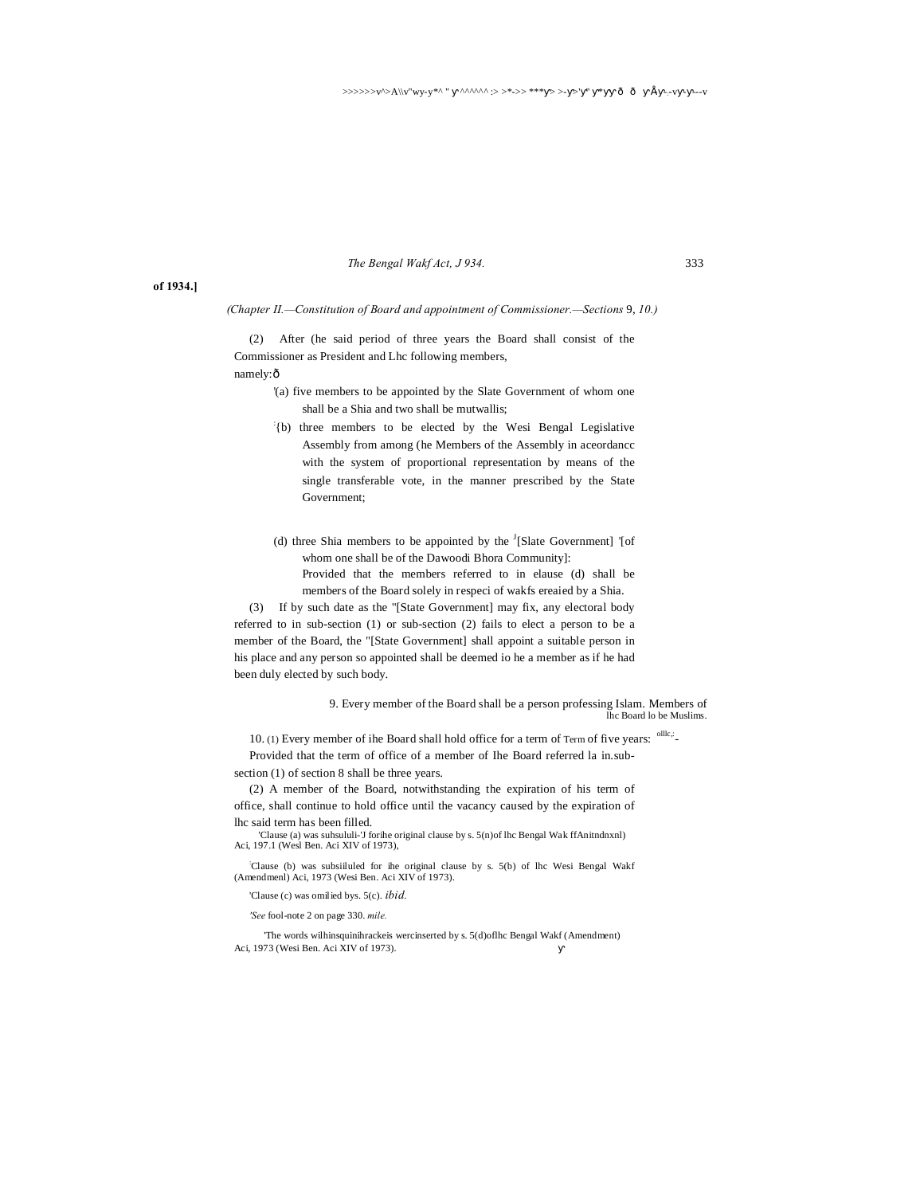*The Bengal Wakf Act, J 934.* 333

#### **of 1934.]**

*(Chapter II.—Constitution of Board and appointment of Commissioner.—Sections* 9, *10.)*

(2) After (he said period of three years the Board shall consist of the Commissioner as President and Lhc following members, namely:ô

- '(a) five members to be appointed by the Slate Government of whom one shall be a Shia and two shall be mutwallis;
- : {b) three members to be elected by the Wesi Bengal Legislative Assembly from among (he Members of the Assembly in aceordancc with the system of proportional representation by means of the single transferable vote, in the manner prescribed by the State Government;
- (d) three Shia members to be appointed by the  $\frac{1}{3}$ [Slate Government] '[of whom one shall be of the Dawoodi Bhora Community]:

Provided that the members referred to in elause (d) shall be members of the Board solely in respeci of wakfs ereaied by a Shia.

(3) If by such date as the "[State Government] may fix, any electoral body referred to in sub-section (1) or sub-section (2) fails to elect a person to be a member of the Board, the "[State Government] shall appoint a suitable person in his place and any person so appointed shall be deemed io he a member as if he had been duly elected by such body.

> 9. Every member of the Board shall be a person professing Islam. Members of lhc Board lo be Muslims.

10. (1) Every member of ihe Board shall hold office for a term of Term of five years: <sup>ollk;</sup>-

Provided that the term of office of a member of Ihe Board referred la in.subsection (1) of section 8 shall be three years.

(2) A member of the Board, notwithstanding the expiration of his term of office, shall continue to hold office until the vacancy caused by the expiration of lhc said term has been filled.

'Clause (a) was suhsululi-'J forihe original clause by s. 5(n)of lhc Bengal Wak ffAnitndnxnl) Aci, 197.1 (Wesl Ben. Aci XIV of 1973),

: Clause (b) was subsiiluled for ihe original clause by s. 5(b) of lhc Wesi Bengal Wakf (Amendmenl) Aci, 1973 (Wesi Ben. Aci XIV of 1973).

'Clause (c) was omilied bys. 5(c). *ibid.*

*'See* fool-note 2 on page 330. *mile.*

'The words wilhinsquinihrackeis wercinserted by s. 5(d)oflhc Bengal Wakf (Amendment) Aci, 1973 (Wesi Ben. Aci XIV of 1973).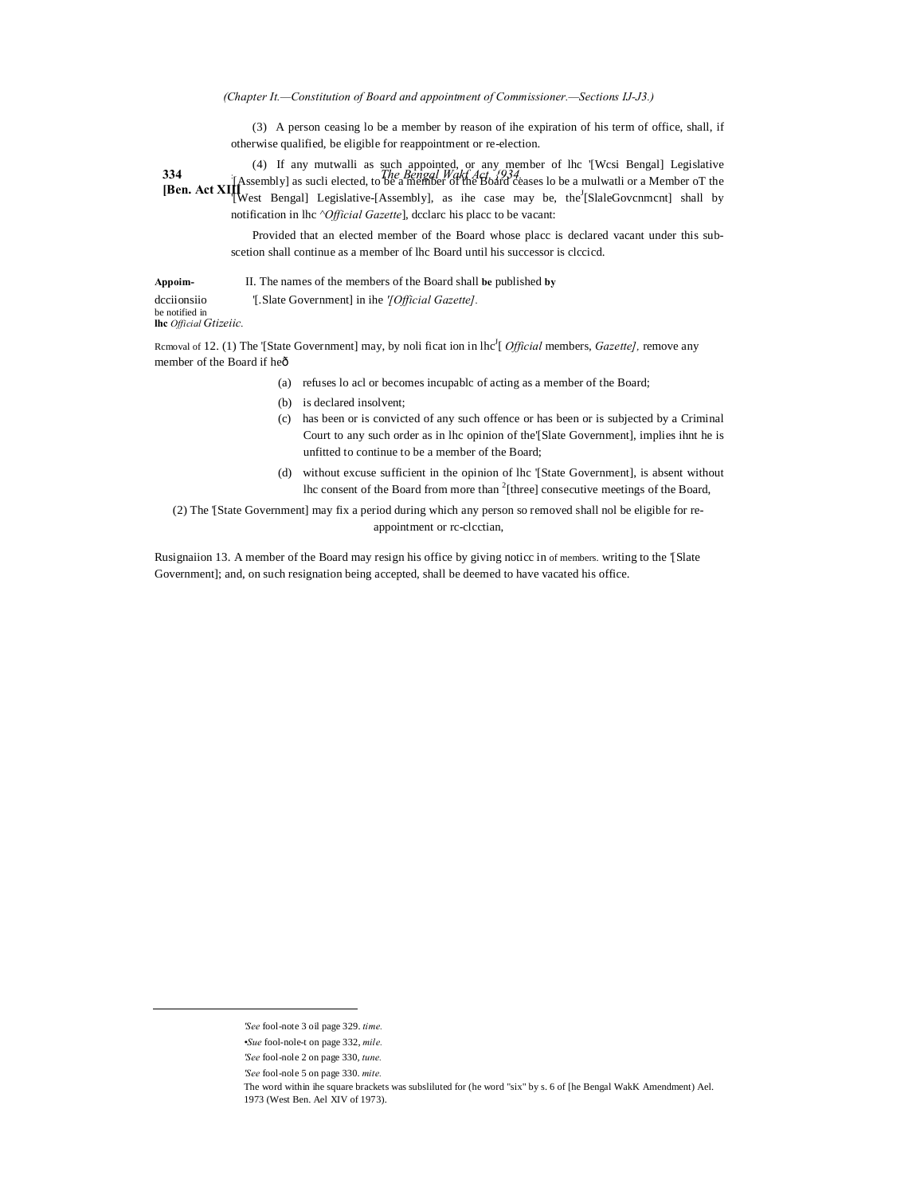*(Chapter It.—Constitution of Board and appointment of Commissioner.—Sections IJ-J3.)*

(3) A person ceasing lo be a member by reason of ihe expiration of his term of office, shall, if otherwise qualified, be eligible for reappointment or re-election.

**334** *The Bengal Wakf Act, {934.* **[Ben. Act XIII** (4) If any mutwalli as such appointed, or any member of lhc '[Wcsi Bengal] Legislative  $[Assembl]$  as sucli elected, to be a member of the Board ceases lo be a mulwatli or a Member of the West Bengal] Legislative-[Assembly], as ihe case may be, the<sup>J</sup>[SlaleGovcnmcnt] shall by notification in lhc *^Official Gazette*], dcclarc his placc to be vacant:

> Provided that an elected member of the Board whose placc is declared vacant under this subscetion shall continue as a member of lhc Board until his successor is clccicd.

**Appoim-** II. The names of the members of the Board shall **be** published **by** dcciionsiio '[.Slate Government] in ihe *'[Official Gazette].* be notified in **lhc** *Official Gtizeiic.*

Removal of 12. (1) The '[State Government] may, by noli ficat ion in lhc<sup>J</sup>[ *Official* members, *Gazette]*, remove any member of the Board if heô

- (a) refuses lo acl or becomes incupablc of acting as a member of the Board;
- (b) is declared insolvent;
- (c) has been or is convicted of any such offence or has been or is subjected by a Criminal Court to any such order as in lhc opinion of the'[Slate Government], implies ihnt he is unfitted to continue to be a member of the Board;
- (d) without excuse sufficient in the opinion of lhc '[State Government], is absent without lhc consent of the Board from more than  $2$ [three] consecutive meetings of the Board,

(2) The '[State Government] may fix a period during which any person so removed shall nol be eligible for reappointment or rc-clcctian,

Rusignaiion 13. A member of the Board may resign his office by giving noticc in of members. writing to the '[Slate Government]; and, on such resignation being accepted, shall be deemed to have vacated his office.

-

*<sup>&#</sup>x27;See* fool-note 3 oil page 329. *time.*

*<sup>•</sup>Sue* fool-nole-t on page 332, *mile.*

*<sup>&#</sup>x27;See* fool-nole 2 on page 330, *tune.*

*<sup>&#</sup>x27;See* fool-nole 5 on page 330. *mite.*

The word within ihe square brackets was subsliluted for (he word "six" by s. 6 of [he Bengal WakK Amendment) Ael. 1973 (West Ben. Ael XIV of 1973).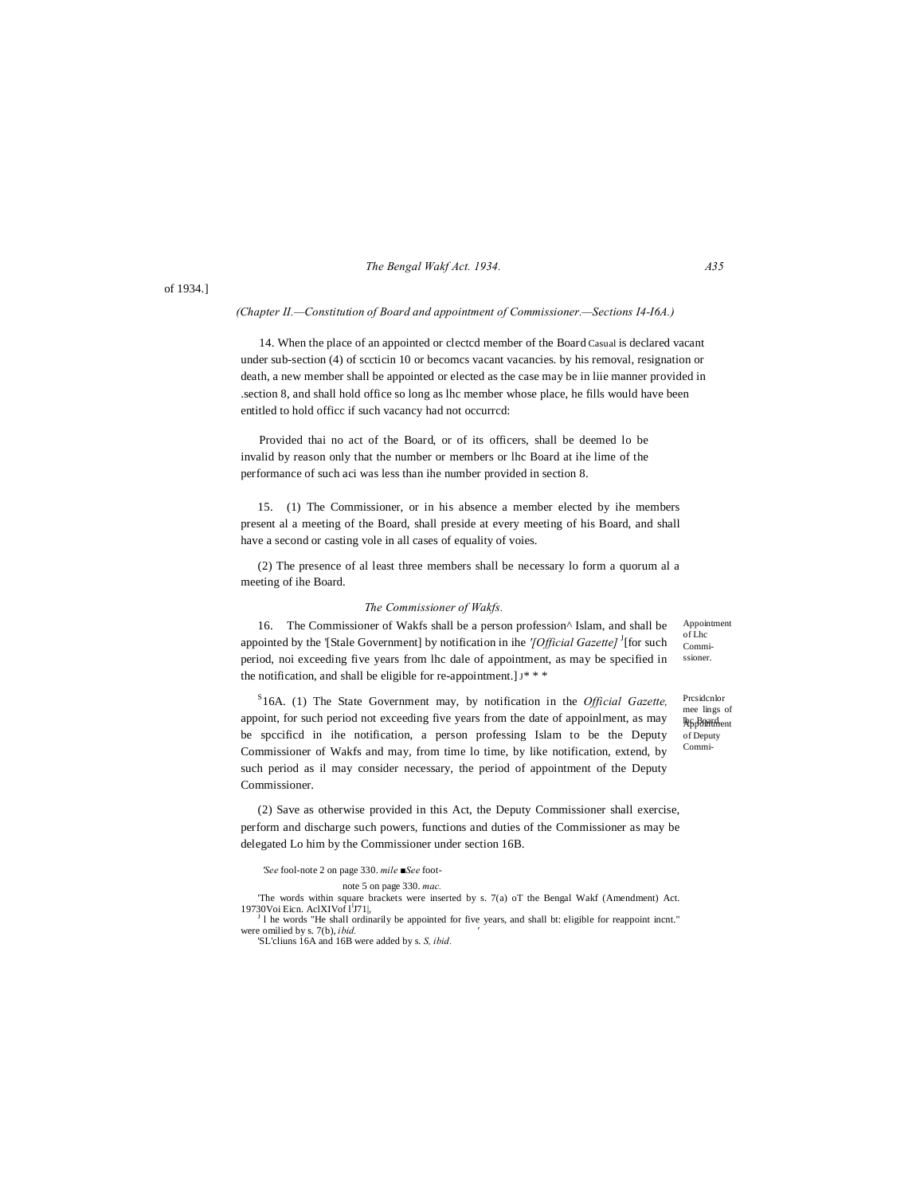# *The Bengal Wakf Act. 1934. A35*

of 1934.]

### *(Chapter II.—Constitution of Board and appointment of Commissioner.—Sections I4-I6A.)*

14. When the place of an appointed or clectcd member of the Board Casual is declared vacant under sub-section (4) of sccticin 10 or becomcs vacant vacancies. by his removal, resignation or death, a new member shall be appointed or elected as the case may be in liie manner provided in .section 8, and shall hold office so long as lhc member whose place, he fills would have been entitled to hold officc if such vacancy had not occurrcd:

Provided thai no act of the Board, or of its officers, shall be deemed lo be invalid by reason only that the number or members or lhc Board at ihe lime of the performance of such aci was less than ihe number provided in section 8.

15. (1) The Commissioner, or in his absence a member elected by ihe members present al a meeting of the Board, shall preside at every meeting of his Board, and shall have a second or casting vole in all cases of equality of voies.

(2) The presence of al least three members shall be necessary lo form a quorum al a meeting of ihe Board.

#### *The Commissioner of Wakfs.*

16. The Commissioner of Wakfs shall be a person profession^ Islam, and shall be appointed by the '[Stale Government] by notification in ihe '[Official Gazette]<sup>J</sup>[for such period, noi exceeding five years from lhc dale of appointment, as may be specified in the notification, and shall be eligible for re-appointment.  $J^*$  \* \*

S 16A. (1) The State Government may, by notification in the *Official Gazette,* appoint, for such period not exceeding five years from the date of appoinlment, as may be spccificd in ihe notification, a person professing Islam to be the Deputy Commissioner of Wakfs and may, from time lo time, by like notification, extend, by such period as il may consider necessary, the period of appointment of the Deputy Commissioner.

(2) Save as otherwise provided in this Act, the Deputy Commissioner shall exercise, perform and discharge such powers, functions and duties of the Commissioner as may be delegated Lo him by the Commissioner under section 16B.

*'See* fool-note 2 on page 330. *mile ■See* foot-

note 5 on page 330. *mac.*

'The words within square brackets were inserted by s. 7(a) oT the Bengal Wakf (Amendment) Act. 19730Voi Eicn. AclXIVof l<sup>1</sup>J71|,

<sup>J</sup> l he words "He shall ordinarily be appointed for five years, and shall bt: eligible for reappoint incnt." were omilied by s. 7(b), *ibid. '* 'SL'cliuns 16A and 16B were added by s. *S, ibid.*

Appointment of Lhc Commissioner.

l**h**G<sub>p</sub>Board. of Deputy Commi-Prcsidcnlor mee lings of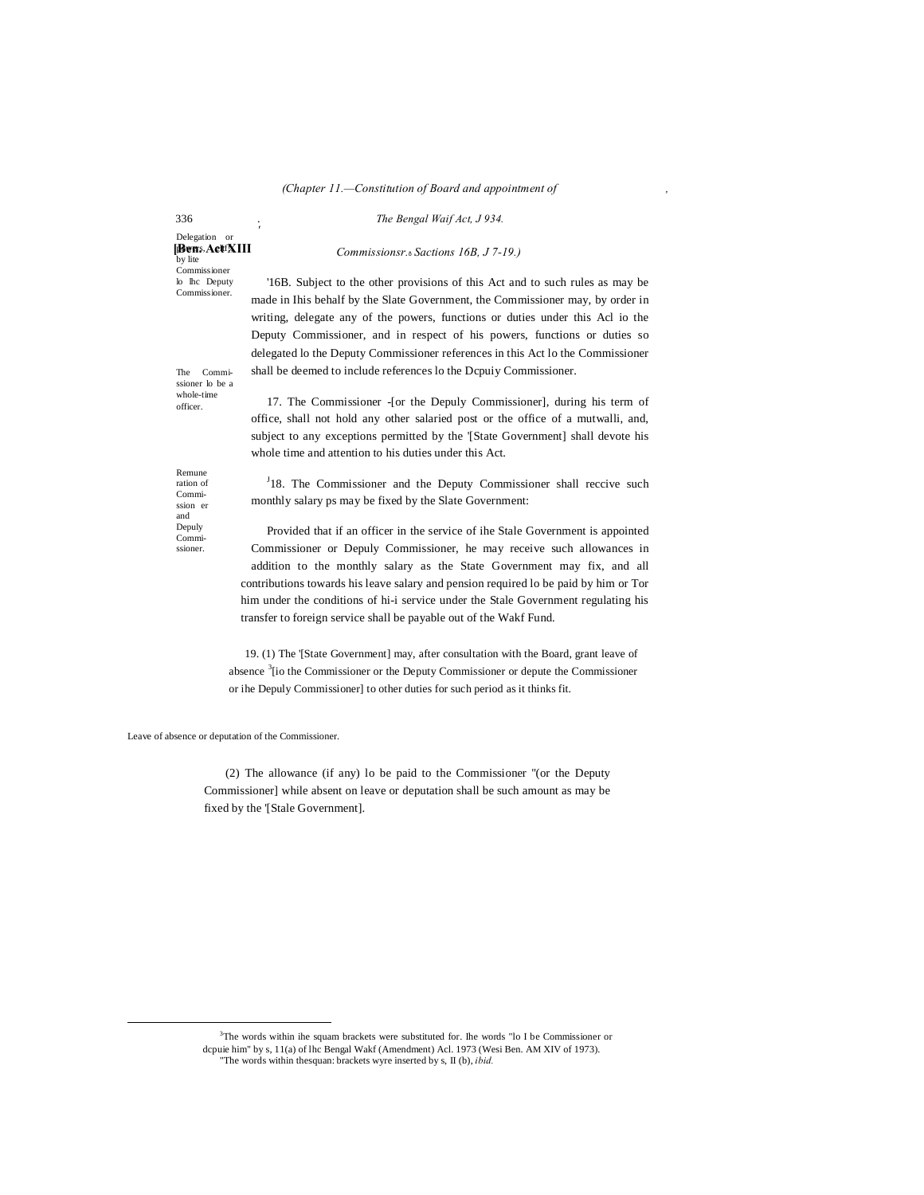#### *(Chapter 11.—Constitution of Board and appointment of ,*

336 . *The Bengal Waif Act, J 934.*

[Bens. ActfXIII Delegation or by lite Commissioner lo lhc Deputy

*'*

Commissioner.

*Commissionsr.*—*Sactions 16B, J 7-19.)*

'16B. Subject to the other provisions of this Act and to such rules as may be made in Ihis behalf by the Slate Government, the Commissioner may, by order in writing, delegate any of the powers, functions or duties under this Acl io the Deputy Commissioner, and in respect of his powers, functions or duties so delegated lo the Deputy Commissioner references in this Act lo the Commissioner shall be deemed to include references lo the Dcpuiy Commissioner.

The Commissioner lo be a whole-time officer.

Remune ration of Commission er and Depuly Commissioner.

17. The Commissioner -[or the Depuly Commissioner], during his term of office, shall not hold any other salaried post or the office of a mutwalli, and, subject to any exceptions permitted by the '[State Government] shall devote his whole time and attention to his duties under this Act.

<sup>J</sup>18. The Commissioner and the Deputy Commissioner shall reccive such monthly salary ps may be fixed by the Slate Government:

Provided that if an officer in the service of ihe Stale Government is appointed Commissioner or Depuly Commissioner, he may receive such allowances in addition to the monthly salary as the State Government may fix, and all contributions towards his leave salary and pension required lo be paid by him or Tor him under the conditions of hi-i service under the Stale Government regulating his transfer to foreign service shall be payable out of the Wakf Fund.

19. (1) The '[State Government] may, after consultation with the Board, grant leave of absence <sup>3</sup>[io the Commissioner or the Deputy Commissioner or depute the Commissioner or ihe Depuly Commissioner] to other duties for such period as it thinks fit.

Leave of absence or deputation of the Commissioner.

(2) The allowance (if any) lo be paid to the Commissioner ''(or the Deputy Commissioner] while absent on leave or deputation shall be such amount as may be fixed by the '[Stale Government].

 3  $3$ The words within ihe squam brackets were substituted for. The words "lo I be Commissioner or dcpuie him" by s, 11(a) of lhc Bengal Wakf (Amendment) Acl. 1973 (Wesi Ben. AM XIV of 1973). "The words within thesquan: brackets wyre inserted by s, II (b), *ibid.*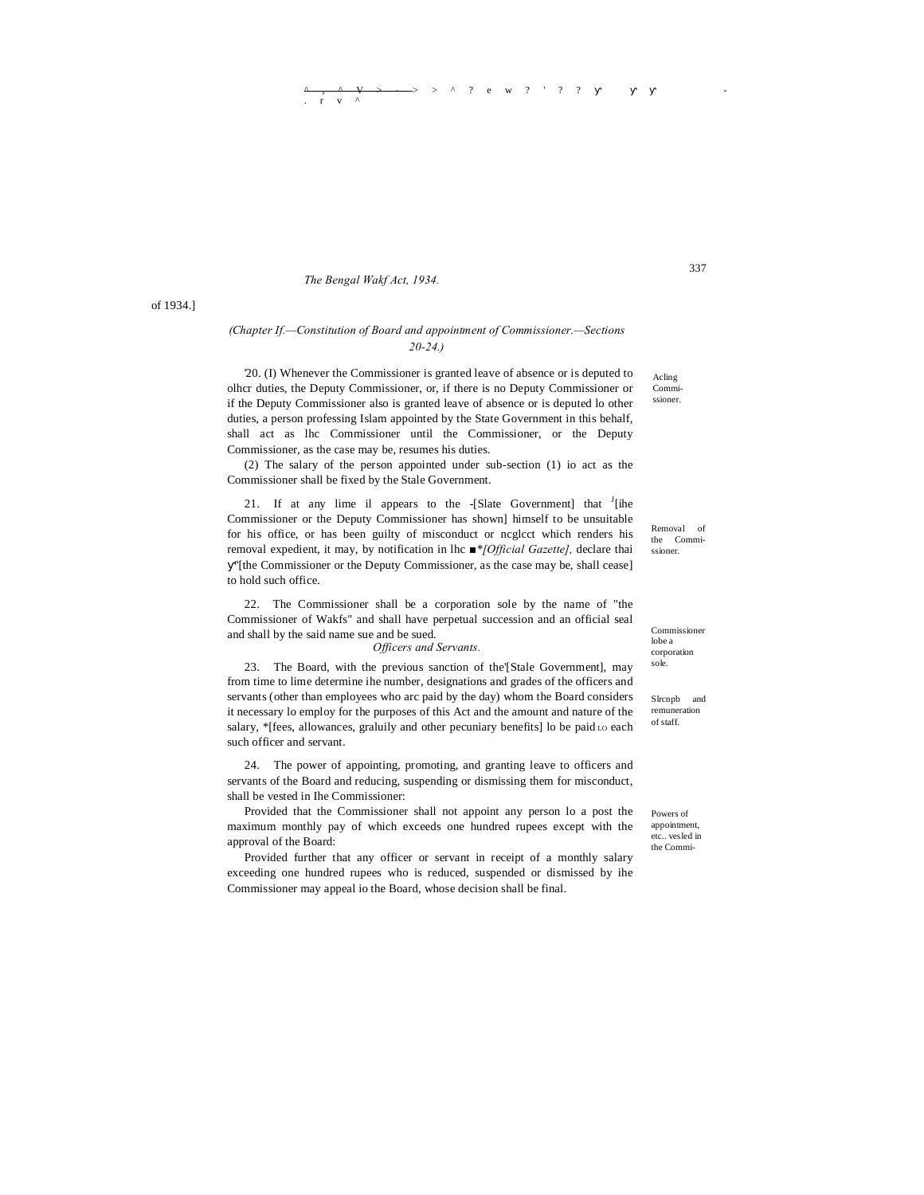# *The Bengal Wakf Act, 1934.*

# *(Chapter If.—Constitution of Board and appointment of Commissioner.—Sections 20-24.)*

'20. (I) Whenever the Commissioner is granted leave of absence or is deputed to olhcr duties, the Deputy Commissioner, or, if there is no Deputy Commissioner or if the Deputy Commissioner also is granted leave of absence or is deputed lo other duties, a person professing Islam appointed by the State Government in this behalf, shall act as lhc Commissioner until the Commissioner, or the Deputy Commissioner, as the case may be, resumes his duties.

(2) The salary of the person appointed under sub-section (1) io act as the Commissioner shall be fixed by the Stale Government.

21. If at any lime il appears to the  $-[State Government]$  that  $[Theorem 1]$ Commissioner or the Deputy Commissioner has shown] himself to be unsuitable for his office, or has been guilty of misconduct or ncglcct which renders his removal expedient, it may, by notification in lhc *■\*[Official Gazette],* declare thai

''[the Commissioner or the Deputy Commissioner, as the case may be, shall cease] to hold such office.

22. The Commissioner shall be a corporation sole by the name of "the Commissioner of Wakfs" and shall have perpetual succession and an official seal and shall by the said name sue and be sued.

*Officers and Servants.*

23. The Board, with the previous sanction of the'[Stale Government], may from time to lime determine ihe number, designations and grades of the officers and servants (other than employees who arc paid by the day) whom the Board considers it necessary lo employ for the purposes of this Act and the amount and nature of the salary, \*[fees, allowances, graluily and other pecuniary benefits] lo be paid Lo each such officer and servant.

24. The power of appointing, promoting, and granting leave to officers and servants of the Board and reducing, suspending or dismissing them for misconduct, shall be vested in Ihe Commissioner:

Provided that the Commissioner shall not appoint any person lo a post the maximum monthly pay of which exceeds one hundred rupees except with the approval of the Board:

Provided further that any officer or servant in receipt of a monthly salary exceeding one hundred rupees who is reduced, suspended or dismissed by ihe Commissioner may appeal io the Board, whose decision shall be final.

Acling Commissioner. 337

Removal of the Commissioner.

Commissioner lobe a corporation sole.

Slrcnpb and remuneration of staff.

Powers of appointment, etc.. vesled in the Commi-

of 1934.]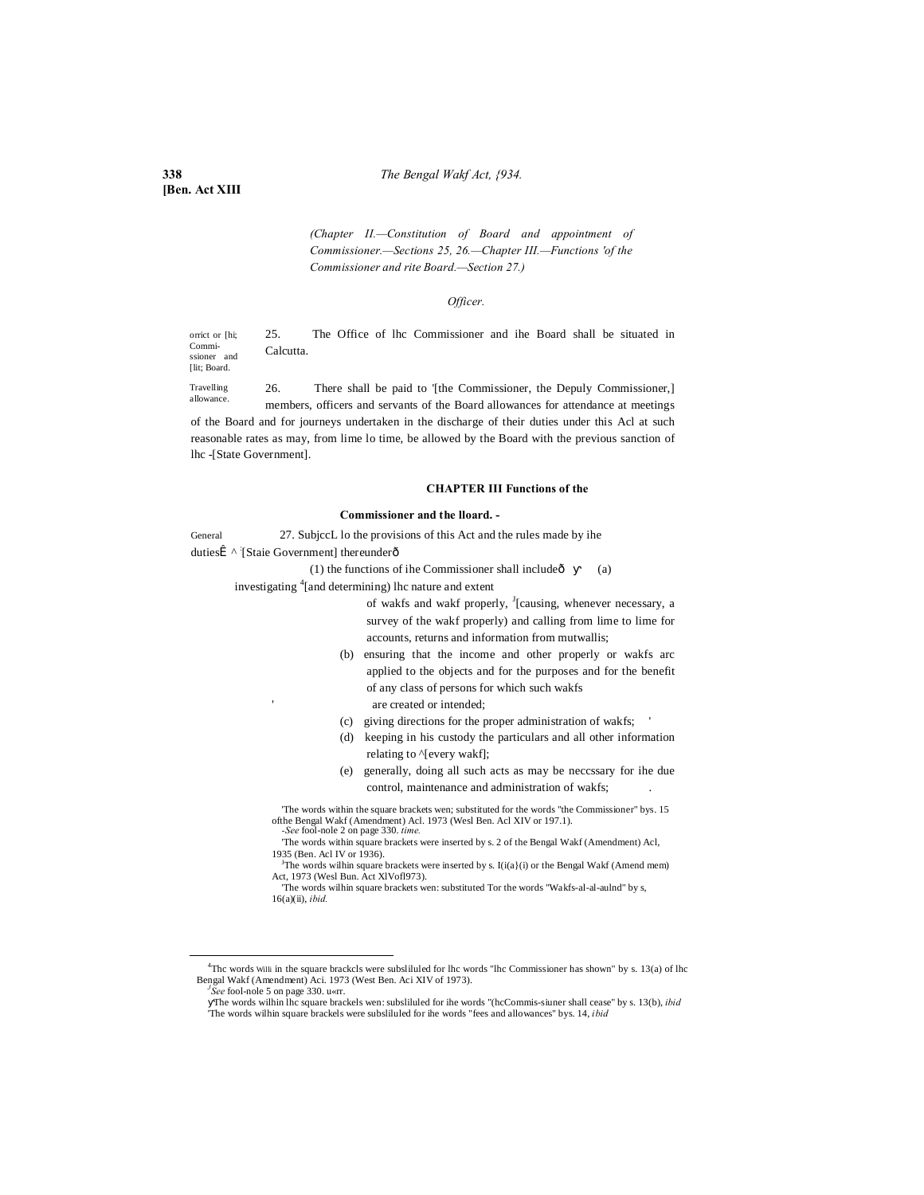**338** *The Bengal Wakf Act, {934.*

**[Ben. Act XIII**

[lit: Board.

*(Chapter II.—Constitution of Board and appointment of Commissioner.—Sections 25, 26.—Chapter III.—Functions 'of the Commissioner and rite Board.—Section 27.)*

#### *Officer.*

orrict or [hi; Commissioner and 25. The Office of lhc Commissioner and ihe Board shall be situated in Calcutta.

Travelling allowance. 26. There shall be paid to '[the Commissioner, the Depuly Commissioner,] members, officers and servants of the Board allowances for attendance at meetings of the Board and for journeys undertaken in the discharge of their duties under this Acl at such reasonable rates as may, from lime lo time, be allowed by the Board with the previous sanction of lhc -[State Government].

### **CHAPTER III Functions of the**

#### **Commissioner and the lloard. -**

General 27. SubjccL lo the provisions of this Act and the rules made by ihe

dutiesÎ ^ [Staie Government] thereunderô

(1) the functions of ihe Commissioner shall include $\hat{\text{o}}$  (a)

investigating <sup>4</sup> [and determining) lhc nature and extent

of wakfs and wakf properly, <sup>J</sup>[causing, whenever necessary, a survey of the wakf properly) and calling from lime to lime for accounts, returns and information from mutwallis;

- (b) ensuring that the income and other properly or wakfs arc applied to the objects and for the purposes and for the benefit of any class of persons for which such wakfs are created or intended;
- (c) giving directions for the proper administration of wakfs; '
- (d) keeping in his custody the particulars and all other information relating to ^[every wakf];
- (e) generally, doing all such acts as may be neccssary for ihe due control, maintenance and administration of wakfs;

'The words within the square brackets wen; substituted for the words "the Commissioner" bys. 15 ofthe Bengal Wakf (Amendment) Acl. 1973 (Wesl Ben. Acl XIV or 197.1). *-See* fool-nole 2 on page 330. *time.*

<sup>J</sup>The words wilhin square brackets were inserted by s.  $I(i(a)(i))$  or the Bengal Wakf (Amend mem) Act, 1973 (Wesl Bun. Act XlVofl973).

'The words wilhin square brackets wen: substituted Tor the words "Wakfs-al-al-aulnd" by s, 16(a)(ii), *ibid.*

<sup>&#</sup>x27;The words within square brackets were inserted by s. 2 of the Bengal Wakf (Amendment) Acl, 1935 (Ben. Acl IV or 1936). <sup>J</sup>

 $\frac{1}{4}$  $4$ Thc words Willi in the square brackcls were subslituted for lhc words "lhc Commissioner has shown" by s. 13(a) of lhc Bengal Wakf (Amendment) Aci. 1973 (West Ben. Aci XIV of 1973).

*See* fool-nole 5 on page 330. u«rr.

The words wilhin lhc square brackels wen: subsliluled for ihe words "(hcCommis-siuner shall cease" by s. 13(b), *ibid* 'The words wilhin square brackels were subsliluled for ihe words "fees and allowances" bys. 14, *ibid*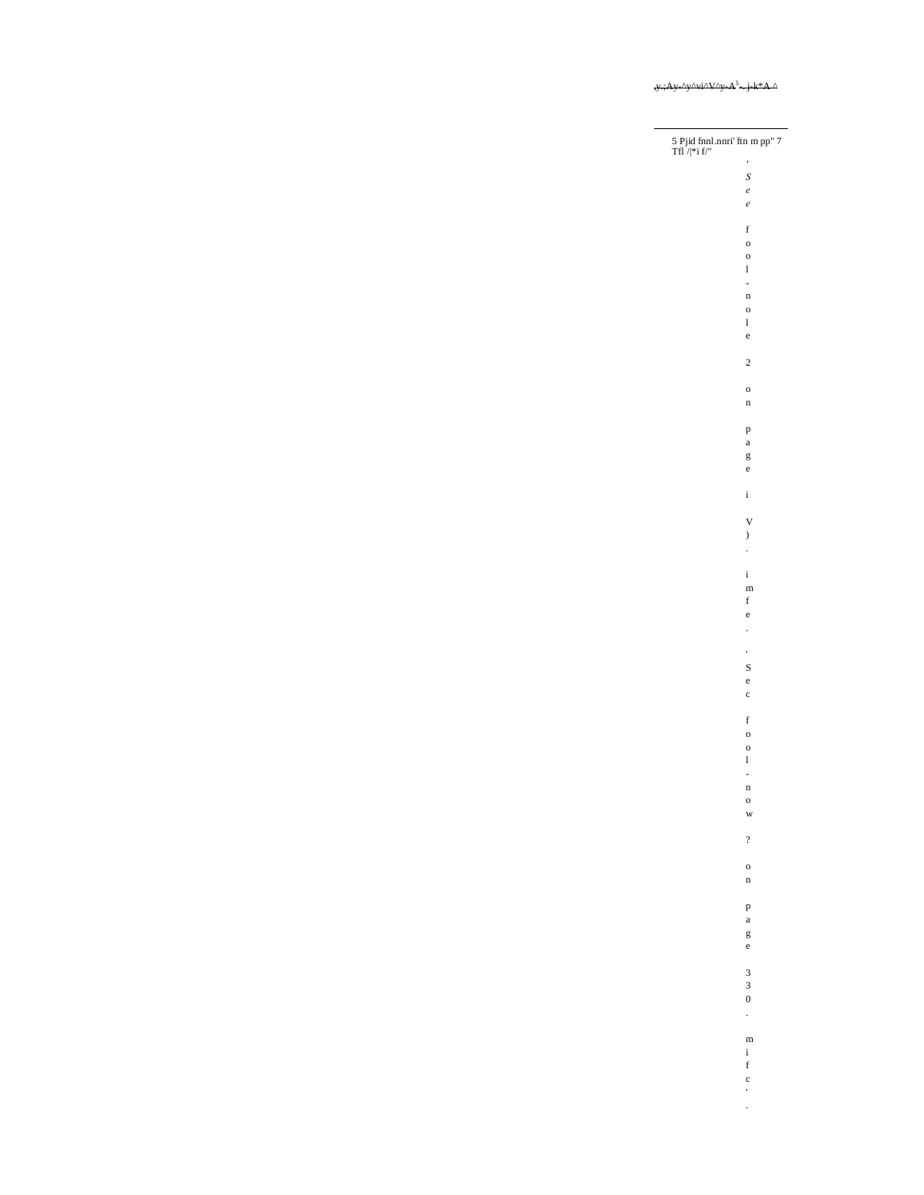| 5 Pjid f<br>nnl.nnri' ftn m pp" 7 Tfl $/ \vert {^*\rm i}$ f/" |                                      |
|---------------------------------------------------------------|--------------------------------------|
|                                                               | $\overline{a}$                       |
|                                                               | S                                    |
|                                                               | $\epsilon$                           |
|                                                               | $\epsilon$                           |
|                                                               | f                                    |
|                                                               | $\mathbf{o}$                         |
|                                                               | $\overline{O}$<br>l                  |
|                                                               | i,                                   |
|                                                               | n                                    |
|                                                               | $\mathbf{o}$                         |
|                                                               | l<br>e                               |
|                                                               |                                      |
|                                                               | $\overline{\mathbf{c}}$              |
|                                                               | $\mathbf{o}$                         |
|                                                               | n                                    |
|                                                               | p<br>a                               |
|                                                               | g                                    |
|                                                               | e                                    |
|                                                               | i                                    |
|                                                               | V                                    |
|                                                               | )                                    |
|                                                               | $\ddot{\phantom{0}}$                 |
|                                                               | i                                    |
|                                                               | m                                    |
|                                                               | f                                    |
|                                                               | e                                    |
|                                                               | $\ddot{\phantom{0}}$                 |
|                                                               | ۰                                    |
|                                                               | S                                    |
|                                                               | e                                    |
|                                                               | $\mathbf c$                          |
|                                                               | f                                    |
|                                                               | $\mathbf{o}$                         |
|                                                               | $\overline{O}$                       |
|                                                               | l                                    |
|                                                               | $\mathbf n$                          |
|                                                               | $\circ$                              |
|                                                               | w                                    |
|                                                               | $\overline{?}$                       |
|                                                               | $\mathbf{o}$                         |
|                                                               | n                                    |
|                                                               | p                                    |
|                                                               | $\mathbf{a}$                         |
|                                                               | g                                    |
|                                                               | e                                    |
|                                                               | $\frac{3}{3}$                        |
|                                                               |                                      |
|                                                               | $\mathbf{0}$<br>$\ddot{\phantom{0}}$ |
|                                                               |                                      |
|                                                               | $\mathbf{m}$<br>i                    |
|                                                               | f                                    |
|                                                               | $\mathbf{c}$                         |
|                                                               | ł.                                   |
|                                                               | $\ddot{\phantom{0}}$                 |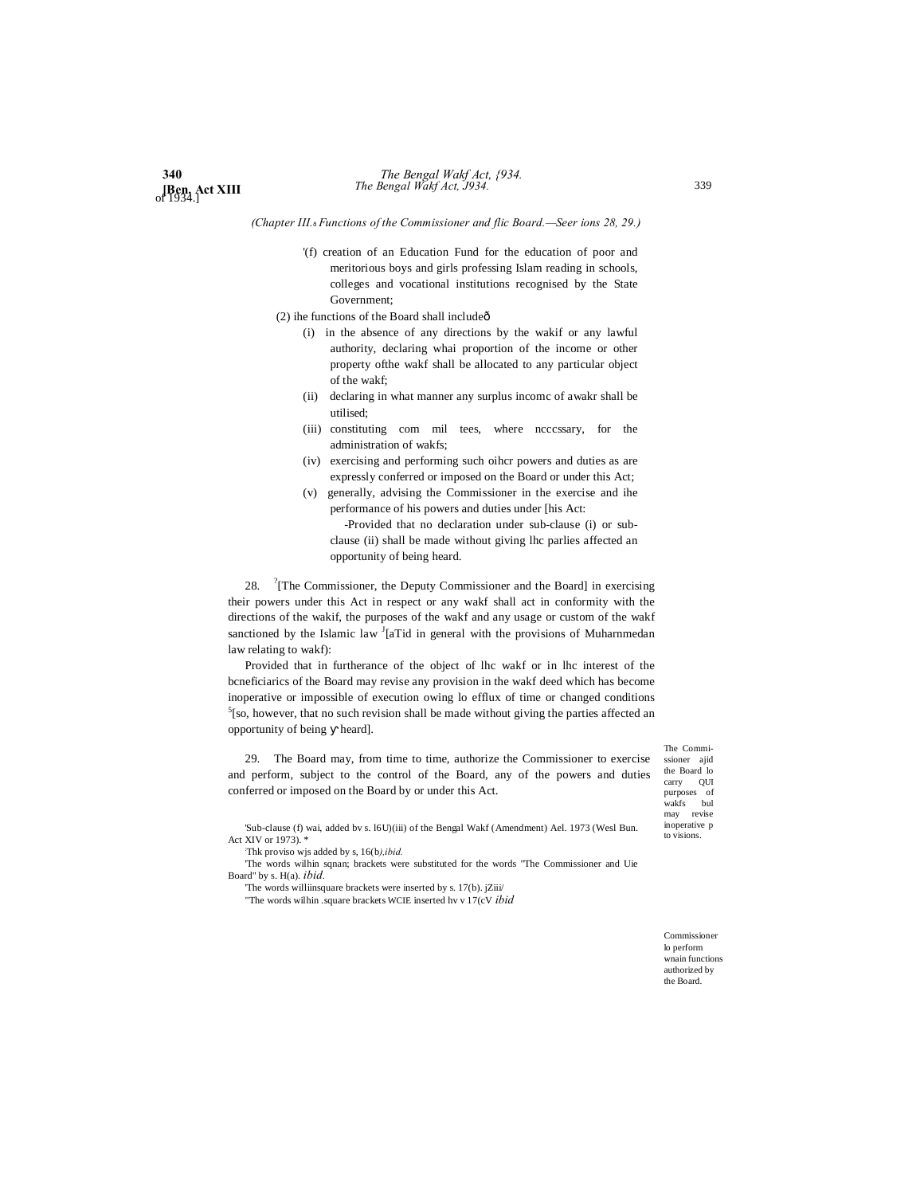*(Chapter III.*—*Functions of the Commissioner and flic Board.—Seer ions 28, 29.)*

'(f) creation of an Education Fund for the education of poor and meritorious boys and girls professing Islam reading in schools, colleges and vocational institutions recognised by the State Government;

 $(2)$  ihe functions of the Board shall include $\hat{0}$ 

- (i) in the absence of any directions by the wakif or any lawful authority, declaring whai proportion of the income or other property ofthe wakf shall be allocated to any particular object of the wakf;
- (ii) declaring in what manner any surplus incomc of awakr shall be utilised;
- (iii) constituting com mil tees, where ncccssary, for the administration of wakfs;
- (iv) exercising and performing such oihcr powers and duties as are expressly conferred or imposed on the Board or under this Act;
- (v) generally, advising the Commissioner in the exercise and ihe performance of his powers and duties under [his Act:

-Provided that no declaration under sub-clause (i) or subclause (ii) shall be made without giving lhc parlies affected an opportunity of being heard.

28. <sup>?</sup> [The Commissioner, the Deputy Commissioner and the Board] in exercising their powers under this Act in respect or any wakf shall act in conformity with the directions of the wakif, the purposes of the wakf and any usage or custom of the wakf sanctioned by the Islamic law <sup>J</sup>[aTid in general with the provisions of Muharnmedan law relating to wakf):

Provided that in furtherance of the object of lhc wakf or in lhc interest of the bcneficiarics of the Board may revise any provision in the wakf deed which has become inoperative or impossible of execution owing lo efflux of time or changed conditions  $5$ [so, however, that no such revision shall be made without giving the parties affected an opportunity of being heard].

29. The Board may, from time to time, authorize the Commissioner to exercise and perform, subject to the control of the Board, any of the powers and duties conferred or imposed on the Board by or under this Act.

'Sub-clause (f) wai, added bv s. l6U)(iii) of the Bengal Wakf (Amendment) Ael. 1973 (Wesl Bun. Act XIV or 1973). \*

: Thk proviso wjs added by s, 16(b*),ibid.*

'The words wilhin sqnan; brackets were substituted for the words "The Commissioner and Uie Board" by s. H(a). *ibid.*

'The words williinsquare brackets were inserted by s. 17(b). jZiii/

"The words wilhin .square brackets WCIE inserted hv v 17(cV *ibid*

The Commissioner ajid the Board lo carry QUI purposes of wakfs bul may revise inoperative p to visions.

Commissioner lo perform wnain functions authorized by the Board.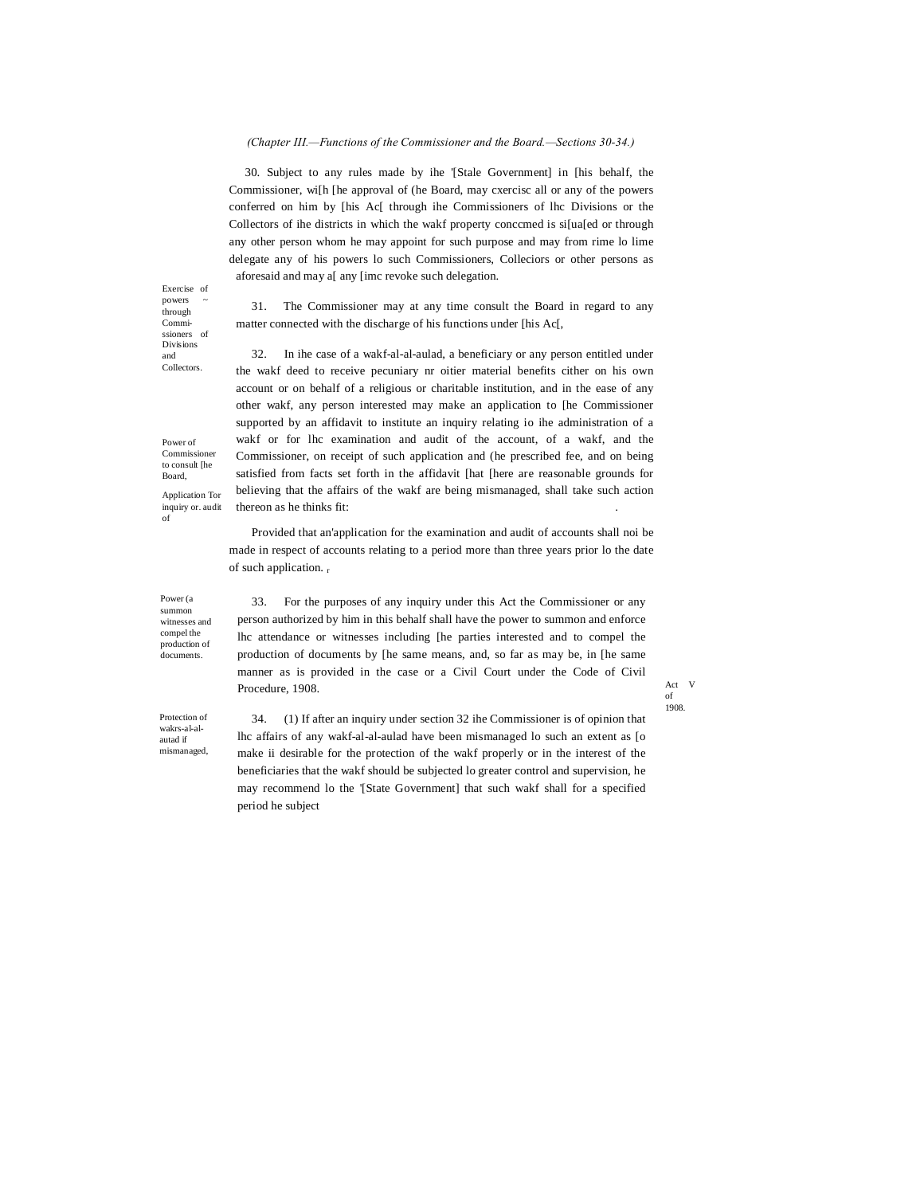#### *(Chapter III.—Functions of the Commissioner and the Board.—Sections 30-34.)*

30. Subject to any rules made by ihe '[Stale Government] in [his behalf, the Commissioner, wi[h [he approval of (he Board, may cxercisc all or any of the powers conferred on him by [his Ac[ through ihe Commissioners of lhc Divisions or the Collectors of ihe districts in which the wakf property conccmed is si[ua[ed or through any other person whom he may appoint for such purpose and may from rime lo lime delegate any of his powers lo such Commissioners, Colleciors or other persons as aforesaid and may a[ any [imc revoke such delegation.

31. The Commissioner may at any time consult the Board in regard to any matter connected with the discharge of his functions under [his Ac[,

32. In ihe case of a wakf-al-al-aulad, a beneficiary or any person entitled under the wakf deed to receive pecuniary nr oitier material benefits cither on his own account or on behalf of a religious or charitable institution, and in the ease of any other wakf, any person interested may make an application to [he Commissioner supported by an affidavit to institute an inquiry relating io ihe administration of a wakf or for lhc examination and audit of the account, of a wakf, and the Commissioner, on receipt of such application and (he prescribed fee, and on being satisfied from facts set forth in the affidavit [hat [here are reasonable grounds for believing that the affairs of the wakf are being mismanaged, shall take such action thereon as he thinks fit: .

Provided that an'application for the examination and audit of accounts shall noi be made in respect of accounts relating to a period more than three years prior lo the date of such application. r

Power (a summon witnesses and compel the production of documents.

33. For the purposes of any inquiry under this Act the Commissioner or any person authorized by him in this behalf shall have the power to summon and enforce lhc attendance or witnesses including [he parties interested and to compel the production of documents by [he same means, and, so far as may be, in [he same manner as is provided in the case or a Civil Court under the Code of Civil Procedure, 1908.

Act V of 1908.

Protection of wakrs-al-alautad if mismanaged,

period he subject

34. (1) If after an inquiry under section 32 ihe Commissioner is of opinion that lhc affairs of any wakf-al-al-aulad have been mismanaged lo such an extent as [o make ii desirable for the protection of the wakf properly or in the interest of the beneficiaries that the wakf should be subjected lo greater control and supervision, he may recommend lo the '[State Government] that such wakf shall for a specified

Exercise of powers through Commissioners of Divisions and Collectors.

Power of Commissioner to consult [he Board,

Application Tor inquiry or. audit of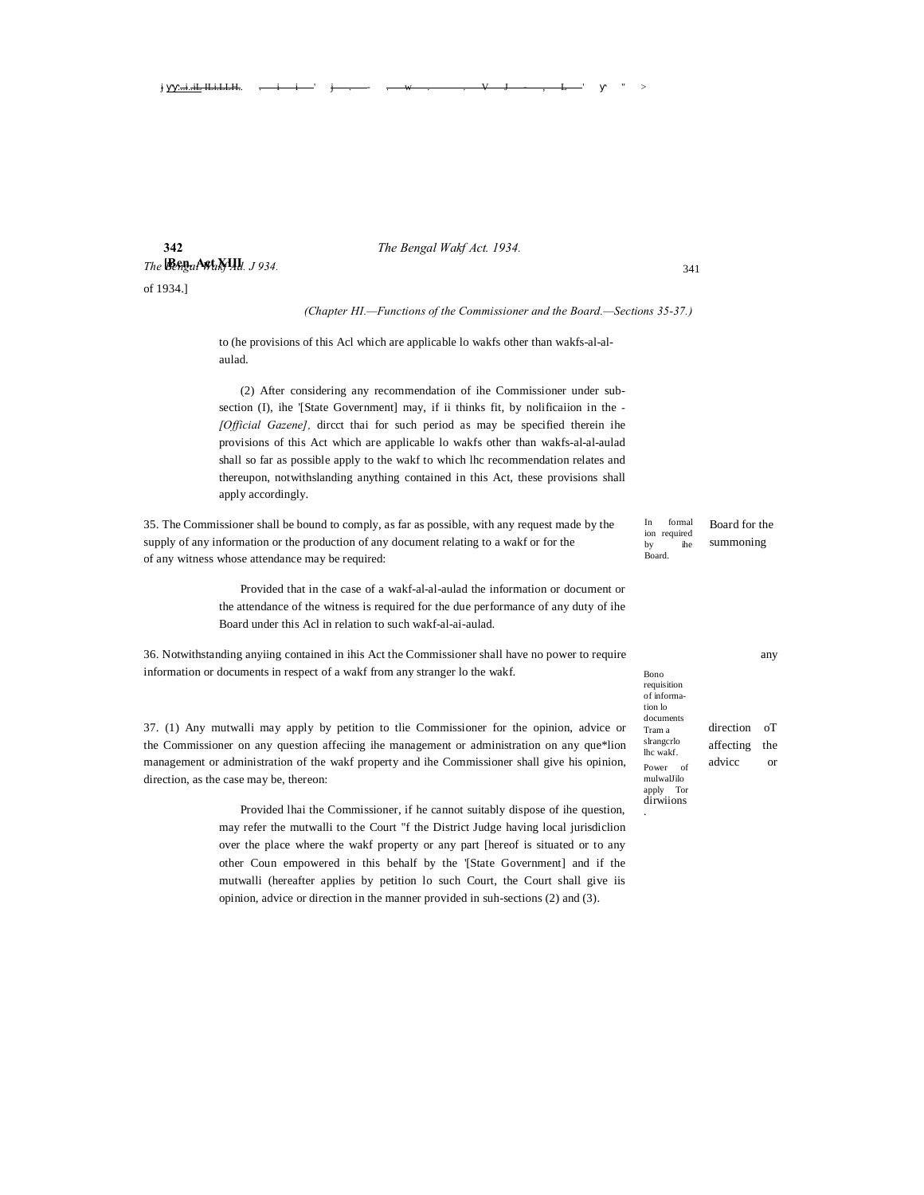# **342** *The Bengal Wakf Act. 1934.*

# *The Bengal Waki XIII. J 934.*  $\frac{341}{2}$

of 1934.]

#### *(Chapter HI.—Functions of the Commissioner and the Board.—Sections 35-37.)*

to (he provisions of this Acl which are applicable lo wakfs other than wakfs-al-alaulad.

j ■■...i..iL ILi.LLH.. . i i ' j . - . w . . V J - , L ' " >

(2) After considering any recommendation of ihe Commissioner under subsection (I), ihe '[State Government] may, if ii thinks fit, by nolificaiion in the *- [Official Gazene],* dircct thai for such period as may be specified therein ihe provisions of this Act which are applicable lo wakfs other than wakfs-al-al-aulad shall so far as possible apply to the wakf to which lhc recommendation relates and thereupon, notwithslanding anything contained in this Act, these provisions shall apply accordingly.

35. The Commissioner shall be bound to comply, as far as possible, with any request made by the <sup>Informal</sup> Board for the supply of any information or the production of any document relating to a wakf or for the summoning summoning of any witness whose attendance may be required:

> Provided that in the case of a wakf-al-al-aulad the information or document or the attendance of the witness is required for the due performance of any duty of ihe Board under this Acl in relation to such wakf-al-ai-aulad.

36. Notwithstanding anyiing contained in ihis Act the Commissioner shall have no power to require any information or documents in respect of a wakf from any stranger lo the wakf.

37. (1) Any mutwalli may apply by petition to tlie Commissioner for the opinion, advice or the Commissioner on any question affeciing ihe management or administration on any que\*lion management or administration of the wakf property and ihe Commissioner shall give his opinion, direction, as the case may be, thereon:

> Provided lhai the Commissioner, if he cannot suitably dispose of ihe question, may refer the mutwalli to the Court "f the District Judge having local jurisdiclion over the place where the wakf property or any part [hereof is situated or to any other Coun empowered in this behalf by the '[State Government] and if the mutwalli (hereafter applies by petition lo such Court, the Court shall give iis opinion, advice or direction in the manner provided in suh-sections (2) and (3).

In formal ion required by ihe Board.

| requisition                                                                     |              |     |
|---------------------------------------------------------------------------------|--------------|-----|
| tion lo                                                                         |              |     |
| Tram a                                                                          | direction oT |     |
| slrangcrlo<br>lhc wakf.                                                         | affecting    | the |
| of informa-<br>documents<br>Power<br>οf<br>mulwalJilo<br>apply Tor<br>dirwiions | advicc       | or  |
|                                                                                 |              |     |
|                                                                                 |              |     |
|                                                                                 |              |     |

Bono

.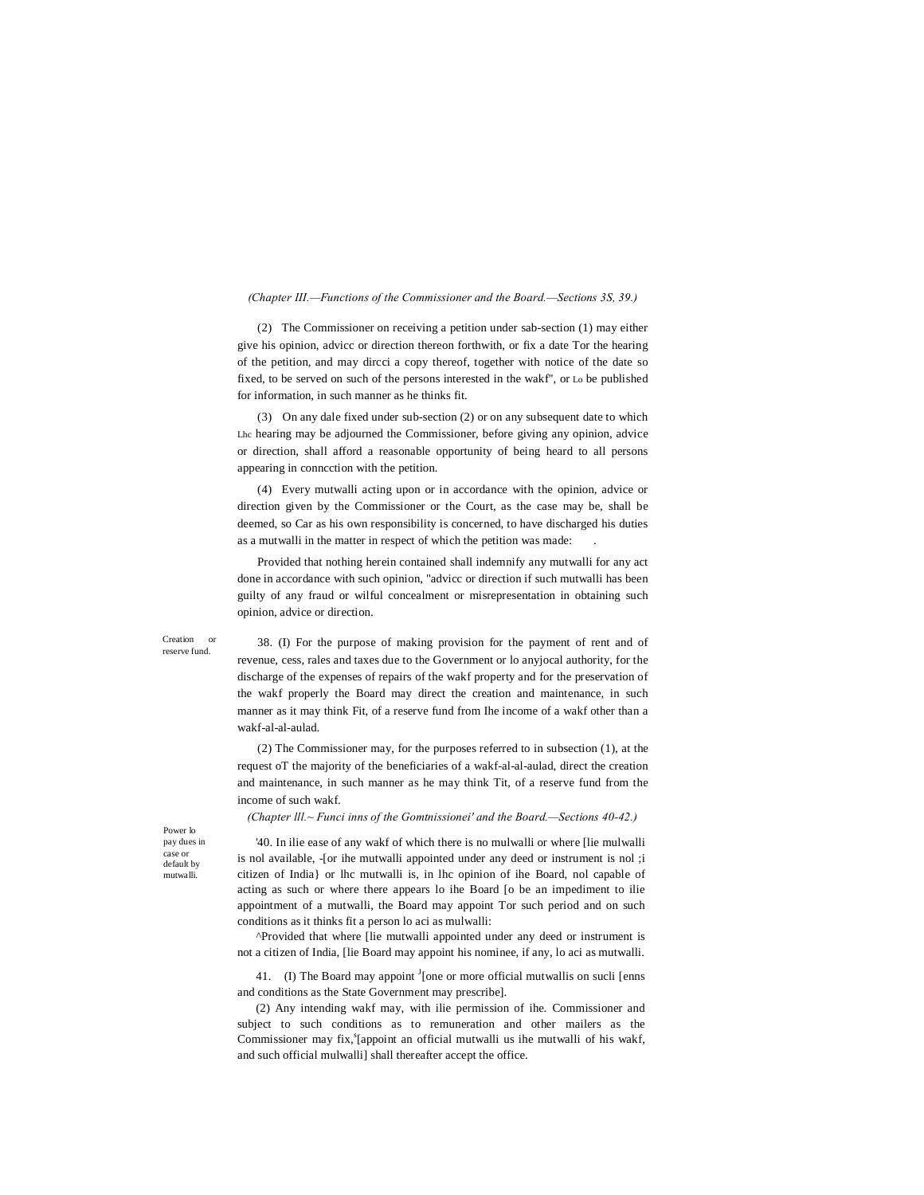#### *(Chapter III.—Functions of the Commissioner and the Board.—Sections 3S, 39.)*

(2) The Commissioner on receiving a petition under sab-section (1) may either give his opinion, advicc or direction thereon forthwith, or fix a date Tor the hearing of the petition, and may dircci a copy thereof, together with notice of the date so fixed, to be served on such of the persons interested in the wakf", or Lo be published for information, in such manner as he thinks fit.

(3) On any dale fixed under sub-section (2) or on any subsequent date to which Lhc hearing may be adjourned the Commissioner, before giving any opinion, advice or direction, shall afford a reasonable opportunity of being heard to all persons appearing in conncction with the petition.

(4) Every mutwalli acting upon or in accordance with the opinion, advice or direction given by the Commissioner or the Court, as the case may be, shall be deemed, so Car as his own responsibility is concerned, to have discharged his duties as a mutwalli in the matter in respect of which the petition was made: .

Provided that nothing herein contained shall indemnify any mutwalli for any act done in accordance with such opinion, "advicc or direction if such mutwalli has been guilty of any fraud or wilful concealment or misrepresentation in obtaining such opinion, advice or direction.

Creation or reserve fund.

38. (I) For the purpose of making provision for the payment of rent and of revenue, cess, rales and taxes due to the Government or lo anyjocal authority, for the discharge of the expenses of repairs of the wakf property and for the preservation of the wakf properly the Board may direct the creation and maintenance, in such manner as it may think Fit, of a reserve fund from Ihe income of a wakf other than a wakf-al-al-aulad.

(2) The Commissioner may, for the purposes referred to in subsection (1), at the request oT the majority of the beneficiaries of a wakf-al-al-aulad, direct the creation and maintenance, in such manner as he may think Tit, of a reserve fund from the income of such wakf.

*(Chapter lll.~ Funci inns of the Gomtnissionei' and the Board.—Sections 40-42.)*

Power lo pay dues in case or default by mutwalli.

'40. In ilie ease of any wakf of which there is no mulwalli or where [lie mulwalli is nol available, -[or ihe mutwalli appointed under any deed or instrument is nol ;i citizen of India} or lhc mutwalli is, in lhc opinion of ihe Board, nol capable of acting as such or where there appears lo ihe Board [o be an impediment to ilie appointment of a mutwalli, the Board may appoint Tor such period and on such conditions as it thinks fit a person lo aci as mulwalli:

^Provided that where [lie mutwalli appointed under any deed or instrument is not a citizen of India, [lie Board may appoint his nominee, if any, lo aci as mutwalli.

41. (I) The Board may appoint <sup>J</sup>[one or more official mutwallis on sucli [enns and conditions as the State Government may prescribe].

(2) Any intending wakf may, with ilie permission of ihe. Commissioner and subject to such conditions as to remuneration and other mailers as the Commissioner may fix, <sup>s</sup>[appoint an official mutwalli us ihe mutwalli of his wakf, and such official mulwalli] shall thereafter accept the office.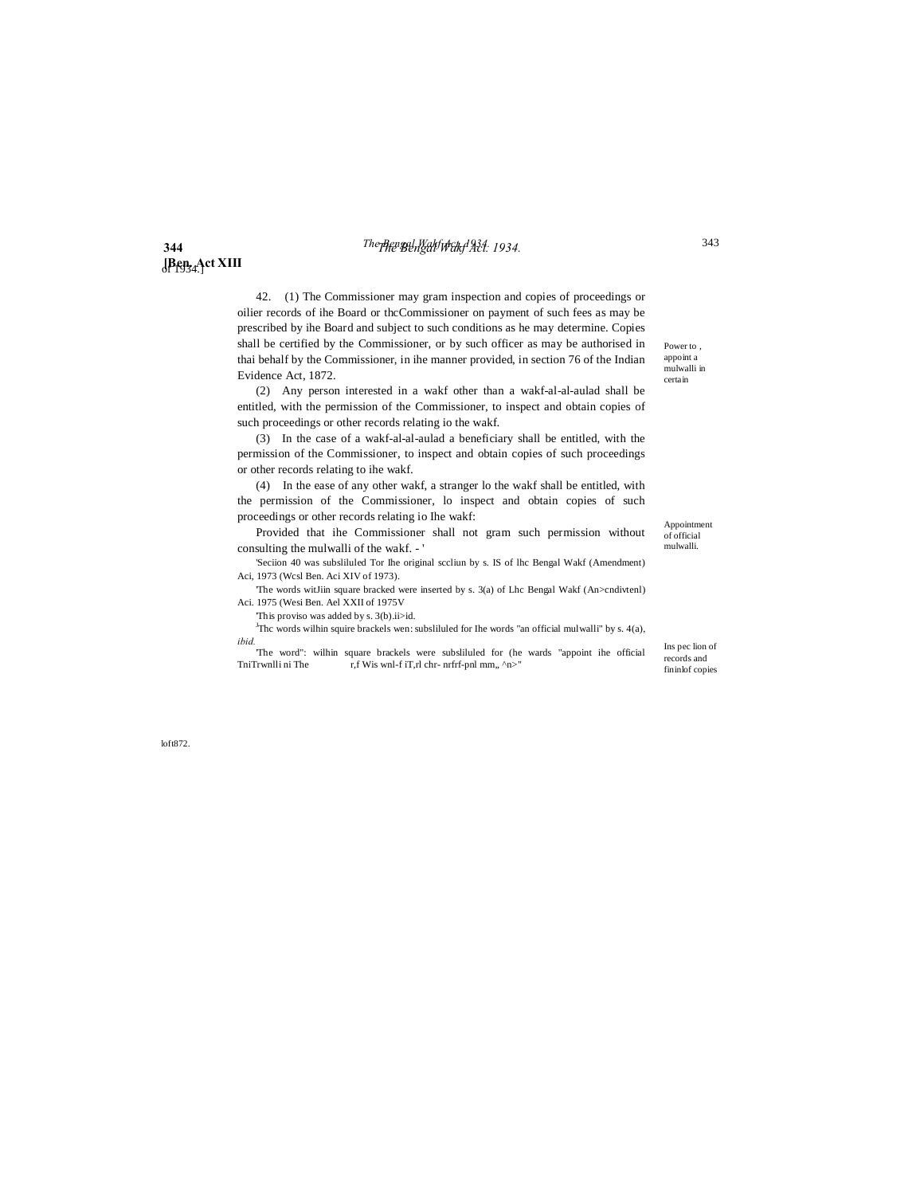# **344** *The Bengal Wakf Act. 1934. The Bengal Wakf Act, 1934.* 343

# **[Ben. Act XIII** of 1934.]

42. (1) The Commissioner may gram inspection and copies of proceedings or oilier records of ihe Board or thcCommissioner on payment of such fees as may be prescribed by ihe Board and subject to such conditions as he may determine. Copies shall be certified by the Commissioner, or by such officer as may be authorised in thai behalf by the Commissioner, in ihe manner provided, in section 76 of the Indian Evidence Act, 1872.

(2) Any person interested in a wakf other than a wakf-al-al-aulad shall be entitled, with the permission of the Commissioner, to inspect and obtain copies of such proceedings or other records relating io the wakf.

(3) In the case of a wakf-al-al-aulad a beneficiary shall be entitled, with the permission of the Commissioner, to inspect and obtain copies of such proceedings or other records relating to ihe wakf.

(4) In the ease of any other wakf, a stranger lo the wakf shall be entitled, with the permission of the Commissioner, lo inspect and obtain copies of such proceedings or other records relating io Ihe wakf:

Provided that ihe Commissioner shall not gram such permission without consulting the mulwalli of the wakf. - '

'Seciion 40 was subsliluled Tor Ihe original sccliun by s. IS of lhc Bengal Wakf (Amendment) Aci, 1973 (Wcsl Ben. Aci XIV of 1973).

'The words witJiin square bracked were inserted by s. 3(a) of Lhc Bengal Wakf (An>cndivtenl) Aci. 1975 (Wesi Ben. Ael XXII of 1975V

'This proviso was added by s. 3(b).ii>id.

The words wilhin squire brackels wen: subsliluled for Ihe words "an official mulwalli" by s.  $4(a)$ , *ibid.*

The word": wilhin square brackels were subsliluled for (he wards "appoint ihe official TniTrwnlli ni The  $r, f$  Wis wnl-f iT, rl chr- nrfrf-pnl mm, ^n>" r,f Wis wnl-f iT,rl chr- nrfrf-pnl mm,, ^n>"

Ins pec lion of records and fininlof copies

Appointment of official mulwalli.

Power to , appoint a mulwalli in certain

loft872.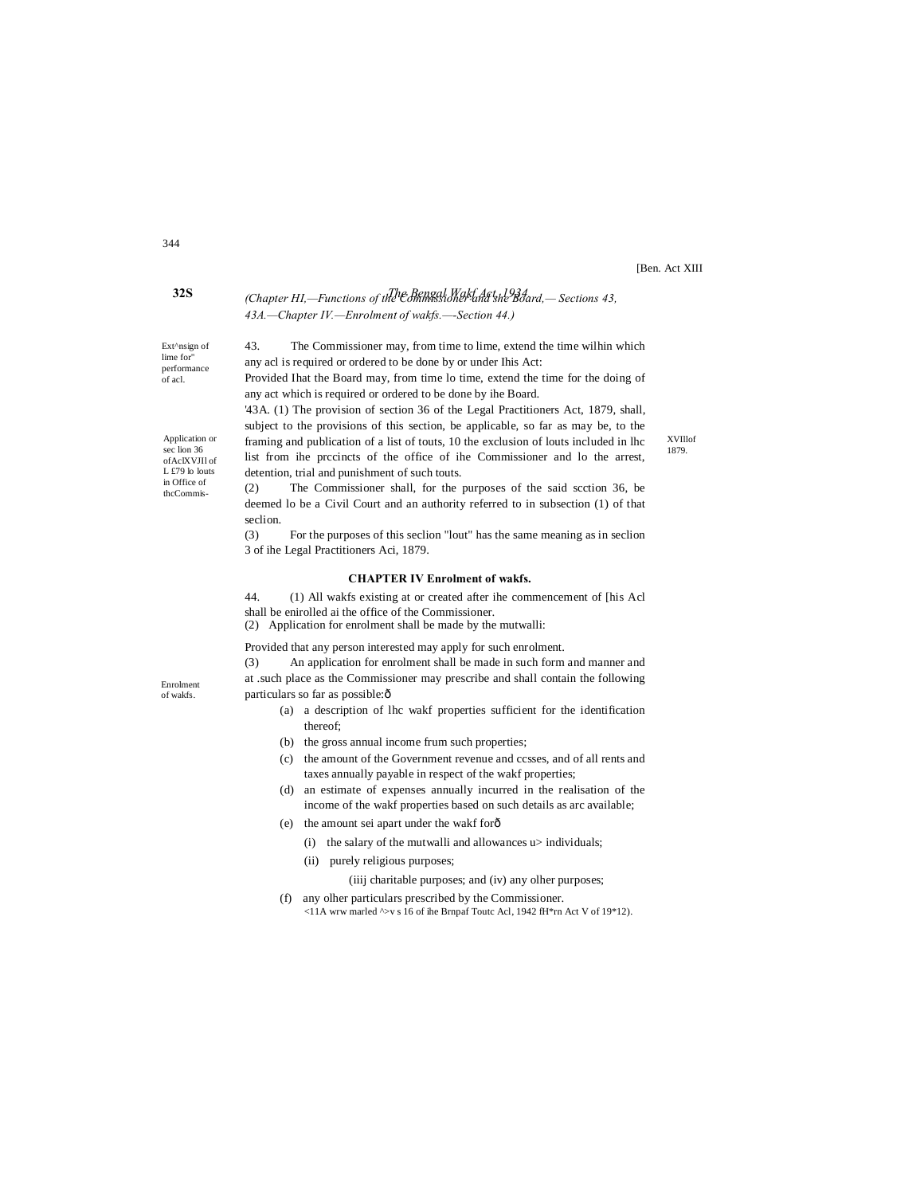[Ben. Act XIII

XVIllof 1879.

# **32S** *The Bengal Wakf Act, 1934. (Chapter HI,—Functions of the Commissioner and she Board,— Sections 43, 43A.—Chapter IV.—Enrolment of wakfs.—-Section 44.)*

any acl is required or ordered to be done by or under Ihis Act:

any act which is required or ordered to be done by ihe Board.

detention, trial and punishment of such touts.

43. The Commissioner may, from time to lime, extend the time wilhin which

Provided Ihat the Board may, from time lo time, extend the time for the doing of

'43A. (1) The provision of section 36 of the Legal Practitioners Act, 1879, shall, subject to the provisions of this section, be applicable, so far as may be, to the framing and publication of a list of touts, 10 the exclusion of louts included in lhc list from ihe prccincts of the office of ihe Commissioner and lo the arrest,

Ext^nsign of lime for" performance of acl.

Application or sec lion 36 ofAclXVJIl of L £79 lo louts in Office of thcCommis-

(2) The Commissioner shall, for the purposes of the said scction 36, be deemed lo be a Civil Court and an authority referred to in subsection (1) of that seclion.

(3) For the purposes of this seclion "lout" has the same meaning as in seclion 3 of ihe Legal Practitioners Aci, 1879.

#### **CHAPTER IV Enrolment of wakfs.**

44. (1) All wakfs existing at or created after ihe commencement of [his Acl shall be enirolled ai the office of the Commissioner.

(2) Application for enrolment shall be made by the mutwalli:

Provided that any person interested may apply for such enrolment.

(3) An application for enrolment shall be made in such form and manner and at .such place as the Commissioner may prescribe and shall contain the following particulars so far as possible: $\hat{o}$ 

- (a) a description of lhc wakf properties sufficient for the identification thereof;
- (b) the gross annual income frum such properties;
- (c) the amount of the Government revenue and ccsses, and of all rents and taxes annually payable in respect of the wakf properties;
- (d) an estimate of expenses annually incurred in the realisation of the income of the wakf properties based on such details as arc available;
- (e) the amount sei apart under the wakf for—
	- (i) the salary of the mutwalli and allowances u> individuals;
	- (ii) purely religious purposes;

(iiij charitable purposes; and (iv) any olher purposes;

(f) any olher particulars prescribed by the Commissioner. <11A wrw marled ^>v s 16 of ihe Brnpaf Toutc Acl, 1942 fH\*rn Act V of 19\*12).

344

Enrolment of wakfs.

- 
-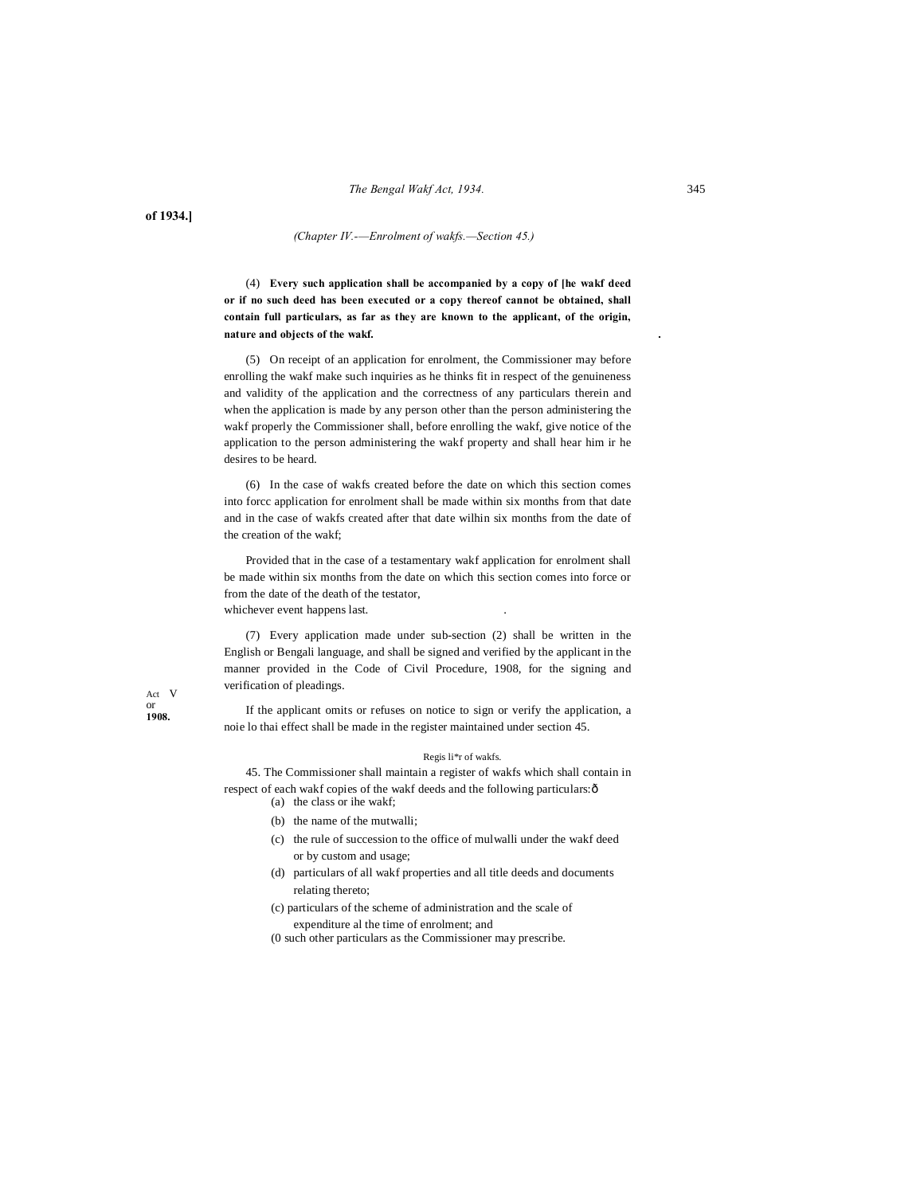**of 1934.]**

#### *(Chapter IV.-—Enrolment of wakfs.—Section 45.)*

(4) **Every such application shall be accompanied by a copy of [he wakf deed or if no such deed has been executed or a copy thereof cannot be obtained, shall contain full particulars, as far as they are known to the applicant, of the origin, nature and objects of the wakf. .**

(5) On receipt of an application for enrolment, the Commissioner may before enrolling the wakf make such inquiries as he thinks fit in respect of the genuineness and validity of the application and the correctness of any particulars therein and when the application is made by any person other than the person administering the wakf properly the Commissioner shall, before enrolling the wakf, give notice of the application to the person administering the wakf property and shall hear him ir he desires to be heard.

(6) In the case of wakfs created before the date on which this section comes into forcc application for enrolment shall be made within six months from that date and in the case of wakfs created after that date wilhin six months from the date of the creation of the wakf;

Provided that in the case of a testamentary wakf application for enrolment shall be made within six months from the date on which this section comes into force or from the date of the death of the testator, whichever event happens last.

(7) Every application made under sub-section (2) shall be written in the English or Bengali language, and shall be signed and verified by the applicant in the manner provided in the Code of Civil Procedure, 1908, for the signing and verification of pleadings.

Act V or **1908.**

If the applicant omits or refuses on notice to sign or verify the application, a noie lo thai effect shall be made in the register maintained under section 45.

#### Regis li\*r of wakfs.

45. The Commissioner shall maintain a register of wakfs which shall contain in respect of each wakf copies of the wakf deeds and the following particulars: ô (a) the class or ihe wakf;

- 
- (b) the name of the mutwalli;
- (c) the rule of succession to the office of mulwalli under the wakf deed or by custom and usage;
- (d) particulars of all wakf properties and all title deeds and documents relating thereto;
- (c) particulars of the scheme of administration and the scale of

expenditure al the time of enrolment; and

(0 such other particulars as the Commissioner may prescribe.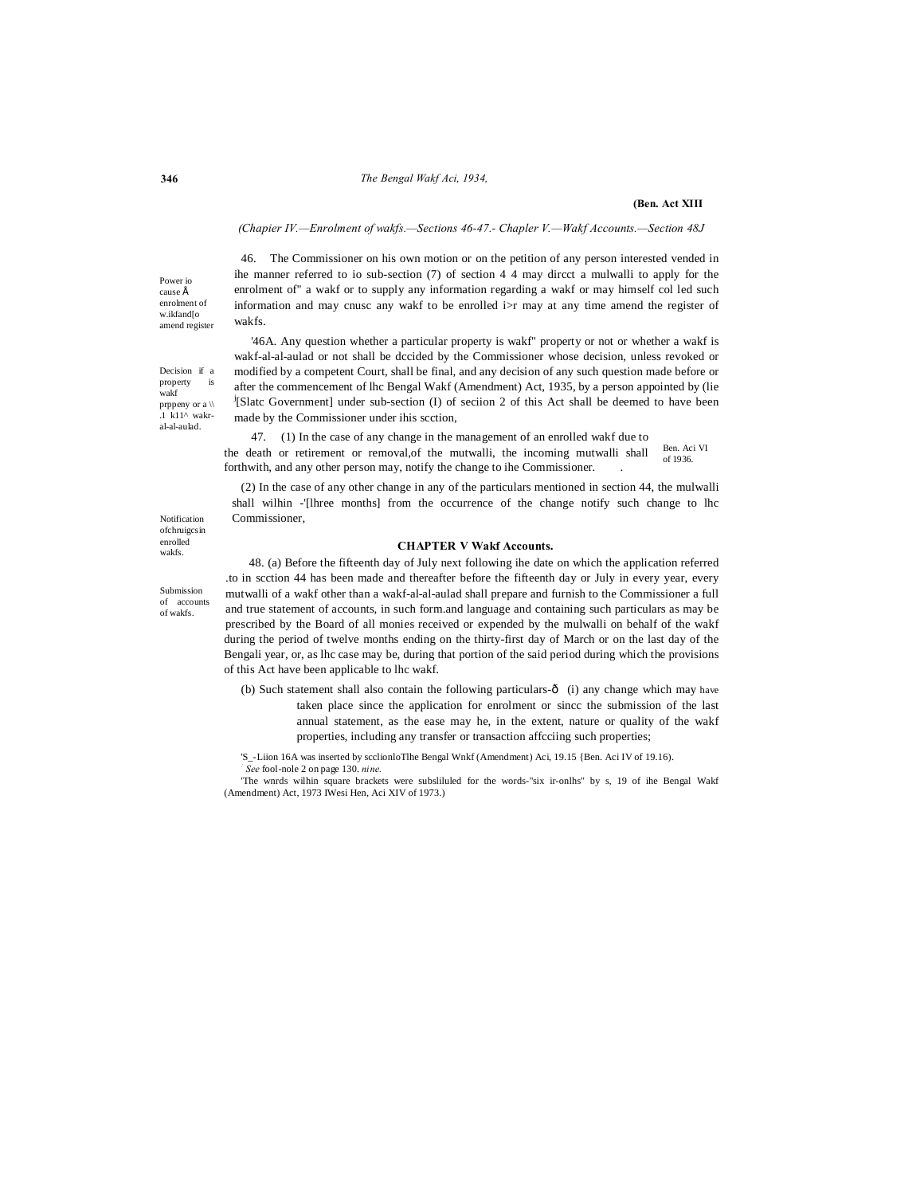#### **346** *The Bengal Wakf Aci, 1934,*

#### **(Ben. Act XIII**

#### *(Chapier IV.—Enrolment of wakfs.—Sections 46-47.- Chapler V.—Wakf Accounts.—Section 48J*

46. The Commissioner on his own motion or on the petition of any person interested vended in ihe manner referred to io sub-section (7) of section 4 4 may dircct a mulwalli to apply for the enrolment of" a wakf or to supply any information regarding a wakf or may himself col led such information and may cnusc any wakf to be enrolled i>r may at any time amend the register of wakfs.

'46A. Any question whether a particular property is wakf" property or not or whether a wakf is wakf-al-al-aulad or not shall be dccided by the Commissioner whose decision, unless revoked or modified by a competent Court, shall be final, and any decision of any such question made before or after the commencement of lhc Bengal Wakf (Amendment) Act, 1935, by a person appointed by (lie j [Slatc Government] under sub-section (I) of seciion 2 of this Act shall be deemed to have been made by the Commissioner under ihis scction,

Ben. Aci VI of 1936. 47. (1) In the case of any change in the management of an enrolled wakf due to the death or retirement or removal,of the mutwalli, the incoming mutwalli shall forthwith, and any other person may, notify the change to ihe Commissioner. .

(2) In the case of any other change in any of the particulars mentioned in section 44, the mulwalli shall wilhin -'[lhree months] from the occurrence of the change notify such change to lhc Commissioner,

# **CHAPTER V Wakf Accounts.**

48. (a) Before the fifteenth day of July next following ihe date on which the application referred .to in scction 44 has been made and thereafter before the fifteenth day or July in every year, every mutwalli of a wakf other than a wakf-al-al-aulad shall prepare and furnish to the Commissioner a full and true statement of accounts, in such form.and language and containing such particulars as may be prescribed by the Board of all monies received or expended by the mulwalli on behalf of the wakf during the period of twelve months ending on the thirty-first day of March or on the last day of the Bengali year, or, as lhc case may be, during that portion of the said period during which the provisions of this Act have been applicable to lhc wakf.

- (b) Such statement shall also contain the following particulars- $\hat{o}$  (i) any change which may have taken place since the application for enrolment or sincc the submission of the last annual statement, as the ease may he, in the extent, nature or quality of the wakf properties, including any transfer or transaction affcciing such properties;
- 'S\_-Liion 16A was inserted by scclionloTlhe Bengal Wnkf (Amendment) Aci, 19.15 {Ben. Aci IV of 19.16). *: See* fool-nole 2 on page 130. *nine.*

'The wnrds wilhin square brackets were subsliluled for the words-"six ir-onlhs" by s, 19 of ihe Bengal Wakf (Amendment) Act, 1973 IWesi Hen, Aci XIV of 1973.)

 $cause \triangle$ enrolment of w.ikfand[o amend register

Power io

Decision if a property is wakf prppeny or a \\ .1 k11^ wakral-al-aulad.

Notification ofchruigcsin enrolled wakfs.

Submission of accounts of wakfs.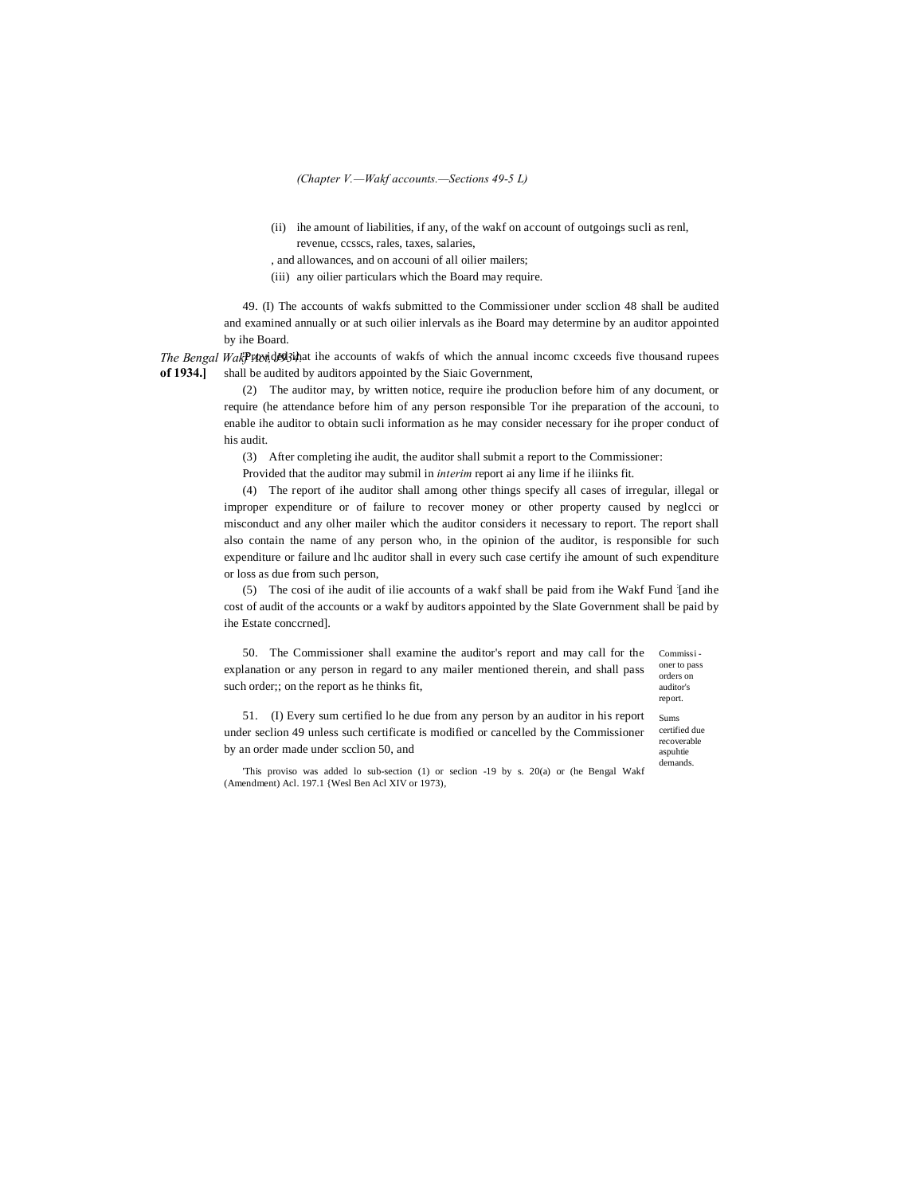*(Chapter V.—Wakf accounts.—Sections 49-5 L)*

- (ii) ihe amount of liabilities, if any, of the wakf on account of outgoings sucli as renl, revenue, ccsscs, rales, taxes, salaries,
- , and allowances, and on accouni of all oilier mailers;
- (iii) any oilier particulars which the Board may require.

49. (I) The accounts of wakfs submitted to the Commissioner under scclion 48 shall be audited and examined annually or at such oilier inlervals as ihe Board may determine by an auditor appointed by ihe Board.

The Bengal WakPrtondB3inat ihe accounts of wakfs of which the annual incomc cxceeds five thousand rupees **of 1934.]** shall be audited by auditors appointed by the Siaic Government,

> (2) The auditor may, by written notice, require ihe produclion before him of any document, or require (he attendance before him of any person responsible Tor ihe preparation of the accouni, to enable ihe auditor to obtain sucli information as he may consider necessary for ihe proper conduct of his audit.

(3) After completing ihe audit, the auditor shall submit a report to the Commissioner:

Provided that the auditor may submil in *interim* report ai any lime if he iliinks fit.

(4) The report of ihe auditor shall among other things specify all cases of irregular, illegal or improper expenditure or of failure to recover money or other property caused by neglcci or misconduct and any olher mailer which the auditor considers it necessary to report. The report shall also contain the name of any person who, in the opinion of the auditor, is responsible for such expenditure or failure and lhc auditor shall in every such case certify ihe amount of such expenditure or loss as due from such person,

(5) The cosi of ihe audit of ilie accounts of a wakf shall be paid from ihe Wakf Fund : [and ihe cost of audit of the accounts or a wakf by auditors appointed by the Slate Government shall be paid by ihe Estate conccrned].

Commissi - 50. The Commissioner shall examine the auditor's report and may call for the explanation or any person in regard to any mailer mentioned therein, and shall pass such order;; on the report as he thinks fit,

oner to pass orders on auditor's report. Sums

51. (I) Every sum certified lo he due from any person by an auditor in his report under seclion 49 unless such certificate is modified or cancelled by the Commissioner by an order made under scclion 50, and

certified due recoverable aspuhtie demands.

'This proviso was added lo sub-section (1) or seclion -19 by s. 20(a) or (he Bengal Wakf (Amendment) Acl. 197.1 {Wesl Ben Acl XIV or 1973),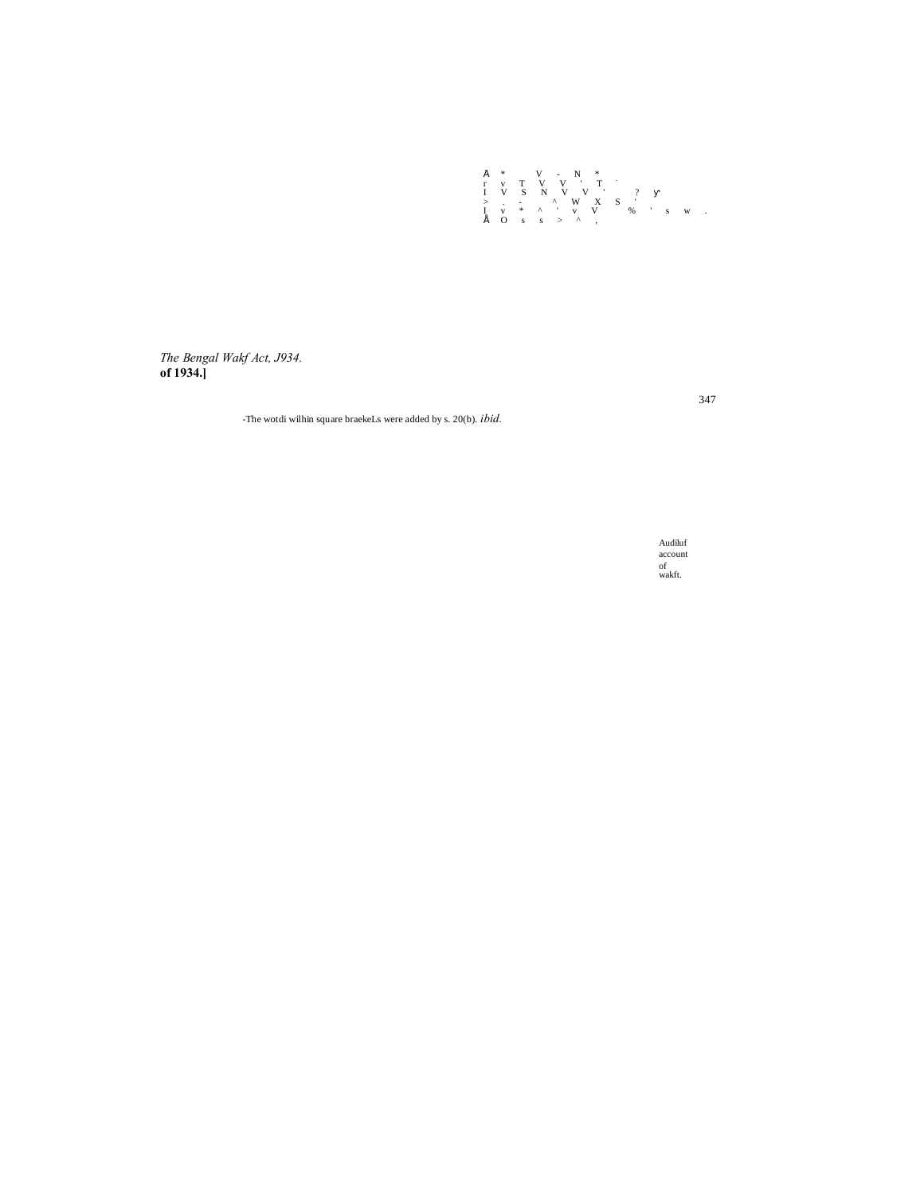

*The Bengal Wakf Act, J934.* **of 1934.]**

-The wotdi wilhin square braekeLs were added by s. 20(b). *ibid.*

Audiluf account of wakft.

347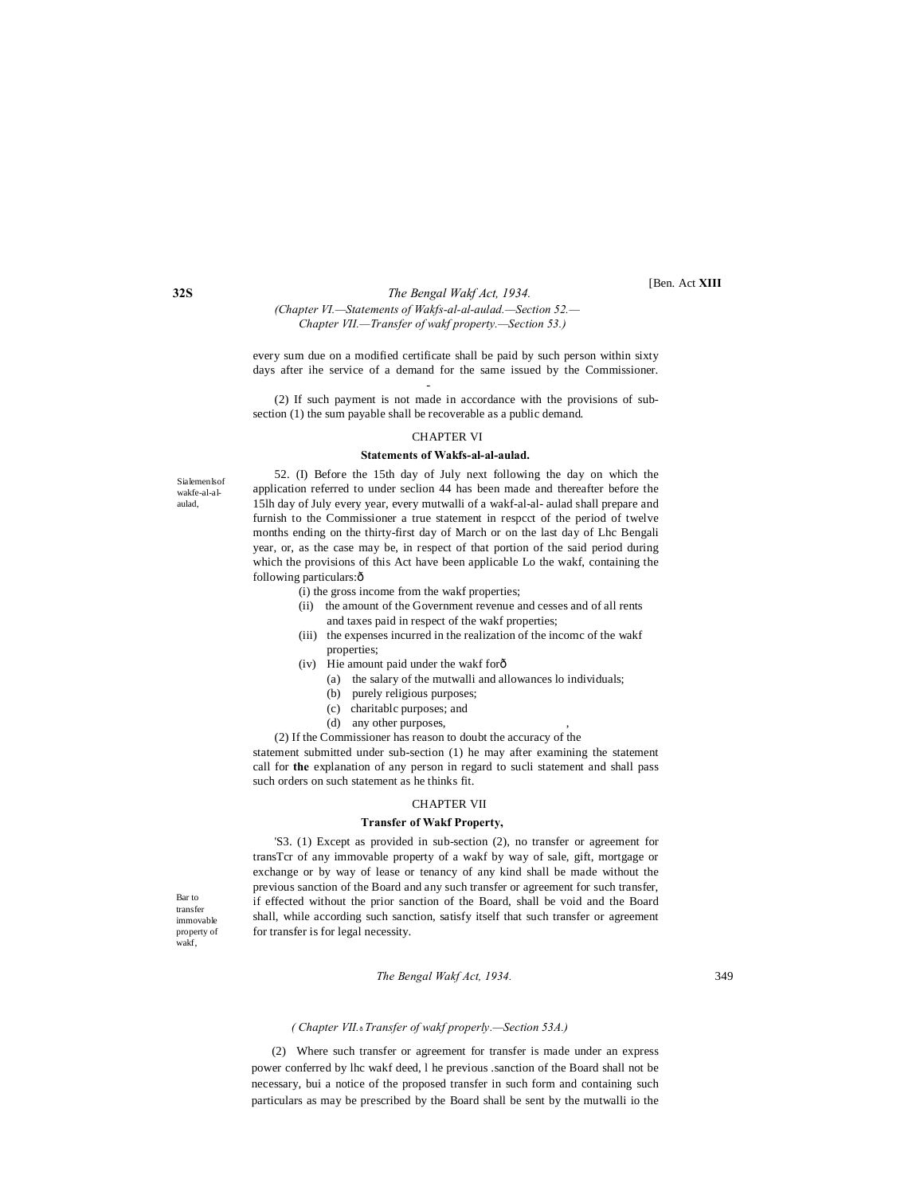[Ben. Act **XIII**

# **32S** *The Bengal Wakf Act, 1934. (Chapter VI.—Statements of Wakfs-al-al-aulad.—Section 52.— Chapter VII.—Transfer of wakf property.—Section 53.)*

-

every sum due on a modified certificate shall be paid by such person within sixty days after ihe service of a demand for the same issued by the Commissioner.

(2) If such payment is not made in accordance with the provisions of subsection (1) the sum payable shall be recoverable as a public demand.

#### CHAPTER VI

### **Statements of Wakfs-al-al-aulad.**

Sialemenlsof wakfe-al-alaulad,

52. (I) Before the 15th day of July next following the day on which the application referred to under seclion 44 has been made and thereafter before the 15lh day of July every year, every mutwalli of a wakf-al-al- aulad shall prepare and furnish to the Commissioner a true statement in respcct of the period of twelve months ending on the thirty-first day of March or on the last day of Lhc Bengali year, or, as the case may be, in respect of that portion of the said period during which the provisions of this Act have been applicable Lo the wakf, containing the following particulars: ô

- (i) the gross income from the wakf properties;
	- (ii) the amount of the Government revenue and cesses and of all rents and taxes paid in respect of the wakf properties;
	- (iii) the expenses incurred in the realization of the incomc of the wakf properties;
	- (iv) Hie amount paid under the wakf for—
		- (a) the salary of the mutwalli and allowances lo individuals;
		- (b) purely religious purposes;
		- (c) charitablc purposes; and
		- (d) any other purposes,
- (2) If the Commissioner has reason to doubt the accuracy of the

statement submitted under sub-section (1) he may after examining the statement call for **the** explanation of any person in regard to sucli statement and shall pass such orders on such statement as he thinks fit.

#### CHAPTER VII

#### **Transfer of Wakf Property,**

'S3. (1) Except as provided in sub-section (2), no transfer or agreement for transTcr of any immovable property of a wakf by way of sale, gift, mortgage or exchange or by way of lease or tenancy of any kind shall be made without the previous sanction of the Board and any such transfer or agreement for such transfer, if effected without the prior sanction of the Board, shall be void and the Board shall, while according such sanction, satisfy itself that such transfer or agreement for transfer is for legal necessity.

Bar to transfer immovable property of wakf,

#### *The Bengal Wakf Act, 1934.* 349

#### *( Chapter VII.*—*Transfer of wakf properly.—Section 53A.)*

(2) Where such transfer or agreement for transfer is made under an express power conferred by lhc wakf deed, l he previous .sanction of the Board shall not be necessary, bui a notice of the proposed transfer in such form and containing such particulars as may be prescribed by the Board shall be sent by the mutwalli io the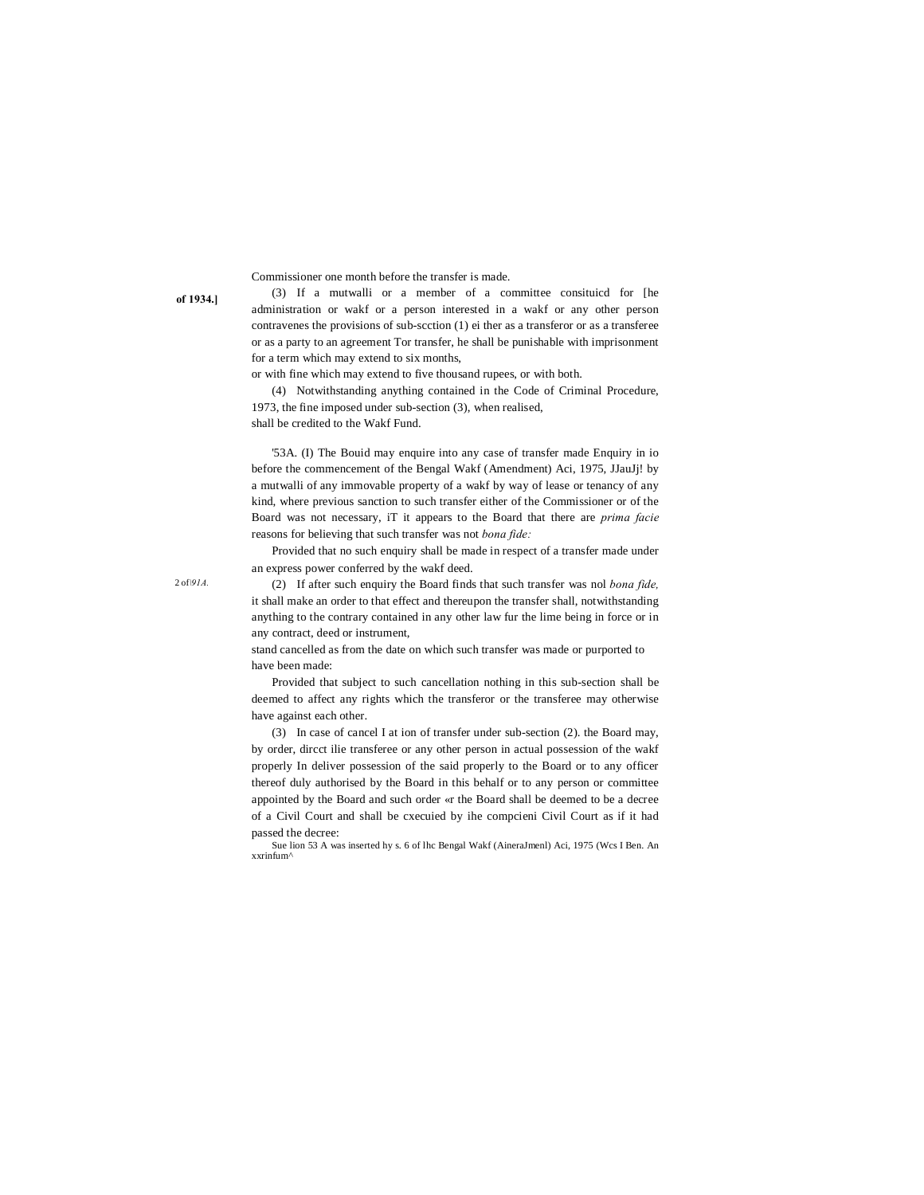Commissioner one month before the transfer is made.

**of 1934.]**

(3) If a mutwalli or a member of a committee consituicd for [he administration or wakf or a person interested in a wakf or any other person contravenes the provisions of sub-scction (1) ei ther as a transferor or as a transferee or as a party to an agreement Tor transfer, he shall be punishable with imprisonment for a term which may extend to six months,

or with fine which may extend to five thousand rupees, or with both.

(4) Notwithstanding anything contained in the Code of Criminal Procedure, 1973, the fine imposed under sub-section (3), when realised,

shall be credited to the Wakf Fund.

'53A. (I) The Bouid may enquire into any case of transfer made Enquiry in io before the commencement of the Bengal Wakf (Amendment) Aci, 1975, JJauJj! by a mutwalli of any immovable property of a wakf by way of lease or tenancy of any kind, where previous sanction to such transfer either of the Commissioner or of the Board was not necessary, iT it appears to the Board that there are *prima facie* reasons for believing that such transfer was not *bona fide:*

Provided that no such enquiry shall be made in respect of a transfer made under an express power conferred by the wakf deed.

(2) If after such enquiry the Board finds that such transfer was nol *bona fide,* it shall make an order to that effect and thereupon the transfer shall, notwithstanding anything to the contrary contained in any other law fur the lime being in force or in any contract, deed or instrument,

stand cancelled as from the date on which such transfer was made or purported to have been made:

Provided that subject to such cancellation nothing in this sub-section shall be deemed to affect any rights which the transferor or the transferee may otherwise have against each other.

(3) In case of cancel I at ion of transfer under sub-section (2). the Board may, by order, dircct ilie transferee or any other person in actual possession of the wakf properly In deliver possession of the said properly to the Board or to any officer thereof duly authorised by the Board in this behalf or to any person or committee appointed by the Board and such order «r the Board shall be deemed to be a decree of a Civil Court and shall be cxecuied by ihe compcieni Civil Court as if it had passed the decree:

Sue lion 53 A was inserted hy s. 6 of lhc Bengal Wakf (AineraJmenl) Aci, 1975 (Wcs I Ben. An xxrinfum^

2 of*\91A.*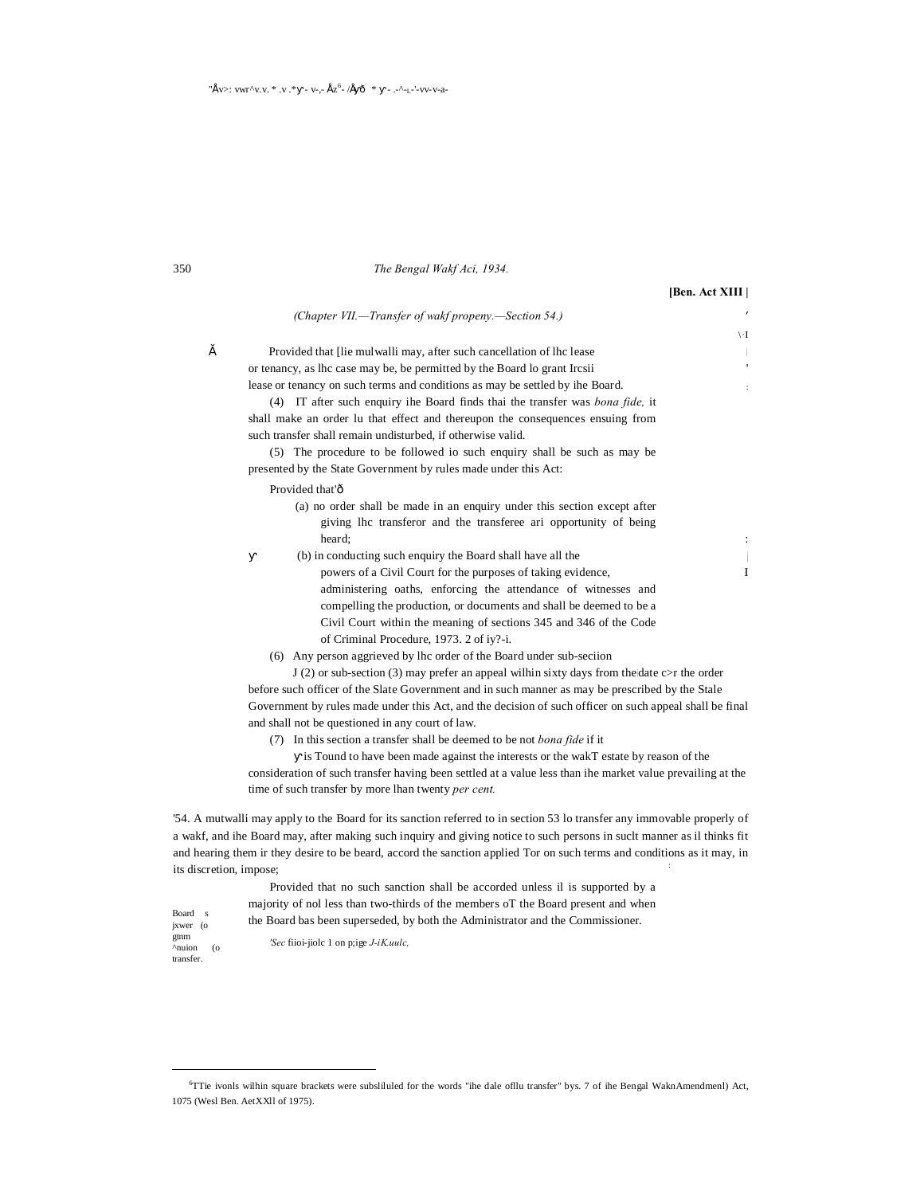# 350 *The Bengal Wakf Aci, 1934.*

**[Ben. Act XIII |**

|   |                                                                                                                                                                                                    | $\Gamma/$    |
|---|----------------------------------------------------------------------------------------------------------------------------------------------------------------------------------------------------|--------------|
| š | Provided that He mulwalli may, after such cancellation of the lease                                                                                                                                | ÷i.          |
|   | or tenancy, as lhc case may be, be permitted by the Board lo grant Ircsii                                                                                                                          | $\mathbf{r}$ |
|   | lease or tenancy on such terms and conditions as may be settled by ihe Board.                                                                                                                      | ÷.           |
|   | (4) IT after such enquiry ihe Board finds thai the transfer was <i>bona fide</i> , it                                                                                                              |              |
|   | shall make an order lu that effect and thereupon the consequences ensuing from                                                                                                                     |              |
|   | such transfer shall remain undisturbed, if otherwise valid.                                                                                                                                        |              |
|   | (5) The procedure to be followed io such enquiry shall be such as may be                                                                                                                           |              |
|   | presented by the State Government by rules made under this Act:                                                                                                                                    |              |
|   | Provided that'ô                                                                                                                                                                                    |              |
|   | (a) no order shall be made in an enquiry under this section except after                                                                                                                           |              |
|   | giving lhc transferor and the transferee ari opportunity of being                                                                                                                                  |              |
|   | heard;                                                                                                                                                                                             | ÷            |
|   | (b) in conducting such enquiry the Board shall have all the                                                                                                                                        | Ť.           |
|   | powers of a Civil Court for the purposes of taking evidence,                                                                                                                                       | $\mathbf{I}$ |
|   | administering oaths, enforcing the attendance of witnesses and                                                                                                                                     |              |
|   | compelling the production, or documents and shall be deemed to be a                                                                                                                                |              |
|   | Civil Court within the meaning of sections 345 and 346 of the Code                                                                                                                                 |              |
|   | of Criminal Procedure, 1973. 2 of iy?-i.                                                                                                                                                           |              |
|   | (6) Any person aggrieved by lhc order of the Board under sub-section                                                                                                                               |              |
|   | $J(2)$ or sub-section (3) may prefer an appeal will in sixty days from the date $c > r$ the order                                                                                                  |              |
|   | before such officer of the Slate Government and in such manner as may be prescribed by the Stale                                                                                                   |              |
|   | Government by rules made under this Act, and the decision of such officer on such appeal shall be final                                                                                            |              |
|   | and shall not be questioned in any court of law.                                                                                                                                                   |              |
|   | (7) In this section a transfer shall be deemed to be not <i>bona fide</i> if it                                                                                                                    |              |
|   | is Tound to have been made against the interests or the wakT estate by reason of the<br>consideration of such transfer having been settled at a value less than ihe market value prevailing at the |              |
|   | time of such transfer by more lhan twenty per cent.                                                                                                                                                |              |
|   |                                                                                                                                                                                                    |              |

a wakf, and ihe Board may, after making such inquiry and giving notice to such persons in suclt manner as il thinks fit and hearing them ir they desire to be beard, accord the sanction applied Tor on such terms and conditions as it may, in its discretion, impose;

Provided that no such sanction shall be accorded unless il is supported by a majority of nol less than two-thirds of the members oT the Board present and when the Board bas been superseded, by both the Administrator and the Commissioner.

*'Sec* fiioi-jiolc 1 on p;ige *J-iK.uulc,*

jxwer (o gtnm ^nuion (o transfer.

Board s

 <sup>6</sup> TTie ivonls wilhin square brackets were subsliluled for the words "ihe dale ofllu transfer" bys. 7 of ihe Bengal WaknAmendmenl) Act, 1075 (Wesl Ben. AetXXll of 1975).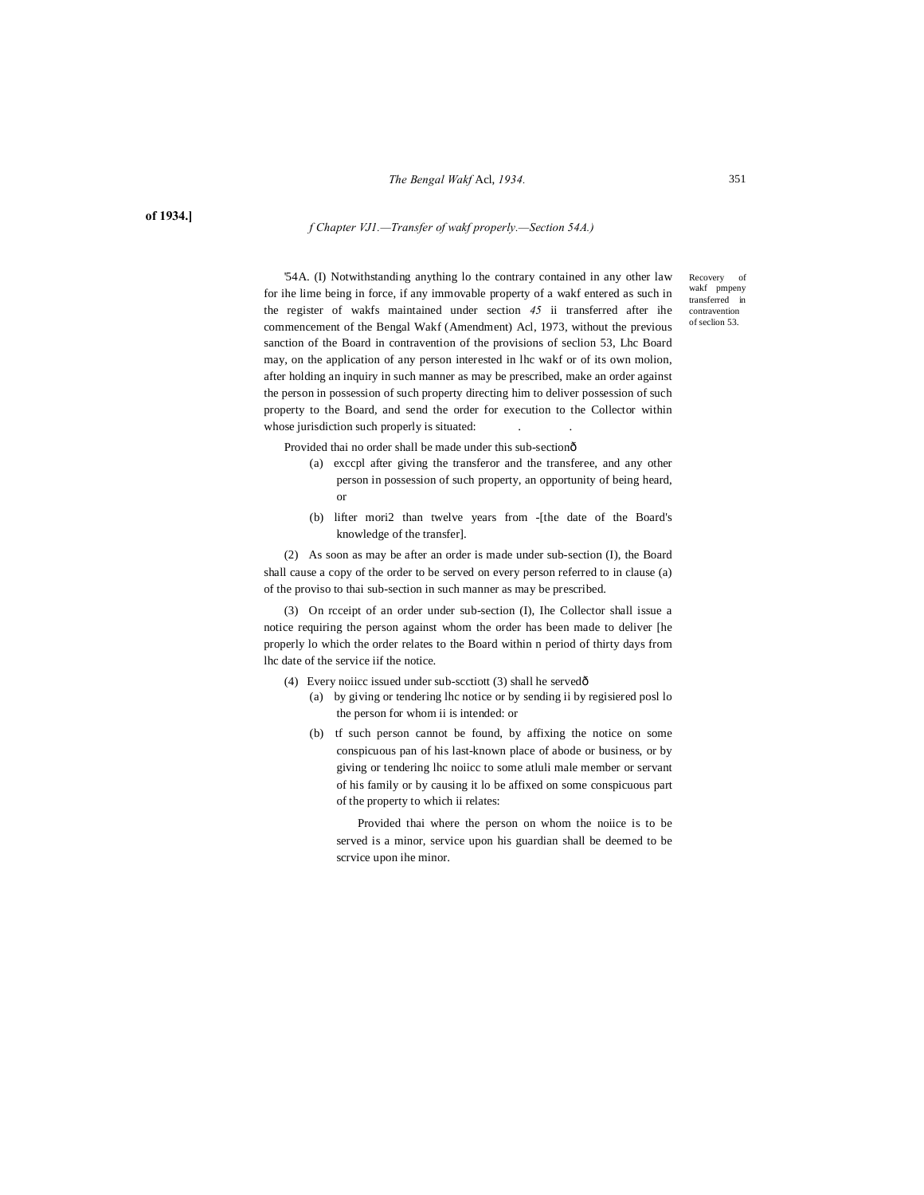#### *The Bengal Wakf* Acl, *1934.*

**of 1934.]**

#### *f Chapter VJ1.—Transfer of wakf properly.—Section 54A.)*

'54A. (I) Notwithstanding anything lo the contrary contained in any other law for ihe lime being in force, if any immovable property of a wakf entered as such in the register of wakfs maintained under section *45* ii transferred after ihe commencement of the Bengal Wakf (Amendment) Acl, 1973, without the previous sanction of the Board in contravention of the provisions of seclion 53, Lhc Board may, on the application of any person interested in lhc wakf or of its own molion, after holding an inquiry in such manner as may be prescribed, make an order against the person in possession of such property directing him to deliver possession of such property to the Board, and send the order for execution to the Collector within whose jurisdiction such properly is situated:

Recovery of wakf pmpeny transferred in contravention of seclion 53.

Provided thai no order shall be made under this sub-sectionô

- (a) exccpl after giving the transferor and the transferee, and any other person in possession of such property, an opportunity of being heard, or
- (b) lifter mori2 than twelve years from -[the date of the Board's knowledge of the transfer].

(2) As soon as may be after an order is made under sub-section (I), the Board shall cause a copy of the order to be served on every person referred to in clause (a) of the proviso to thai sub-section in such manner as may be prescribed.

(3) On rcceipt of an order under sub-section (I), Ihe Collector shall issue a notice requiring the person against whom the order has been made to deliver [he properly lo which the order relates to the Board within n period of thirty days from lhc date of the service iif the notice.

- (4) Every noiicc issued under sub-scctiott (3) shall he served $\delta$ 
	- (a) by giving or tendering lhc notice or by sending ii by regisiered posl lo the person for whom ii is intended: or
	- (b) tf such person cannot be found, by affixing the notice on some conspicuous pan of his last-known place of abode or business, or by giving or tendering lhc noiicc to some atluli male member or servant of his family or by causing it lo be affixed on some conspicuous part of the property to which ii relates:

Provided thai where the person on whom the noiice is to be served is a minor, service upon his guardian shall be deemed to be scrvice upon ihe minor.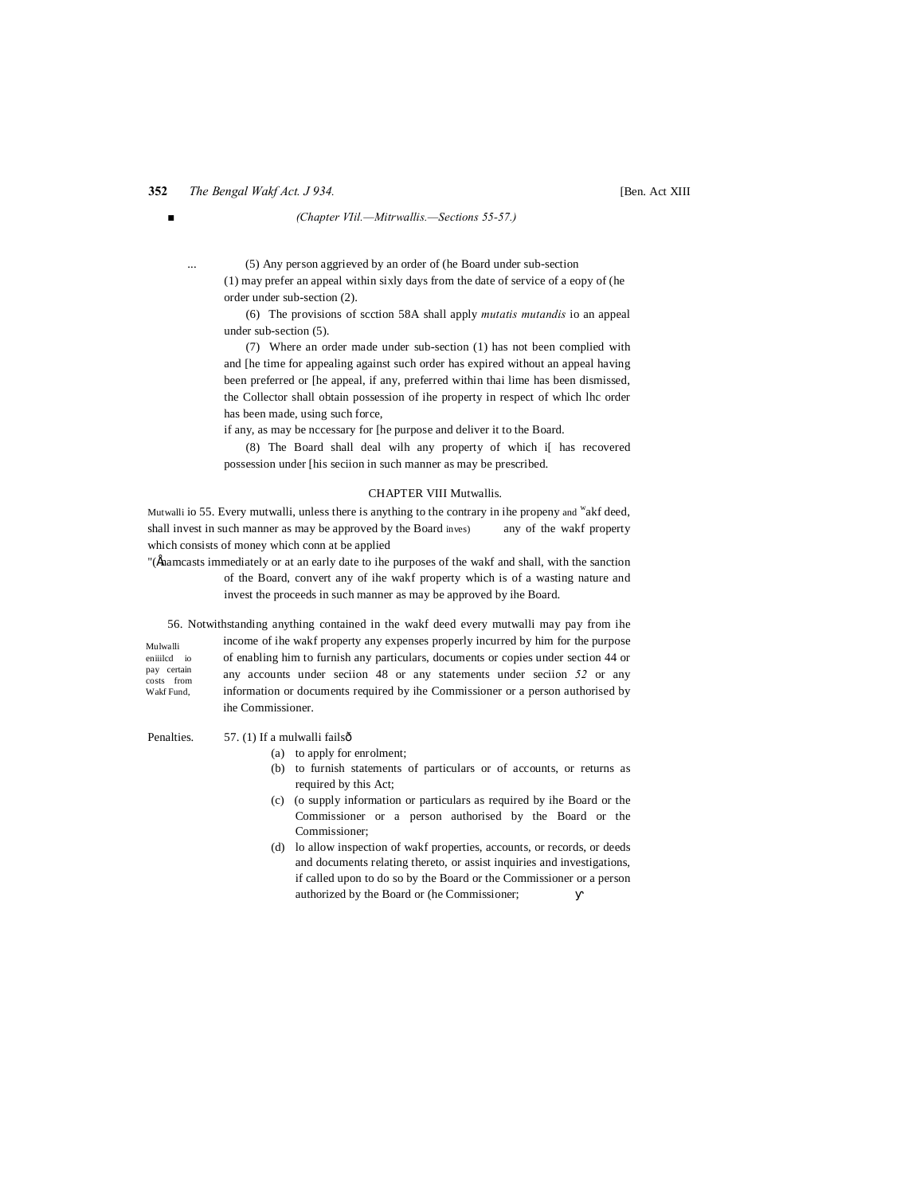# **352** *The Bengal Wakf Act. J 934.*

#### *■ (Chapter VIil.—Mitrwallis.—Sections 55-57.)*

(5) Any person aggrieved by an order of (he Board under sub-section (1) may prefer an appeal within sixly days from the date of service of a eopy of (he order under sub-section (2).

(6) The provisions of scction 58A shall apply *mutatis mutandis* io an appeal under sub-section (5).

(7) Where an order made under sub-section (1) has not been complied with and [he time for appealing against such order has expired without an appeal having been preferred or [he appeal, if any, preferred within thai lime has been dismissed, the Collector shall obtain possession of ihe property in respect of which lhc order has been made, using such force,

if any, as may be nccessary for [he purpose and deliver it to the Board.

(8) The Board shall deal wilh any property of which i[ has recovered possession under [his seciion in such manner as may be prescribed.

#### CHAPTER VIII Mutwallis.

Mutwalli io 55. Every mutwalli, unless there is anything to the contrary in ihe propeny and <sup>w</sup>akf deed, shall invest in such manner as may be approved by the Board inves) any of the wakf property which consists of money which conn at be applied

"(fhamcasts immediately or at an early date to ihe purposes of the wakf and shall, with the sanction of the Board, convert any of ihe wakf property which is of a wasting nature and invest the proceeds in such manner as may be approved by ihe Board.

56. Notwithstanding anything contained in the wakf deed every mutwalli may pay from ihe

Mulwalli eniiilcd io pay certain costs from Wakf Fund,

income of ihe wakf property any expenses properly incurred by him for the purpose of enabling him to furnish any particulars, documents or copies under section 44 or any accounts under seciion 48 or any statements under seciion *52* or any information or documents required by ihe Commissioner or a person authorised by ihe Commissioner.

Penalties. 57. (1) If a mulwalli failsô

# (a) to apply for enrolment;

- (b) to furnish statements of particulars or of accounts, or returns as required by this Act;
- (c) (o supply information or particulars as required by ihe Board or the Commissioner or a person authorised by the Board or the Commissioner;
- (d) lo allow inspection of wakf properties, accounts, or records, or deeds and documents relating thereto, or assist inquiries and investigations, if called upon to do so by the Board or the Commissioner or a person authorized by the Board or (he Commissioner;

[Ben. Act XIII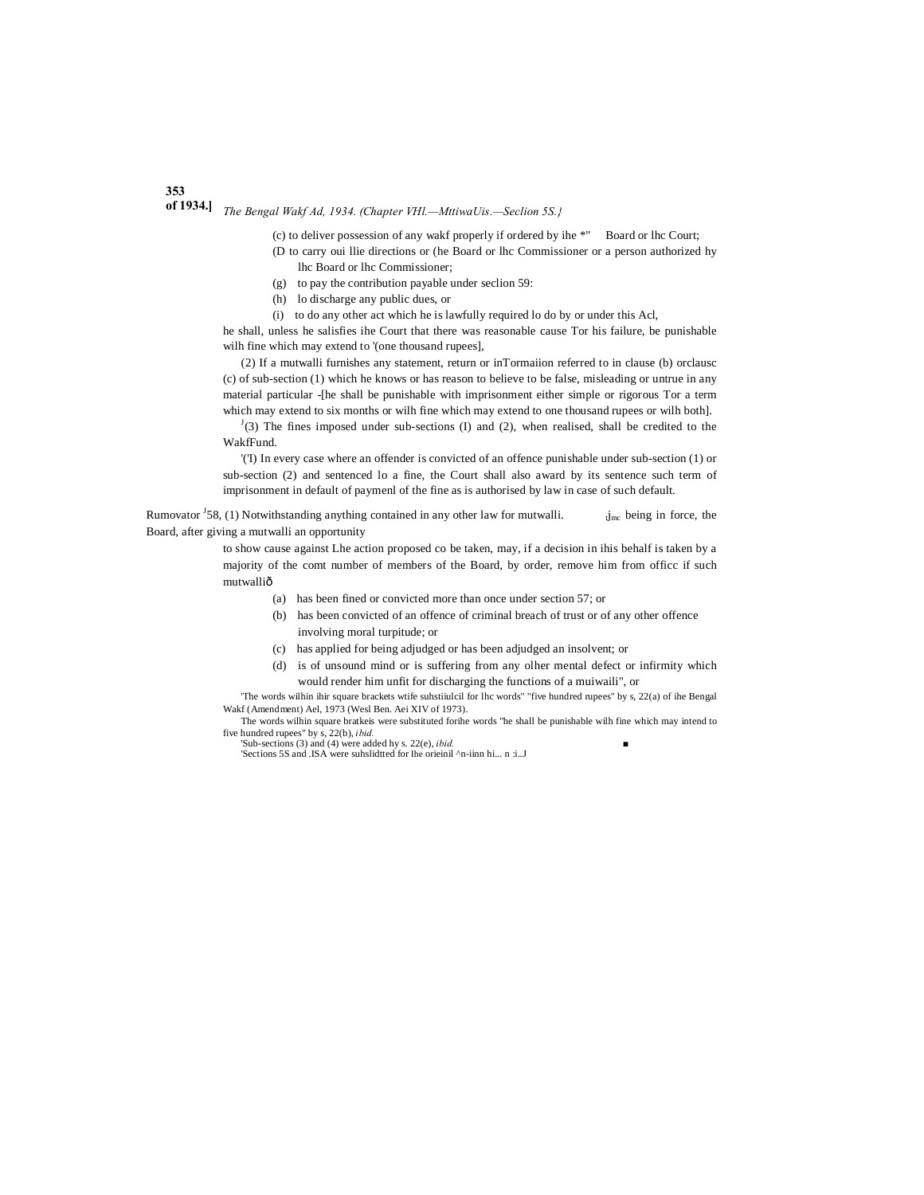# **of 1934.]** *The Bengal Wakf Ad, 1934. (Chapter VHl.—MttiwaUis.—Seclion 5S.}*

(c) to deliver possession of any wakf properly if ordered by ihe \*" Board or lhc Court;

- (D to carry oui llie directions or (he Board or lhc Commissioner or a person authorized hy lhc Board or lhc Commissioner;
- (g) to pay the contribution payable under seclion 59:
- (h) lo discharge any public dues, or
- (i) to do any other act which he is lawfully required lo do by or under this Acl,

he shall, unless he salisfies ihe Court that there was reasonable cause Tor his failure, be punishable wilh fine which may extend to '(one thousand rupees],

(2) If a mutwalli furnishes any statement, return or inTormaiion referred to in clause (b) orclausc (c) of sub-section (1) which he knows or has reason to believe to be false, misleading or untrue in any material particular -[he shall be punishable with imprisonment either simple or rigorous Tor a term which may extend to six months or wilh fine which may extend to one thousand rupees or wilh both].

 $J(3)$  The fines imposed under sub-sections (I) and (2), when realised, shall be credited to the WakfFund.

'('I) In every case where an offender is convicted of an offence punishable under sub-section (1) or sub-section (2) and sentenced lo a fine, the Court shall also award by its sentence such term of imprisonment in default of paymenl of the fine as is authorised by law in case of such default.

Rumovator  $\frac{1}{58}$ , (1) Notwithstanding anything contained in any other law for mutwalli.  $\dot{J}_{\text{mc}}$  being in force, the Board, after giving a mutwalli an opportunity

> to show cause against Lhe action proposed co be taken, may, if a decision in ihis behalf is taken by a majority of the comt number of members of the Board, by order, remove him from officc if such mutwalliô

- (a) has been fined or convicted more than once under section 57; or
- (b) has been convicted of an offence of criminal breach of trust or of any other offence involving moral turpitude; or
- (c) has applied for being adjudged or has been adjudged an insolvent; or
- (d) is of unsound mind or is suffering from any olher mental defect or infirmity which would render him unfit for discharging the functions of a muiwaili", or

'The words wilhin ihir square brackets wtife suhstiiulcil for lhc words" "five hundred rupees" by s, 22(a) of ihe Bengal Wakf (Amendment) Ael, 1973 (Wesl Ben. Aei XIV of 1973).

The words wilhin square bratkeis were substituted forihe words "he shall be punishable wilh fine which may intend to five hundred rupees" by s, 22(b), *ibid.*

'Sub-sections (3) and (4) were added hy s. 22(e), *ibid. ■* 'Sections 5S and .ISA were suhslidtted for Ihe orieinil ^n-iinn hi... n :i..J

# **353**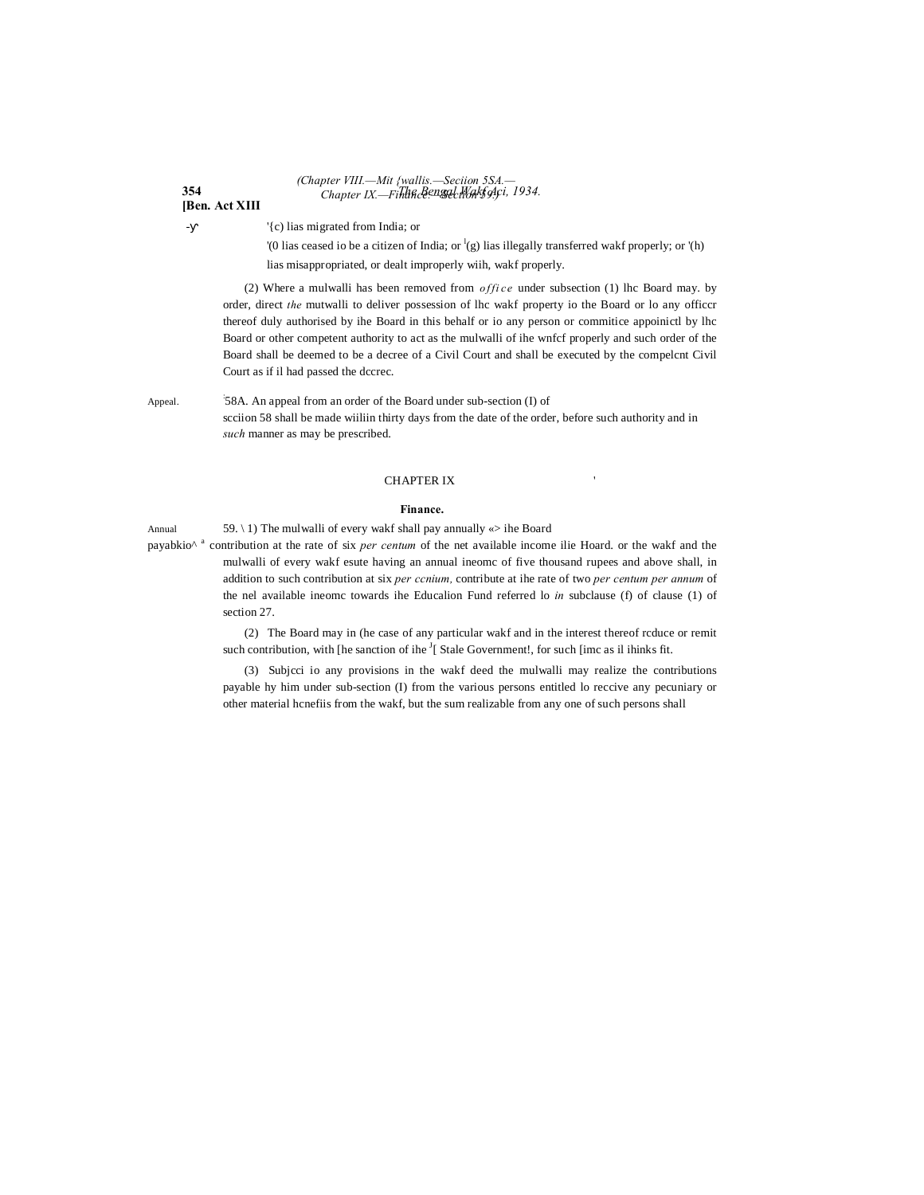#### **354** *The Bengal Wakf Aci, 1934. (Chapter VIII.—Mit {wallis.—Seciion 5SA.— Chapter IX.—Finance.—Section 59.)*

**[Ben. Act XIII**

- '{c) lias migrated from India; or

'(0 lias ceased io be a citizen of India; or  ${}^{1}(g)$  lias illegally transferred wakf properly; or '(h) lias misappropriated, or dealt improperly wiih, wakf properly.

(2) Where a mulwalli has been removed from *office* under subsection (1) lhc Board may. by order, direct *the* mutwalli to deliver possession of lhc wakf property io the Board or lo any officcr thereof duly authorised by ihe Board in this behalf or io any person or commitice appoinictl by lhc Board or other competent authority to act as the mulwalli of ihe wnfcf properly and such order of the Board shall be deemed to be a decree of a Civil Court and shall be executed by the compelcnt Civil Court as if il had passed the dccrec.

Appeal. 58A. An appeal from an order of the Board under sub-section (I) of scciion 58 shall be made wiiliin thirty days from the date of the order, before such authority and in *such* manner as may be prescribed.

### **CHAPTER IX**

#### **Finance.**

Annual 59. \ 1) The mulwalli of every wakf shall pay annually  $\ll$  ihe Board

payabkio<sup> $\wedge$  a</sup> contribution at the rate of six *per centum* of the net available income ilie Hoard. or the wakf and the mulwalli of every wakf esute having an annual ineomc of five thousand rupees and above shall, in addition to such contribution at six *per ccnium,* contribute at ihe rate of two *per centum per annum* of the nel available ineomc towards ihe Educalion Fund referred lo *in* subclause (f) of clause (1) of section 27

> (2) The Board may in (he case of any particular wakf and in the interest thereof rcduce or remit such contribution, with [he sanction of ihe  $\frac{1}{2}$ [ Stale Government!, for such [imc as il ihinks fit.

> (3) Subjcci io any provisions in the wakf deed the mulwalli may realize the contributions payable hy him under sub-section (I) from the various persons entitled lo reccive any pecuniary or other material hcnefiis from the wakf, but the sum realizable from any one of such persons shall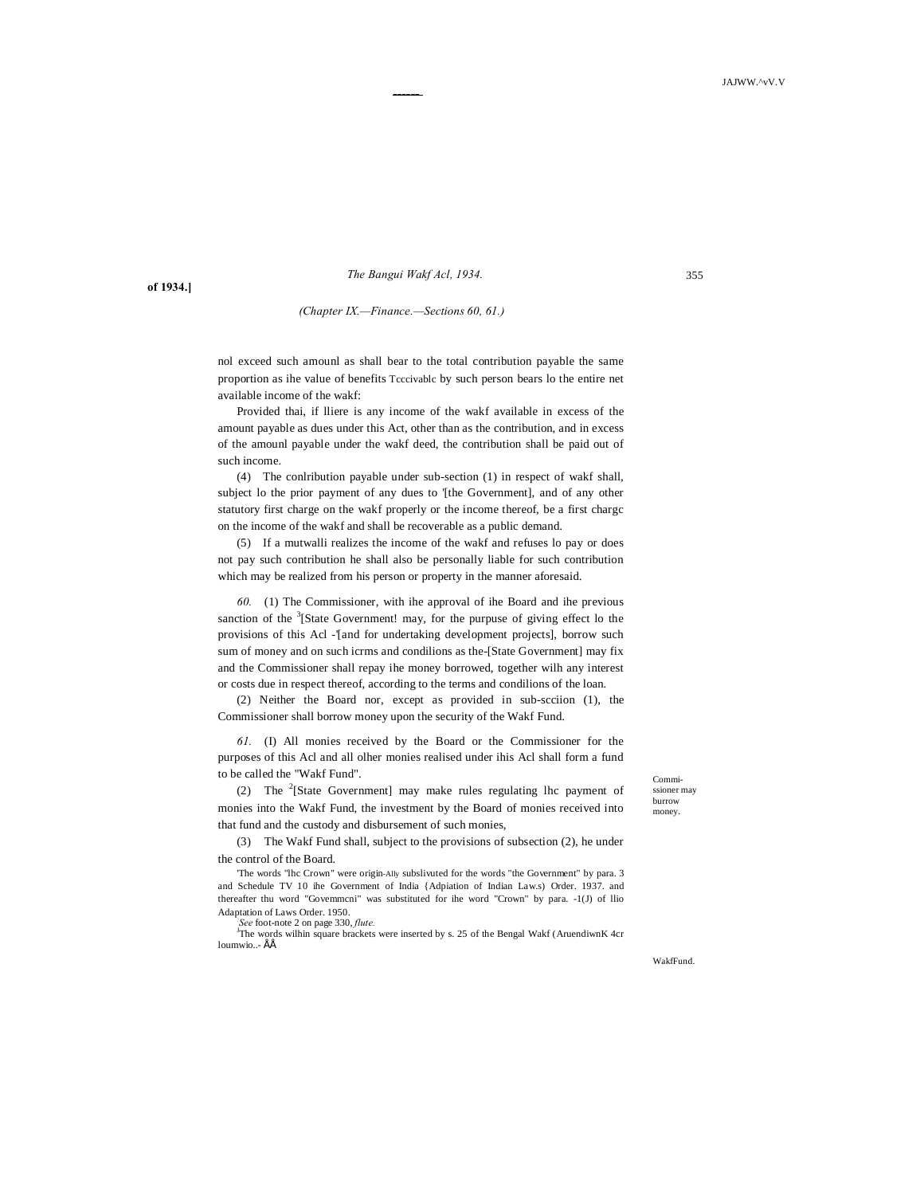*The Bangui Wakf Acl, 1934.*

------

**of 1934.]**

#### *(Chapter IX.—Finance.—Sections 60, 61.)*

nol exceed such amounl as shall bear to the total contribution payable the same proportion as ihe value of benefits Tcccivablc by such person bears lo the entire net available income of the wakf:

Provided thai, if lliere is any income of the wakf available in excess of the amount payable as dues under this Act, other than as the contribution, and in excess of the amounl payable under the wakf deed, the contribution shall be paid out of such income.

(4) The conlribution payable under sub-section (1) in respect of wakf shall, subject lo the prior payment of any dues to '[the Government], and of any other statutory first charge on the wakf properly or the income thereof, be a first chargc on the income of the wakf and shall be recoverable as a public demand.

(5) If a mutwalli realizes the income of the wakf and refuses lo pay or does not pay such contribution he shall also be personally liable for such contribution which may be realized from his person or property in the manner aforesaid.

*60.* (1) The Commissioner, with ihe approval of ihe Board and ihe previous sanction of the  $3$ [State Government! may, for the purpuse of giving effect lo the provisions of this Acl -'[and for undertaking development projects], borrow such sum of money and on such icrms and condilions as the-[State Government] may fix and the Commissioner shall repay ihe money borrowed, together wilh any interest or costs due in respect thereof, according to the terms and condilions of the loan.

(2) Neither the Board nor, except as provided in sub-scciion (1), the Commissioner shall borrow money upon the security of the Wakf Fund.

*61.* (I) All monies received by the Board or the Commissioner for the purposes of this Acl and all olher monies realised under ihis Acl shall form a fund to be called the "Wakf Fund".

(2) The  $2$ [State Government] may make rules regulating lhc payment of monies into the Wakf Fund, the investment by the Board of monies received into that fund and the custody and disbursement of such monies,

(3) The Wakf Fund shall, subject to the provisions of subsection (2), he under the control of the Board.

'The words "lhc Crown" were origin-Ally subslivuted for the words "the Government" by para. 3 and Schedule TV 10 ihe Government of India {Adpiation of Indian Law.s) Order. 1937. and thereafter thu word "Govemmcni" was substituted for ihe word "Crown" by para. -1(J) of llio Adaptation of Laws Order. 1950. *:*

See foot-note 2 on page 330, *flute*.<br><sup>J</sup>The words wilhin square brackets were inserted by s. 25 of the Bengal Wakf (AruendiwnK 4cr) loumwio..- ÉÉ

Commissioner may burrow money.

WakfFund.

355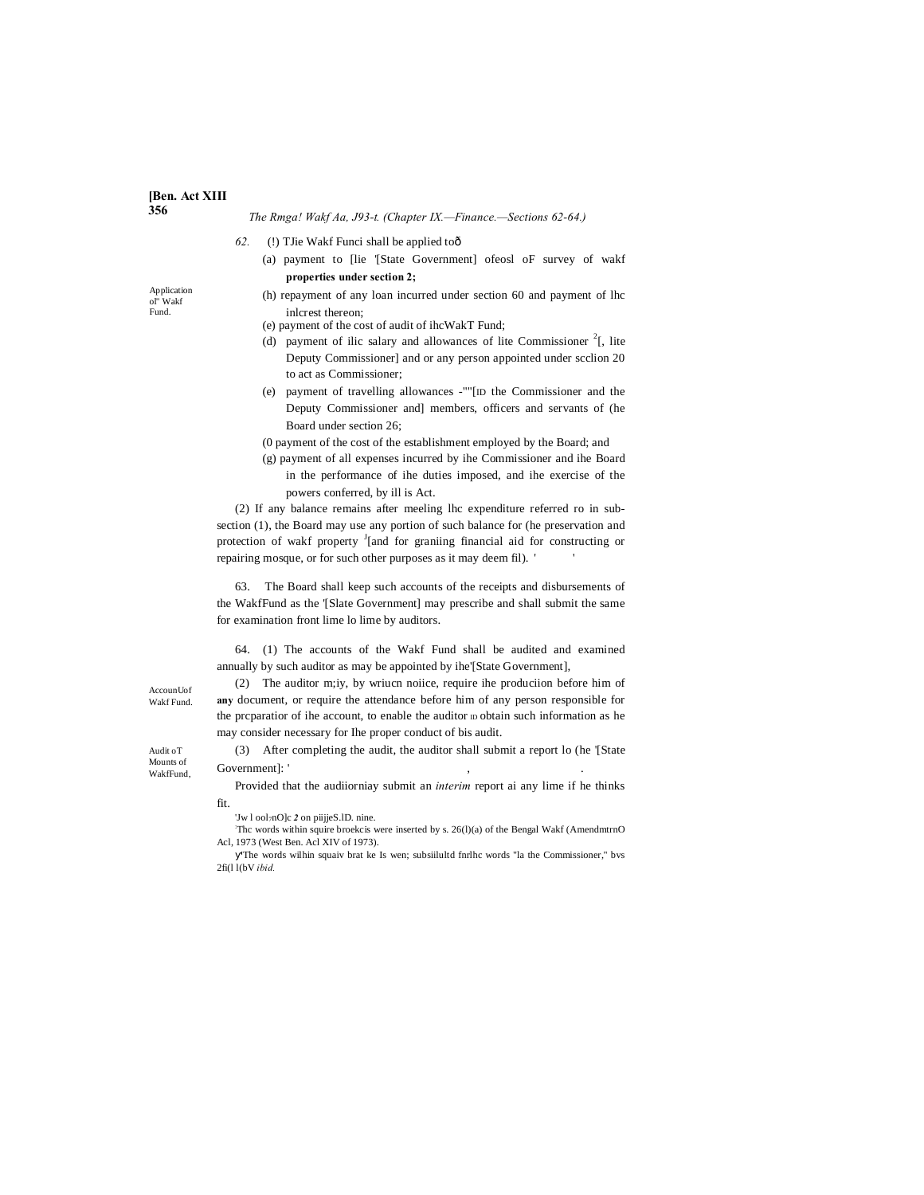#### **[Ben. Act XIII 356**

Application ol" Wakf Fund.

*The Rmga! Wakf Aa, J93-t. (Chapter IX.—Finance.—Sections 62-64.)*

- *62.* (!) TJie Wakf Funci shall be applied to—
	- (a) payment to [lie '[State Government] ofeosl oF survey of wakf **properties under section 2;**
	- (h) repayment of any loan incurred under section 60 and payment of lhc inlcrest thereon;
	- (e) payment of the cost of audit of ihcWakT Fund;
	- (d) payment of ilic salary and allowances of lite Commissioner  $2$ [, lite Deputy Commissioner] and or any person appointed under scclion 20 to act as Commissioner;
	- (e) payment of travelling allowances -""[ID the Commissioner and the Deputy Commissioner and] members, officers and servants of (he Board under section 26;
	- (0 payment of the cost of the establishment employed by the Board; and
	- (g) payment of all expenses incurred by ihe Commissioner and ihe Board in the performance of ihe duties imposed, and ihe exercise of the powers conferred, by ill is Act.

(2) If any balance remains after meeling lhc expenditure referred ro in subsection (1), the Board may use any portion of such balance for (he preservation and protection of wakf property <sup>J</sup>[and for graniing financial aid for constructing or repairing mosque, or for such other purposes as it may deem fil). ' '

63. The Board shall keep such accounts of the receipts and disbursements of the WakfFund as the '[Slate Government] may prescribe and shall submit the same for examination front lime lo lime by auditors.

64. (1) The accounts of the Wakf Fund shall be audited and examined annually by such auditor as may be appointed by ihe'[State Government],

(2) The auditor m;iy, by wriucn noiice, require ihe produciion before him of **any** document, or require the attendance before him of any person responsible for the preparatior of ihe account, to enable the auditor  $D$  obtain such information as he may consider necessary for Ihe proper conduct of bis audit.

(3) After completing the audit, the auditor shall submit a report lo (he '[State Government]:

Provided that the audiiorniay submit an *interim* report ai any lime if he thinks fit.

'Jw l ool<sub>7</sub>nO]c 2 on piijjeS.lD. nine.

: Thc words within squire broekcis were inserted by s. 26(l)(a) of the Bengal Wakf (AmendmtrnO Acl, 1973 (West Ben. Acl XIV of 1973).

'The words wilhin squaiv brat ke Is wen; subsiilultd fnrlhc words "la the Commissioner," bvs 2fi(l l(bV *ibid.*

AccounUof Wakf Fund.

Audit oT Mounts of WakfFund,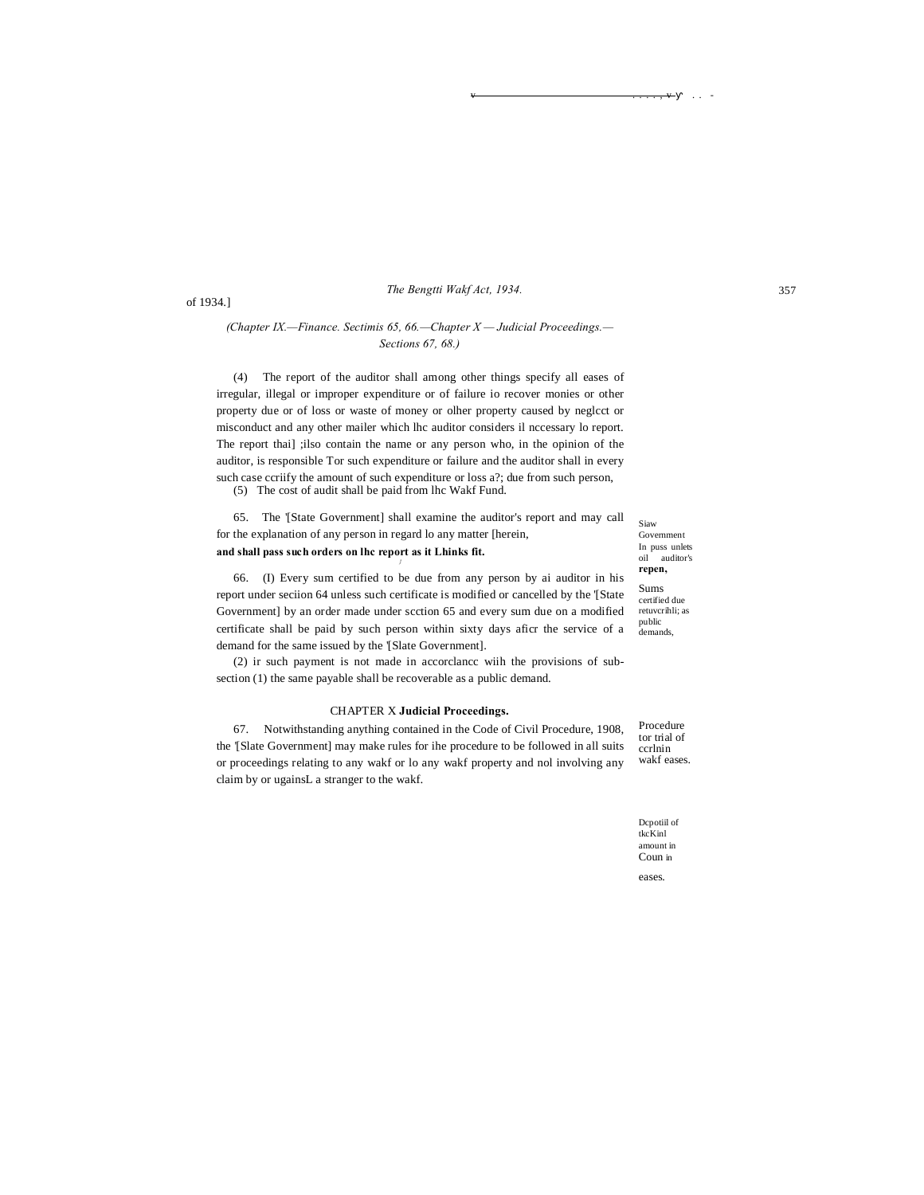# The Bengtti Wakf Act, 1934.

# (Chapter IX,—Finance, Sectimis 65, 66,—Chapter  $X$  — Judicial Proceedings,— Sections 67, 68.)

(4) The report of the auditor shall among other things specify all eases of irregular, illegal or improper expenditure or of failure io recover monies or other property due or of loss or waste of money or olher property caused by neglect or misconduct and any other mailer which lhc auditor considers il nccessary lo report. The report thai] ;ilso contain the name or any person who, in the opinion of the auditor, is responsible Tor such expenditure or failure and the auditor shall in every such case ccriify the amount of such expenditure or loss a?; due from such person,

(5) The cost of audit shall be paid from lhc Wakf Fund.

65. The '[State Government] shall examine the auditor's report and may call for the explanation of any person in regard lo any matter [herein, and shall pass such orders on lhc report as it Lhinks fit.

66. (I) Every sum certified to be due from any person by ai auditor in his report under seciion 64 unless such certificate is modified or cancelled by the '[State Government] by an order made under scction 65 and every sum due on a modified certificate shall be paid by such person within sixty days aficr the service of a demand for the same issued by the '[Slate Government].

(2) ir such payment is not made in accordance with the provisions of subsection (1) the same payable shall be recoverable as a public demand.

#### **CHAPTER X Judicial Proceedings.**

67. Notwithstanding anything contained in the Code of Civil Procedure, 1908, the '[Slate Government] may make rules for ihe procedure to be followed in all suits or proceedings relating to any wakf or lo any wakf property and nol involving any claim by or ugainsL a stranger to the wakf.

certified due retuvcrihli; as public demands

Siaw

oil auditor's repen,

 $\operatorname{Sums}$ 

Government In puss unlets

Procedure tor trial of ccrlnin wakf eases

Depotiil of tkcKinl amount in Coun in

eases.

of 1934.]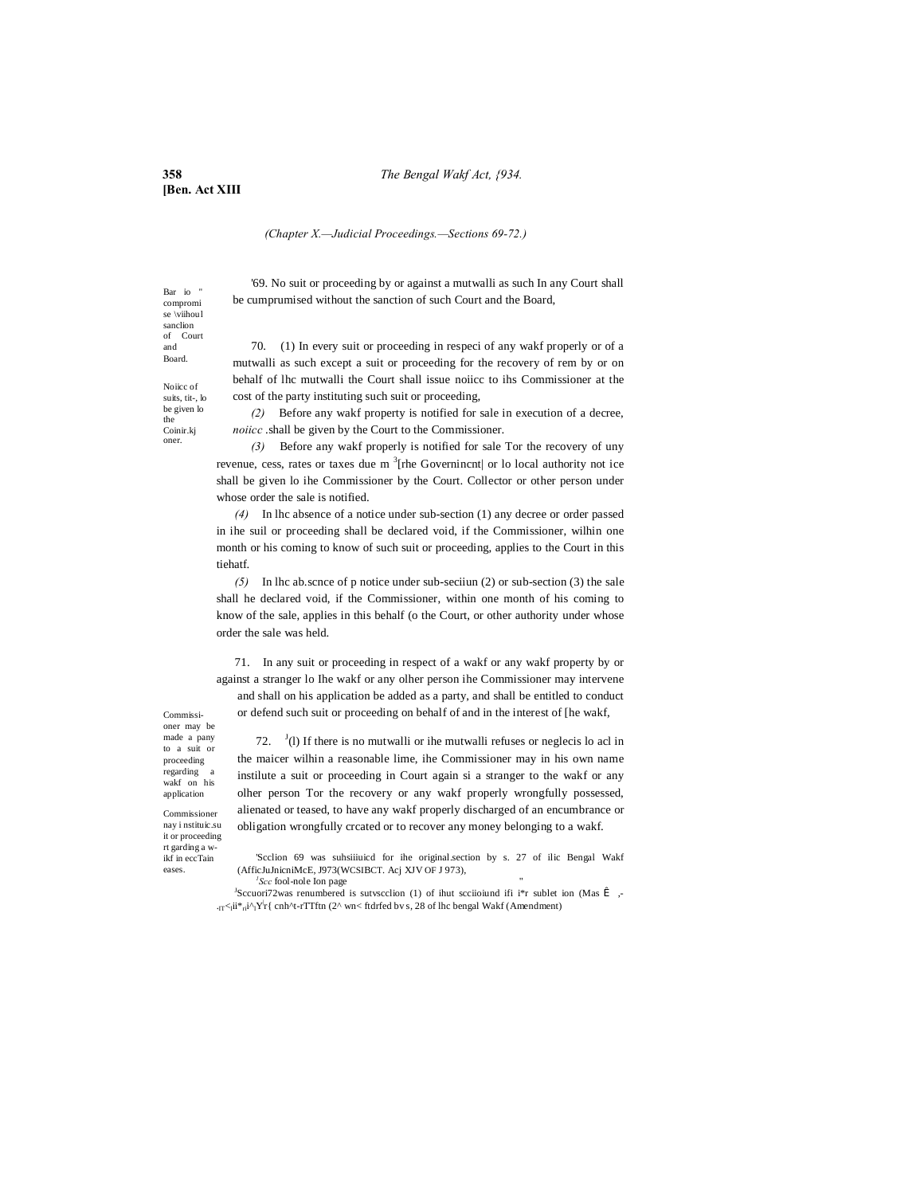#### **358** *The Bengal Wakf Act, {934.*

**[Ben. Act XIII**

*(Chapter X.—Judicial Proceedings.—Sections 69-72.)*

'69. No suit or proceeding by or against a mutwalli as such In any Court shall be cumprumised without the sanction of such Court and the Board,

Bar io compromi se \viihoul sanclion of Court and Board.

Noiicc of suits, tit-, lo be given lo the Coinir.kj oner.

70. (1) In every suit or proceeding in respeci of any wakf properly or of a mutwalli as such except a suit or proceeding for the recovery of rem by or on behalf of lhc mutwalli the Court shall issue noiicc to ihs Commissioner at the cost of the party instituting such suit or proceeding,

*(2)* Before any wakf property is notified for sale in execution of a decree, *noiicc* .shall be given by the Court to the Commissioner.

*(3)* Before any wakf properly is notified for sale Tor the recovery of uny revenue, cess, rates or taxes due m<sup>3</sup>[rhe Governincnt| or lo local authority not ice shall be given lo ihe Commissioner by the Court. Collector or other person under whose order the sale is notified.

*(4)* In lhc absence of a notice under sub-section (1) any decree or order passed in ihe suil or proceeding shall be declared void, if the Commissioner, wilhin one month or his coming to know of such suit or proceeding, applies to the Court in this tiehatf.

*(5)* In lhc ab.scnce of p notice under sub-seciiun (2) or sub-section (3) the sale shall he declared void, if the Commissioner, within one month of his coming to know of the sale, applies in this behalf (o the Court, or other authority under whose order the sale was held.

71. In any suit or proceeding in respect of a wakf or any wakf property by or against a stranger lo Ihe wakf or any olher person ihe Commissioner may intervene and shall on his application be added as a party, and shall be entitled to conduct or defend such suit or proceeding on behalf of and in the interest of [he wakf,

Commissioner may be made a pany to a suit or proceeding regarding wakf on his application

Commissioner nay i nstituic.su it or proceeding rt garding a wikf in eccTain eases.

72.  $\binom{J}{l}$  If there is no mutwalli or ihe mutwalli refuses or neglecis lo acl in the maicer wilhin a reasonable lime, ihe Commissioner may in his own name instilute a suit or proceeding in Court again si a stranger to the wakf or any olher person Tor the recovery or any wakf properly wrongfully possessed, alienated or teased, to have any wakf properly discharged of an encumbrance or obligation wrongfully crcated or to recover any money belonging to a wakf.

'Scclion 69 was suhsiiiuicd for ihe original.section by s. 27 of ilic Bengal Wakf (AfficJuJnicniMcE, J973(WCSIBCT. Acj XJV OF J 973), *<sup>1</sup>* <sup>'</sup>Scc fool-nole Ion page

<sup>J</sup>Sccuori72was renumbered is sutvscclion (1) of ihut scciioiund ifi i\*r sublet ion (Mas Î,-.<sub>IT</sub> <ii<sup>\*</sup><sub>ri</sub>i^<sub>1</sub>Y<sub>r</sub>{ cnh^t-rTTftn (2^ wn< ftdrfed bv s, 28 of lhc bengal Wakf (Amendment)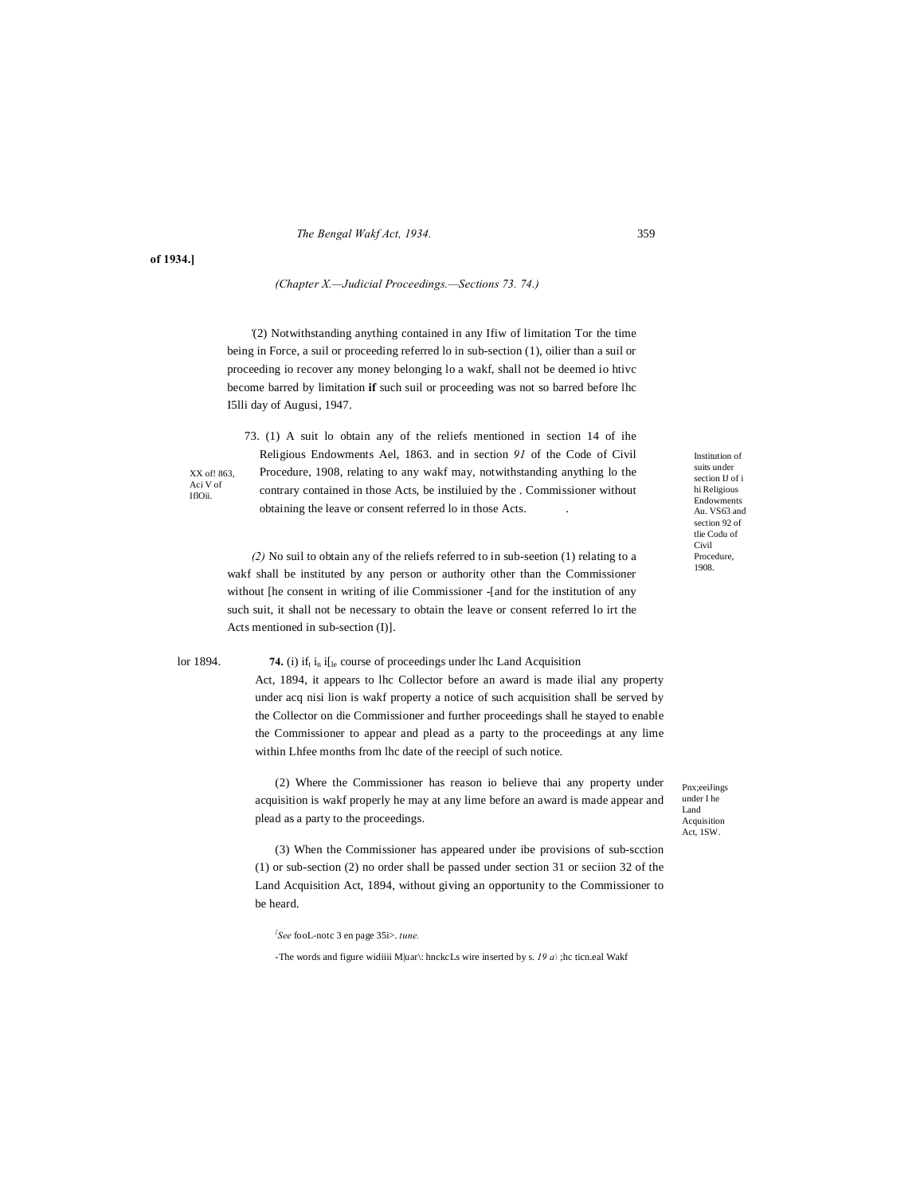*The Bengal Wakf Act, 1934.* 359

**of 1934.]**

#### *(Chapter X.—Judicial Proceedings.—Sections 73. 74.)*

'(2) Notwithstanding anything contained in any Ifiw of limitation Tor the time being in Force, a suil or proceeding referred lo in sub-section (1), oilier than a suil or proceeding io recover any money belonging lo a wakf, shall not be deemed io htivc become barred by limitation **if** such suil or proceeding was not so barred before lhc I5lli day of Augusi, 1947.

73. (1) A suit lo obtain any of the reliefs mentioned in section 14 of ihe Religious Endowments Ael, 1863. and in section *91* of the Code of Civil Procedure, 1908, relating to any wakf may, notwithstanding anything lo the contrary contained in those Acts, be instiluied by the . Commissioner without obtaining the leave or consent referred lo in those Acts. .

suits under section IJ of i hi Religious Endowments Au. VS63 and section 92 of tlie Codu of Civil Procedure, 1908.

Institution of

*(2)* No suil to obtain any of the reliefs referred to in sub-seetion (1) relating to a wakf shall be instituted by any person or authority other than the Commissioner without [he consent in writing of ilie Commissioner -[and for the institution of any such suit, it shall not be necessary to obtain the leave or consent referred lo irt the Acts mentioned in sub-section (I)].

XX of! 863, Aci V of IflOii.

#### lor 1894. **74.** (i) if  $\mathbf{i}_h$  if  $\mathbf{j}_e$  course of proceedings under the Land Acquisition

Act, 1894, it appears to lhc Collector before an award is made ilial any property under acq nisi lion is wakf property a notice of such acquisition shall be served by the Collector on die Commissioner and further proceedings shall he stayed to enable the Commissioner to appear and plead as a party to the proceedings at any lime within Lhfee months from lhc date of the reecipl of such notice.

(2) Where the Commissioner has reason io believe thai any property under acquisition is wakf properly he may at any lime before an award is made appear and plead as a party to the proceedings.

(3) When the Commissioner has appeared under ibe provisions of sub-scction (1) or sub-section (2) no order shall be passed under section 31 or seciion 32 of the Land Acquisition Act, 1894, without giving an opportunity to the Commissioner to be heard.

*{ See* fooL-notc 3 en page 35i>. *tune.*

-The words and figure widiiii M|uar\: hnckcLs wire inserted by s. *19 a\* ;hc ticn.eal Wakf

Pnx;eeiJings under I he Land Acquisition Act, 1SW.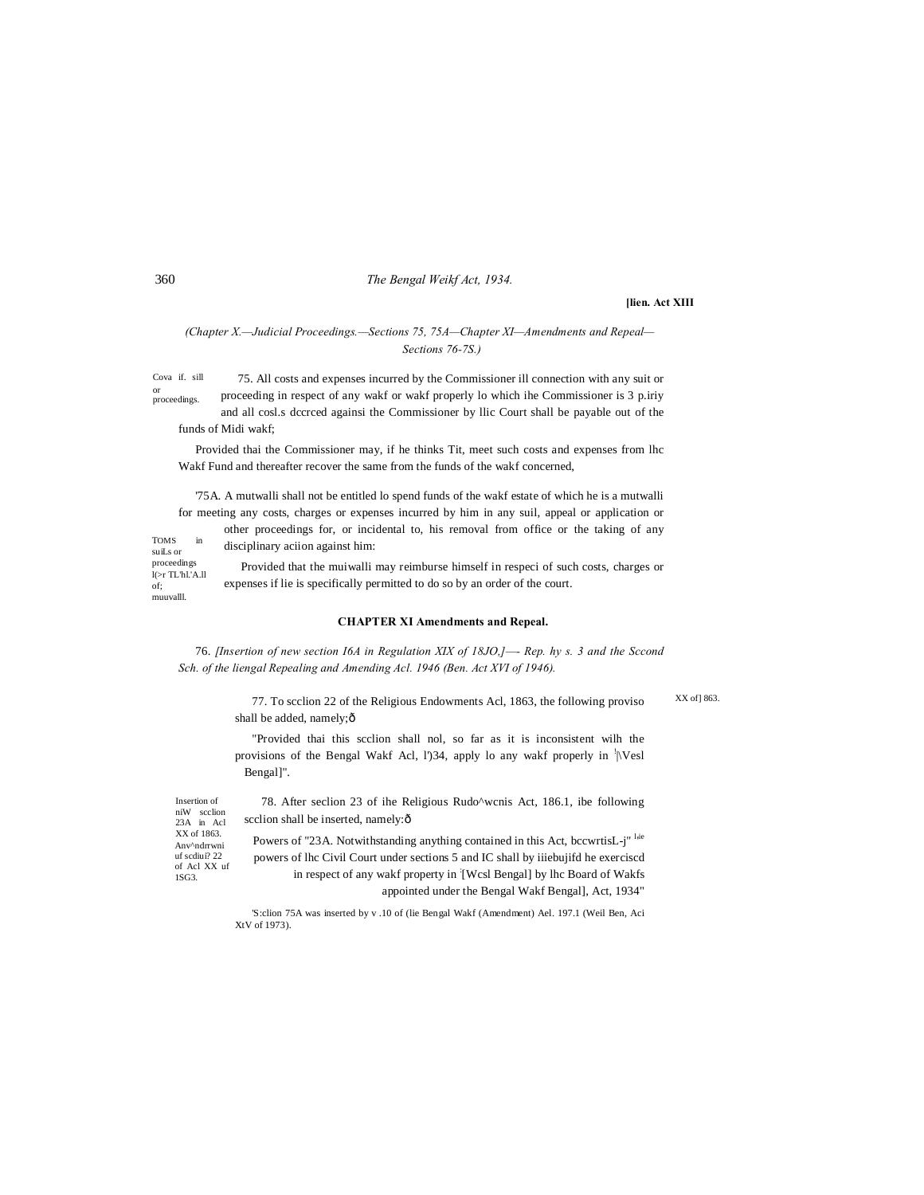# 360 *The Bengal Weikf Act, 1934.*

#### **[lien. Act XIII**

# *(Chapter X.—Judicial Proceedings.—Sections 75, 75A—Chapter XI—Amendments and Repeal— Sections 76-7S.)*

Cova if. sill or proceedings. 75. All costs and expenses incurred by the Commissioner ill connection with any suit or proceeding in respect of any wakf or wakf properly lo which ihe Commissioner is 3 p.iriy and all cosl.s dccrced againsi the Commissioner by llic Court shall be payable out of the

funds of Midi wakf;

Provided thai the Commissioner may, if he thinks Tit, meet such costs and expenses from lhc Wakf Fund and thereafter recover the same from the funds of the wakf concerned,

'75A. A mutwalli shall not be entitled lo spend funds of the wakf estate of which he is a mutwalli for meeting any costs, charges or expenses incurred by him in any suil, appeal or application or

other proceedings for, or incidental to, his removal from office or the taking of any disciplinary aciion against him:

 ${\bf TOMS}$ suiLs or proceedings

Provided that the muiwalli may reimburse himself in respeci of such costs, charges or expenses if lie is specifically permitted to do so by an order of the court.

# **CHAPTER XI Amendments and Repeal.**

76. *[Insertion of new section I6A in Regulation XIX of 18JO,]—- Rep. hy s. 3 and the Sccond Sch. of the liengal Repealing and Amending Acl. 1946 (Ben. Act XVI of 1946).*

> 77. To scclion 22 of the Religious Endowments Acl, 1863, the following proviso shall be added, namely; $\hat{o}$

XX of 1863.

"Provided thai this scclion shall nol, so far as it is inconsistent wilh the provisions of the Bengal Wakf Acl, l')34, apply lo any wakf properly in  $\sqrt[1]{|\text{Ves}|}$ Bengal]".

Anv^ndrrwni uf scdiui? 22 of Acl XX uf 1SG3. Insertion of niW scclion 23A in Acl XX of 1863.

78. After seclion 23 of ihe Religious Rudo^wcnis Act, 186.1, ibe following scclion shall be inserted, namely: $\hat{o}$ 

Powers of "23A. Notwithstanding anything contained in this Act, bccwrtisL-j" live powers of lhc Civil Court under sections 5 and IC shall by iiiebujifd he exerciscd in respect of any wakf property in [Wcsl Bengal] by lhc Board of Wakfs appointed under the Bengal Wakf Bengal], Act, 1934"

'S:clion 75A was inserted by v .10 of (lie Bengal Wakf (Amendment) Ael. 197.1 (Weil Ben, Aci XtV of 1973).

l(>r TL'hl.'A.ll of; muuvalll.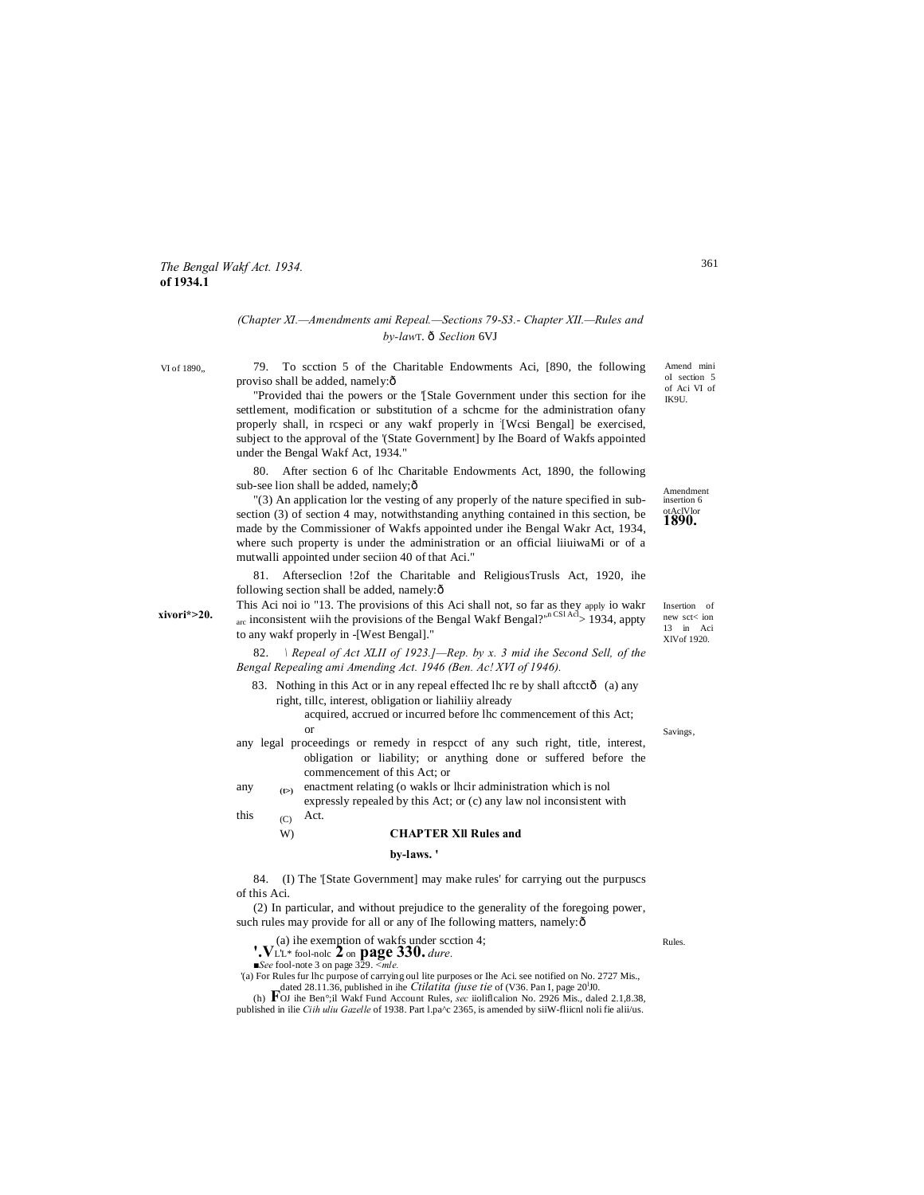# *The Bengal Wakf Act. 1934.* **of 1934.1**

# *(Chapter XI.—Amendments ami Repeal.—Sections 79-S3.- Chapter XII.—Rules and by-law*T. —*Seclion* 6VJ

VI of 1890,,

79. To scction 5 of the Charitable Endowments Aci, [890, the following proviso shall be added, namely: $\delta$ 

"Provided thai the powers or the '[Stale Government under this section for ihe settlement, modification or substitution of a schcme for the administration ofany properly shall, in rcspeci or any wakf properly in [Wcsi Bengal] be exercised, subject to the approval of the '(State Government] by Ihe Board of Wakfs appointed under the Bengal Wakf Act, 1934."

80. After section 6 of lhc Charitable Endowments Act, 1890, the following sub-see lion shall be added, namely; $\hat{o}$ 

"(3) An application lor the vesting of any properly of the nature specified in subsection (3) of section 4 may, notwithstanding anything contained in this section, be made by the Commissioner of Wakfs appointed under ihe Bengal Wakr Act, 1934, where such property is under the administration or an official liiuiwaMi or of a mutwalli appointed under seciion 40 of that Aci."

81. Afterseclion !2of the Charitable and ReligiousTrusls Act, 1920, ihe following section shall be added, namely: $\hat{o}$ 

This Aci noi io "13. The provisions of this Aci shall not, so far as they apply io wakr  $_{\text{arc}}$  inconsistent wiih the provisions of the Bengal Wakf Bengal?',n<sup>n CSI Acl</sup>> 1934, appty to any wakf properly in -[West Bengal]."

82. *\ Repeal of Act XLII of 1923.]—Rep. by x. 3 mid ihe Second Sell, of the Bengal Repealing ami Amending Act. 1946 (Ben. Ac! XVI of 1946).*

- 83. Nothing in this Act or in any repeal effected lhc re by shall aftcctô (a) any right, tillc, interest, obligation or liahiliiy already
	- acquired, accrued or incurred before lhc commencement of this Act; or
- any legal proceedings or remedy in respcct of any such right, title, interest, obligation or liability; or anything done or suffered before the commencement of this Act; or
- **(t>)**  any  $\epsilon_{(2)}$  enactment relating (o wakls or lhcir administration which is nol expressly repealed by this Act; or (c) any law nol inconsistent with
- $(C)$ this  $\alpha$  Act.

#### W) **CHAPTER Xll Rules and**

#### **by-laws. '**

84. (I) The '[State Government] may make rules' for carrying out the purpuscs of this Aci.

(2) In particular, and without prejudice to the generality of the foregoing power, such rules may provide for all or any of Ihe following matters, namely: ô

- (a) ihe exemption of wakfs under scction 4; **'.V**L'L\* fool-nolc **2** on **page 330.** *dure.*
- 

*■See* fool-note 3 on page 329. *<mle.*

'(a) For Rules fur lhc purpose of carrying oul lite purposes or Ihe Aci. see notified on No. 2727 Mis., dated 28.11.36, published in ihe *Ctilatita (juse tie* of (V36. Pan I, page 20<sup>1</sup>J0.

(h) **F**OJ ihe Ben°;il Wakf Fund Account Rules, *sec* iiolificalion No. 2926 Mis., daled 2.1,8.38, published in ilie *Ciih uliu Gazelle* of 1938. Part l.pa^c 2365, is amended by siiW-fliicnl noli fie alii/us.

Insertion of new sct< ion 13 in Aci XlVof 1920.

**Amendment** insertion 6 otAclVlor **1890.**

Savings,

Rules.

Amend mini oI section 5 of Aci VI of IK9U.

361

**xivori\*>20.**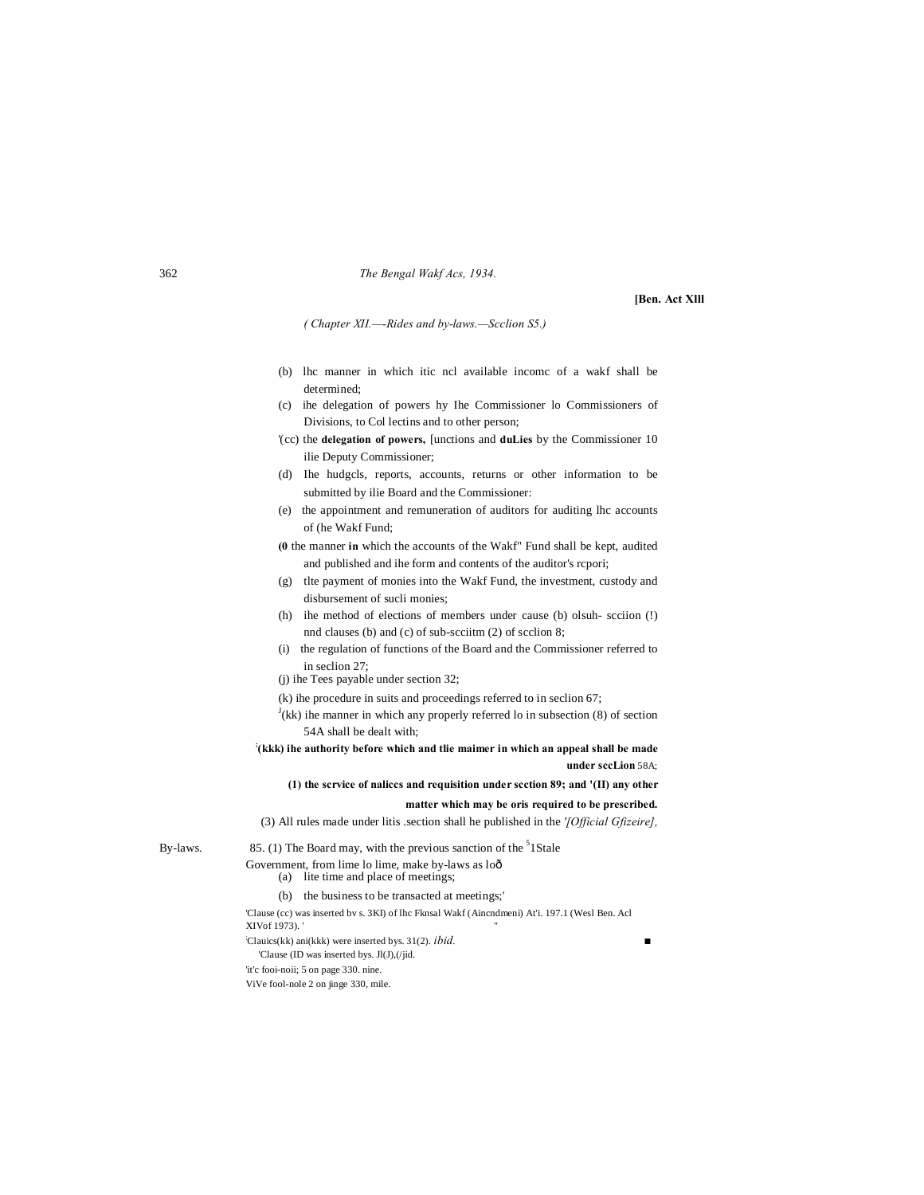#### 362 *The Bengal Wakf Acs, 1934.*

# **[Ben. Act Xlll**

*( Chapter XII.—-Rides and by-laws.—Scclion S5.)*

- (b) lhc manner in which itic ncl available incomc of a wakf shall be determined;
- (c) ihe delegation of powers hy Ihe Commissioner lo Commissioners of Divisions, to Col lectins and to other person;
- '(cc) the **delegation of powers,** [unctions and **duLies** by the Commissioner 10 ilie Deputy Commissioner;
- (d) Ihe hudgcls, reports, accounts, returns or other information to be submitted by ilie Board and the Commissioner:
- (e) the appointment and remuneration of auditors for auditing lhc accounts of (he Wakf Fund;
- **(0** the manner **in** which the accounts of the Wakf" Fund shall be kept, audited and published and ihe form and contents of the auditor's rcpori;
- (g) tlte payment of monies into the Wakf Fund, the investment, custody and disbursement of sucli monies;
- (h) ihe method of elections of members under cause (b) olsuh- scciion (!) nnd clauses (b) and (c) of sub-scciitm (2) of scclion 8;
- (i) the regulation of functions of the Board and the Commissioner referred to in seclion 27;
- (j) ihe Tees payable under section 32;
- (k) ihe procedure in suits and proceedings referred to in seclion 67;
- $J$ (kk) ihe manner in which any properly referred lo in subsection (8) of section 54A shall be dealt with;
- **; (kkk) ihe authority before which and tlie maimer in which an appeal shall be made under sccLion** 58A;

#### **(1) the scrvice of naliccs and requisition under scction 89; and '(II) any other**

#### **matter which may be oris required to be prescribed.**

(3) All rules made under litis .section shall he published in the *'[Official Gfizeire],*

# By-laws.  $85. (1)$  The Board may, with the previous sanction of the <sup>5</sup>1 Stale Government, from lime lo lime, make by-laws as loô

- (a) lite time and place of meetings;
- (b) the business to be transacted at meetings;'

'Clause (cc) was inserted bv s. 3KI) of lhc Fknsal Wakf (Aincndmeni) At'i. 197.1 (Wesl Ben. Acl XIVof 1973). ; Clauics(kk) ani(kkk) were inserted bys. 31(2). *ibid. ■*

'Clause (ID was inserted bys. Jl(J),(/jid.

'it'c fooi-noii; 5 on page 330. nine.

ViVe fool-nole 2 on jinge 330, mile.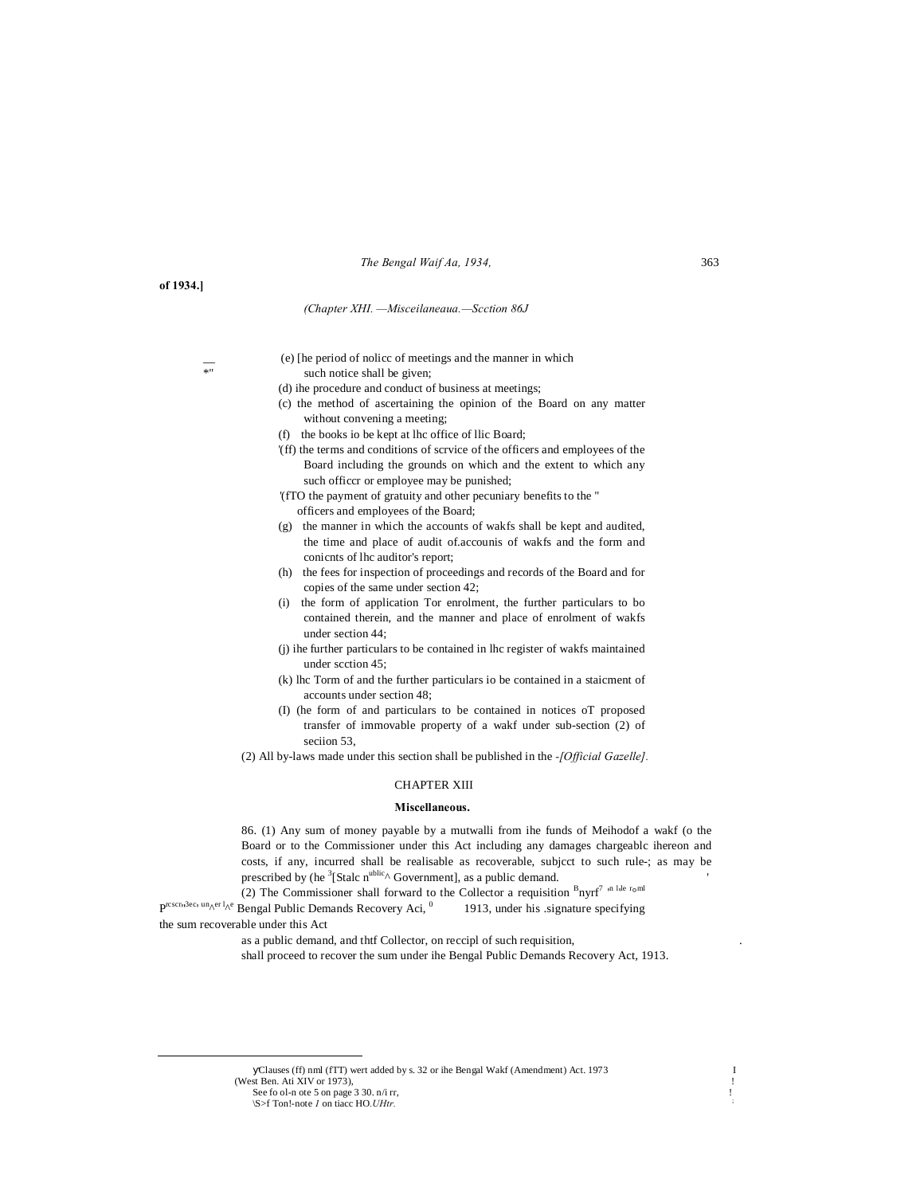#### *The Bengal Waif Aa, 1934,* 363

#### **of 1934.]**

#### *(Chapter XHI. —Misceilaneaua.—Scction 86J*

- (e) [he period of nolice of meetings and the manner in which  $*$ " such notice shall be given;
	- (d) ihe procedure and conduct of business at meetings;
	- (c) the method of ascertaining the opinion of the Board on any matter without convening a meeting;
	- (f) the books io be kept at lhc office of llic Board;
	- '(ff) the terms and conditions of scrvice of the officers and employees of the Board including the grounds on which and the extent to which any such officcr or employee may be punished;
	- '(fTO the payment of gratuity and other pecuniary benefits to the " officers and employees of the Board;
	- (g) the manner in which the accounts of wakfs shall be kept and audited, the time and place of audit of.accounis of wakfs and the form and conicnts of lhc auditor's report;
	- (h) the fees for inspection of proceedings and records of the Board and for copies of the same under section 42;
	- (i) the form of application Tor enrolment, the further particulars to bo contained therein, and the manner and place of enrolment of wakfs under section 44;
	- (j) ihe further particulars to be contained in lhc register of wakfs maintained under scction 45;
	- (k) lhc Torm of and the further particulars io be contained in a staicment of accounts under section 48;
	- (I) (he form of and particulars to be contained in notices oT proposed transfer of immovable property of a wakf under sub-section (2) of seciion 53.

(2) All by-laws made under this section shall be published in the *-[Official Gazelle].*

#### CHAPTER XIII

#### **Miscellaneous.**

86. (1) Any sum of money payable by a mutwalli from ihe funds of Meihodof a wakf (o the Board or to the Commissioner under this Act including any damages chargeablc ihereon and costs, if any, incurred shall be realisable as recoverable, subjcct to such rule-; as may be prescribed by (he  ${}^{3}$ [Stalc n<sup>ublic</sup>^ Government], as a public demand. ''

(2) The Commissioner shall forward to the Collector a requisition  ${}^B$ nyrf<sup>7</sup> in lile roml  $P^{rscr_1, 3ec_1 \text{ unAer 1}_{\text{A}}e}$  Bengal Public Demands Recovery Aci,  $\degree$  1913, under his .signature specifying the sum recoverable under this Act

as a public demand, and thtf Collector, on reccipl of such requisition,

shall proceed to recover the sum under ihe Bengal Public Demands Recovery Act, 1913.

 Clauses (ff) nml (fTT) wert added by s. 32 or ihe Bengal Wakf (Amendment) Act. 1973 <sup>I</sup> (West Ben. Ati XIV or 1973). See fo ol-n ote 5 on page  $3 \times 30$ .  $n/i$  rr,

\S>f Ton!-note *1* on tiacc HO*.UHtr.* ;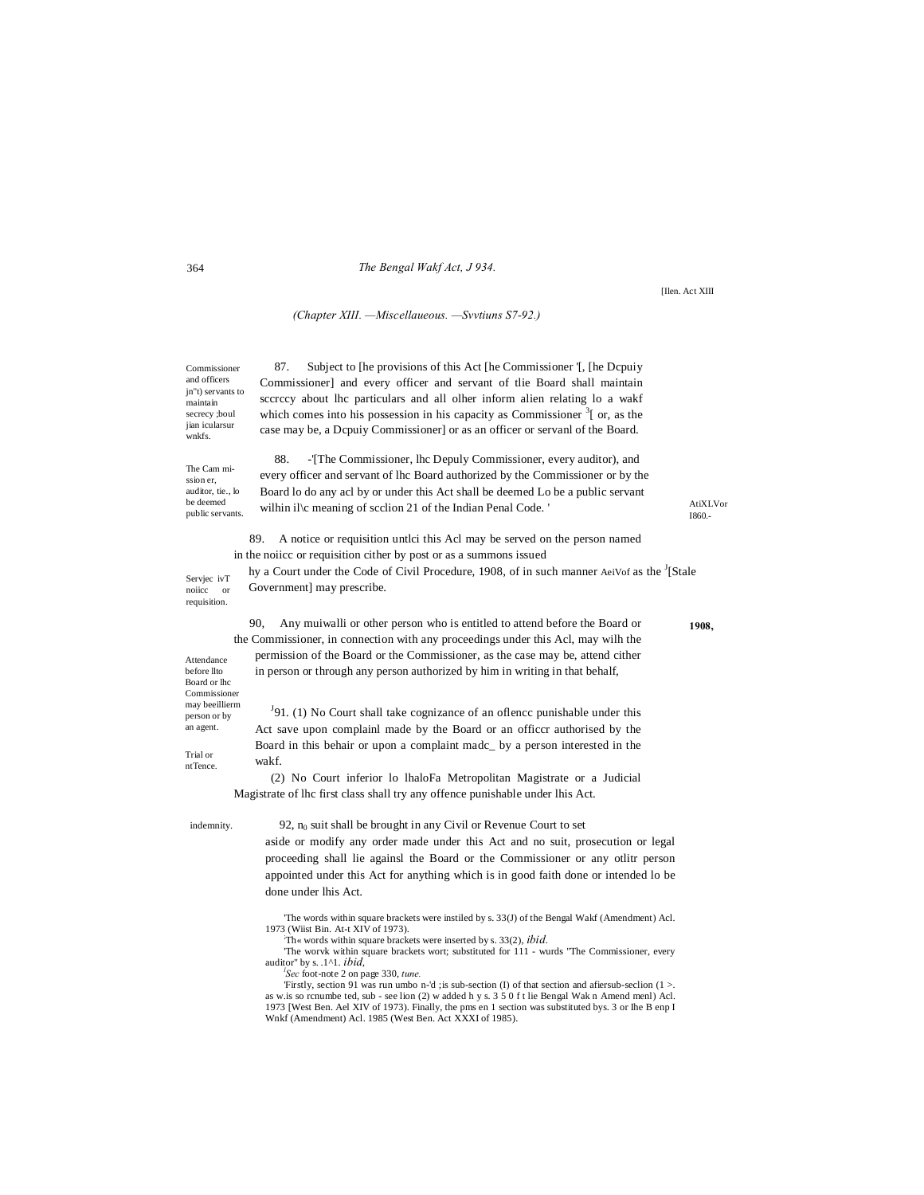#### The Bengal Wakf Act, J 934.

[Ilen. Act XIII

#### (Chapter XIII. - Miscellaueous. - Svvtiuns S7-92.)

87. Subject to [he provisions of this Act [he Commissioner '[, [he Dcpuiy Commissioner] and every officer and servant of the Board shall maintain jn"t) servants to scereey about lhe particulars and all olher inform alien relating lo a wakf which comes into his possession in his capacity as Commissioner  $3<sup>7</sup>$  or, as the case may be, a Dcpuiy Commissioner] or as an officer or servanl of the Board.

The Cam mission er auditor, tie., lo be deemed public servants.

Servjec ivT

Attendance before llto

Board or lhc Commissioner may beeillierm

person or by an agent.

Trial or

ntTence.

noiicc or requisition.

Commissioner and officers

maintain secrecy ;boul

wnkfs.

jian icularsur

88. -'[The Commissioner, lhc Depuly Commissioner, every auditor), and every officer and servant of lhc Board authorized by the Commissioner or by the Board lo do any acl by or under this Act shall be deemed Lo be a public servant wilhin il\c meaning of scclion 21 of the Indian Penal Code.'

 $AtiXI$  Vor I860.-

1908.

89. A notice or requisition untlci this Acl may be served on the person named in the noiicc or requisition cither by post or as a summons issued

hy a Court under the Code of Civil Procedure, 1908, of in such manner AeiVof as the <sup>J</sup>[Stale Government] may prescribe.

90, Any muiwalli or other person who is entitled to attend before the Board or the Commissioner, in connection with any proceedings under this Acl, may wilh the permission of the Board or the Commissioner, as the case may be, attend cither in person or through any person authorized by him in writing in that behalf,

 $<sup>J</sup>91$ . (1) No Court shall take cognizance of an oflence punishable under this</sup> Act save upon complainl made by the Board or an officer authorised by the Board in this behair or upon a complaint made\_ by a person interested in the  $wakf$ 

(2) No Court inferior lo lhaloFa Metropolitan Magistrate or a Judicial Magistrate of lhc first class shall try any offence punishable under lhis Act.

indemnity.

92, n<sub>0</sub> suit shall be brought in any Civil or Revenue Court to set

aside or modify any order made under this Act and no suit, prosecution or legal proceeding shall lie againsl the Board or the Commissioner or any otlitr person appointed under this Act for anything which is in good faith done or intended lo be done under lhis Act.

The words within square brackets were instiled by s. 33(J) of the Bengal Wakf (Amendment) Acl. 1973 (Wiist Bin. At-t XIV of 1973).

Th« words within square brackets were inserted by s. 33(2), ibid.

The worvk within square brackets wort; substituted for 111 - wurds "The Commissioner, every auditor" by s. 1^1. *ibid.* 

Sec foot-note 2 on page 330, tune.

Firstly, section 91 was run umbo n-'d ; is sub-section (I) of that section and aftersub-section  $(1 >$ . as w.is so rcnumbe ted, sub - see lion (2) w added h y s. 3 5 0 f t lie Bengal Wak n Amend menl) Acl. 1973 [West Ben. Ael XIV of 1973). Finally, the pms en 1 section was substituted bys. 3 or lhe B enp I Wnkf (Amendment) Acl. 1985 (West Ben. Act XXXI of 1985).

#### 364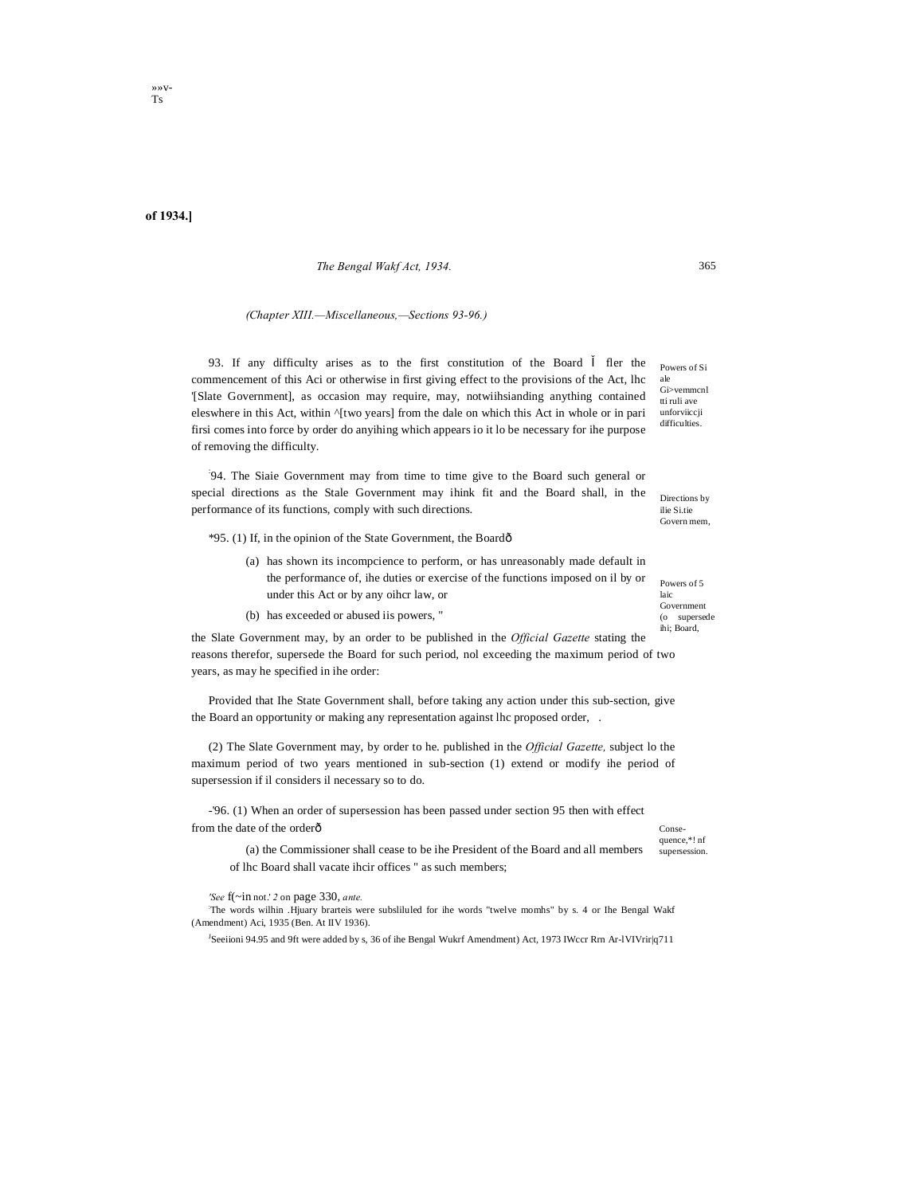# of 1934.]

#### The Bengal Wakf Act, 1934.

#### (Chapter XIII.-Miscellaneous,-Sections 93-96.)

93. If any difficulty arises as to the first constitution of the Board fler the commencement of this Aci or otherwise in first giving effect to the provisions of the Act, lhc '[Slate Government], as occasion may require, may, notwiihsianding anything contained eleswhere in this Act, within '[two years] from the dale on which this Act in whole or in pari firsi comes into force by order do anyihing which appears io it lo be necessary for ihe purpose of removing the difficulty.

94. The Siaie Government may from time to time give to the Board such general or special directions as the Stale Government may ihink fit and the Board shall, in the performance of its functions, comply with such directions.

\*95. (1) If, in the opinion of the State Government, the Boardô

- (a) has shown its incompcience to perform, or has unreasonably made default in the performance of, ihe duties or exercise of the functions imposed on il by or under this Act or by any oiher law, or
- (b) has exceeded or abused iis powers, "

the Slate Government may, by an order to be published in the *Official Gazette* stating the reasons therefor, supersede the Board for such period, nol exceeding the maximum period of two years, as may he specified in ihe order:

Provided that Ihe State Government shall, before taking any action under this sub-section, give the Board an opportunity or making any representation against lhc proposed order,.

(2) The Slate Government may, by order to he. published in the Official Gazette, subject lo the maximum period of two years mentioned in sub-section (1) extend or modify ihe period of supersession if il considers il necessary so to do.

-'96. (1) When an order of supersession has been passed under section 95 then with effect from the date of the orderô

quence,\*! nf (a) the Commissioner shall cease to be ihe President of the Board and all members supersession. of lhc Board shall vacate ihcir offices " as such members;

'See f(~in not.' 2 on page 330, ante.

The words wilhin .Hjuary brarteis were subsliluled for ihe words "twelve momhs" by s. 4 or Ihe Bengal Wakf (Amendment) Aci, 1935 (Ben. At IIV 1936).

<sup>J</sup>Seeiioni 94.95 and 9ft were added by s, 36 of ihe Bengal Wukrf Amendment) Act, 1973 IWccr Rrn Ar-lVIVrir|q711

Powers of Si ale Gi>vemmcnl tti ruli ave unforviiccii difficulties.

Directions by ilie Si.tie Govern mem

Powers of 5 laic Government (o supersede ihi: Board.

Conse-

365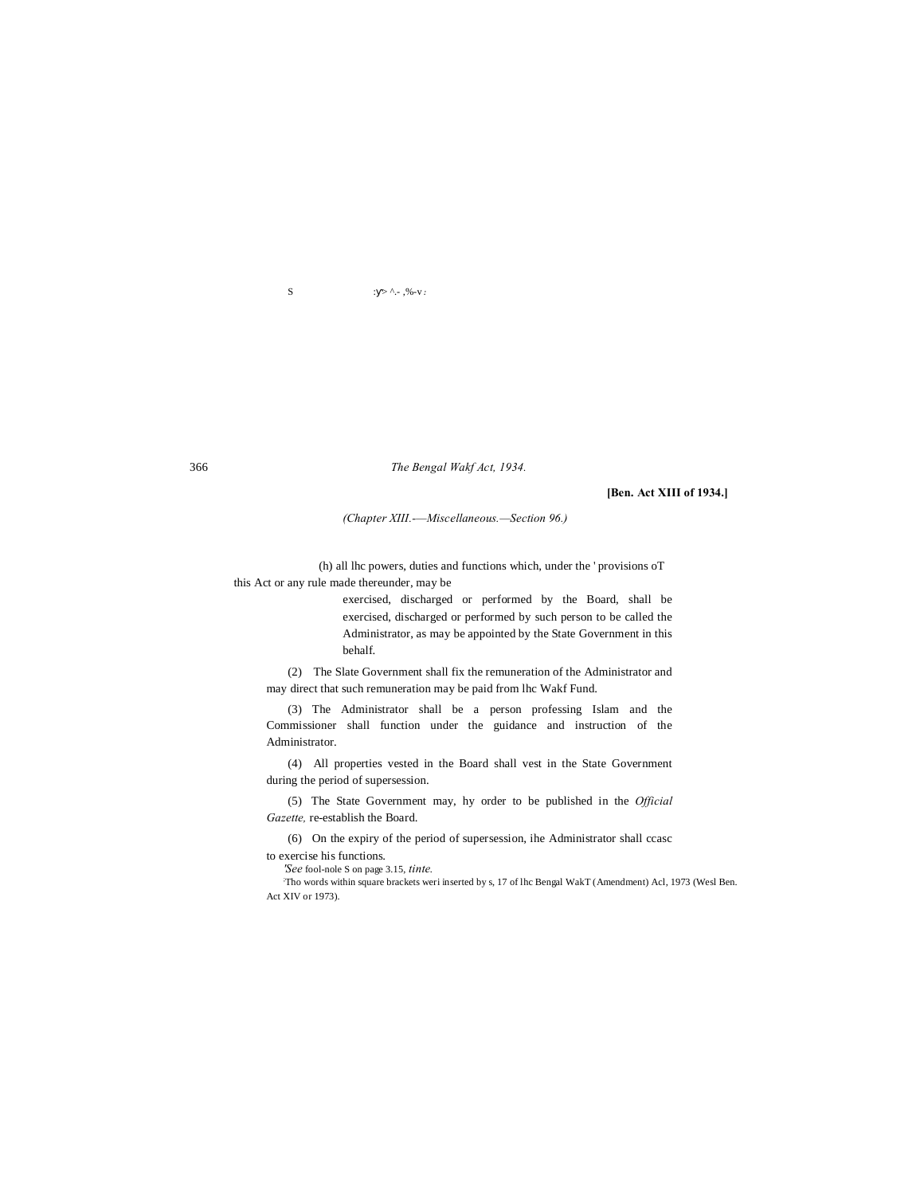S  $: > \hat{ } \cdot \cdot , \% - \hat{ } \cdot \cdot \cdot$ 

366 *The Bengal Wakf Act, 1934.*

#### **[Ben. Act XIII of 1934.]**

*(Chapter XIII.-—Miscellaneous.—Section 96.)*

(h) all lhc powers, duties and functions which, under the ' provisions oT this Act or any rule made thereunder, may be

> exercised, discharged or performed by the Board, shall be exercised, discharged or performed by such person to be called the Administrator, as may be appointed by the State Government in this behalf.

(2) The Slate Government shall fix the remuneration of the Administrator and may direct that such remuneration may be paid from lhc Wakf Fund.

(3) The Administrator shall be a person professing Islam and the Commissioner shall function under the guidance and instruction of the Administrator.

(4) All properties vested in the Board shall vest in the State Government during the period of supersession.

(5) The State Government may, hy order to be published in the *Official Gazette,* re-establish the Board.

(6) On the expiry of the period of supersession, ihe Administrator shall ccasc to exercise his functions.

*'See* fool-nole S on page 3.15, *tinte.*

Tho words within square brackets weri inserted by s, 17 of lhc Bengal WakT (Amendment) Acl, 1973 (Wesl Ben. Act XIV or 1973).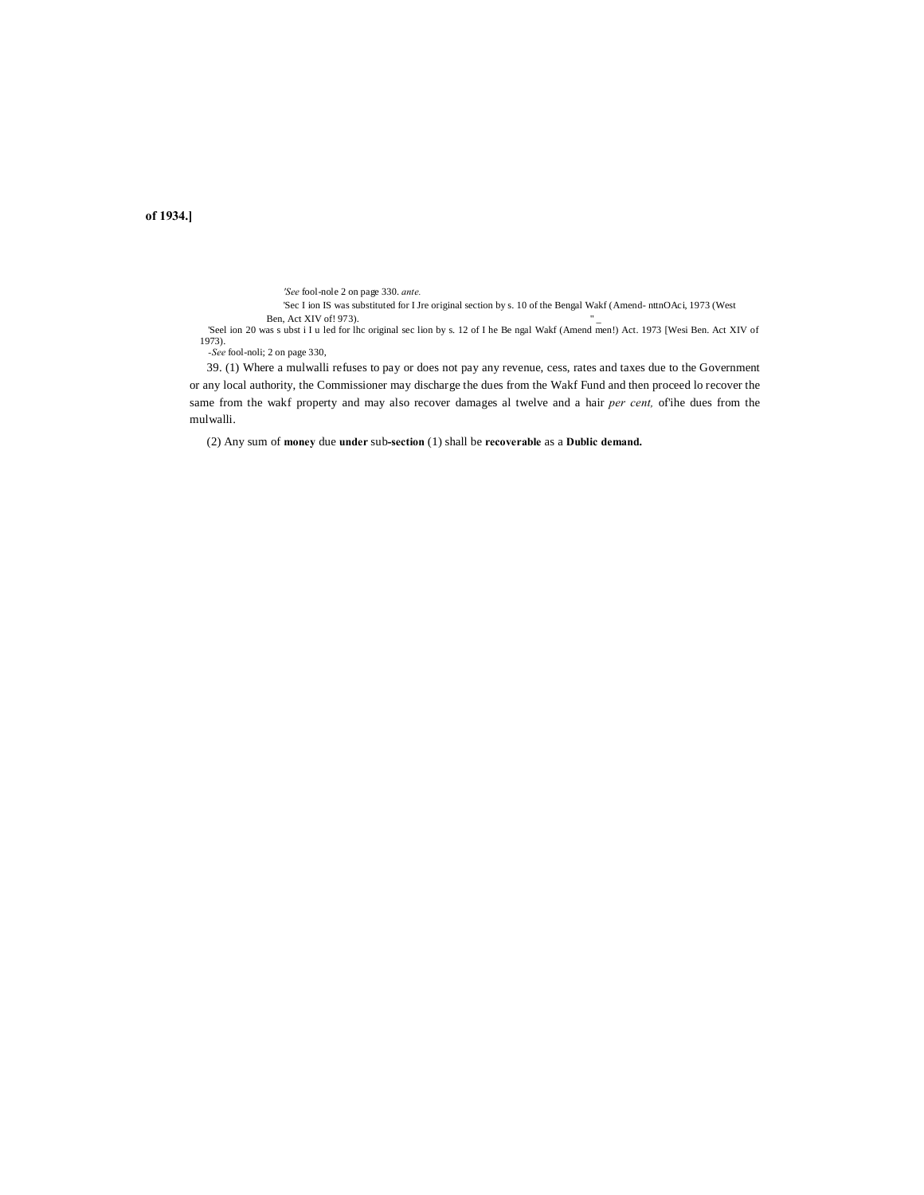**of 1934.]**

*'See* fool-nole 2 on page 330. *ante.*

'Sec I ion IS was substituted for I Jre original section by s. 10 of the Bengal Wakf (Amend- nttnOAci, 1973 (West

Ben, Act XIV of! 973).<br>
'Seel ion 20 was s ubst i I u led for lhc original sec lion by s. 12 of I he Be ngal Wakf (Amend men!) Act. 1973 [Wesi Ben. Act XIV of 1973).

*-See* fool-noli; 2 on page 330,

39. (1) Where a mulwalli refuses to pay or does not pay any revenue, cess, rates and taxes due to the Government or any local authority, the Commissioner may discharge the dues from the Wakf Fund and then proceed lo recover the same from the wakf property and may also recover damages al twelve and a hair *per cent,* of'ihe dues from the mulwalli.

(2) Any sum of **money** due **under** sub**-section** (1) shall be **recoverable** as a **Dublic demand.**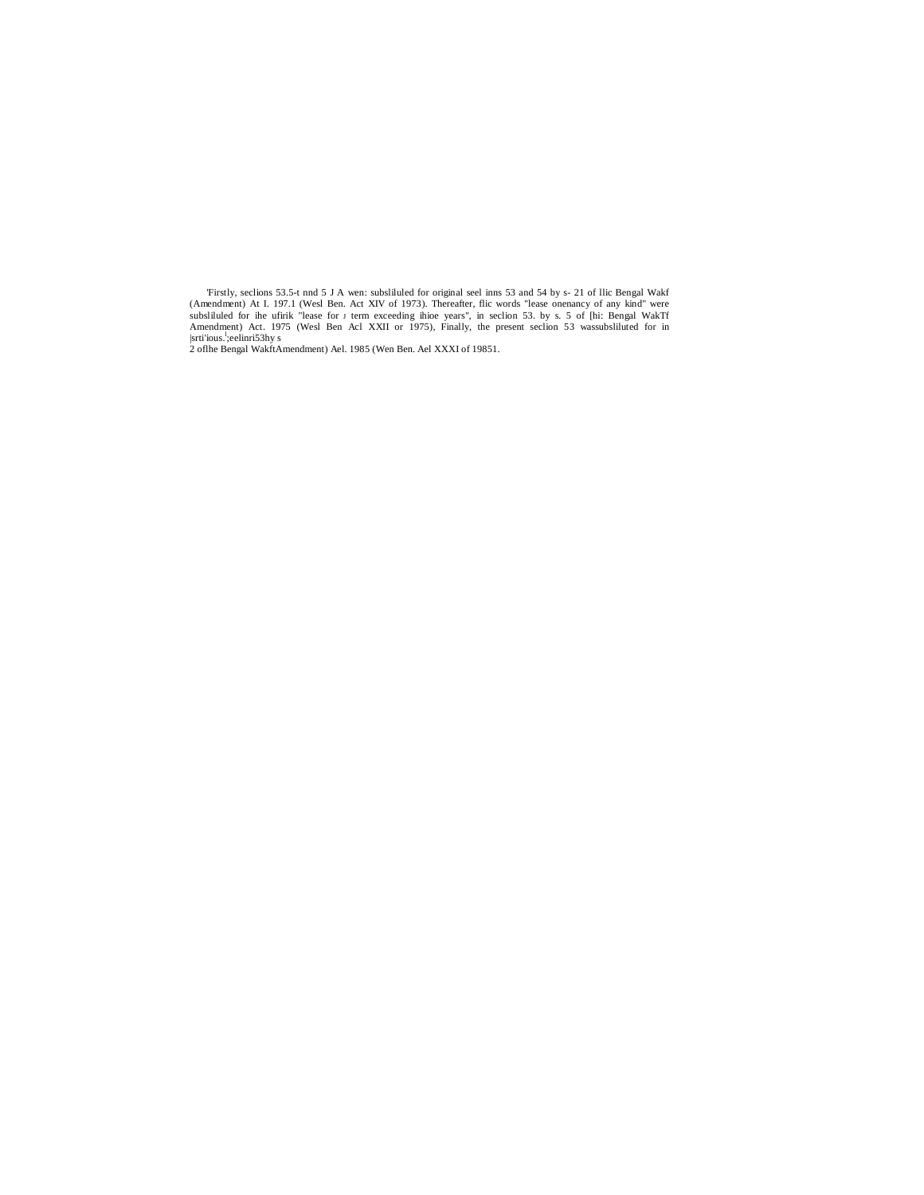Firstly, seclions 53.5-t nnd 5 J A wen: subsliluled for original seel inns 53 and 54 by s- 21 of llic Bengal Wakf (Amendment) At I. 197.1 (Wesl Ben. Act XIV of 1973). Thereafter, flic words "lease onenancy of any kind" wer